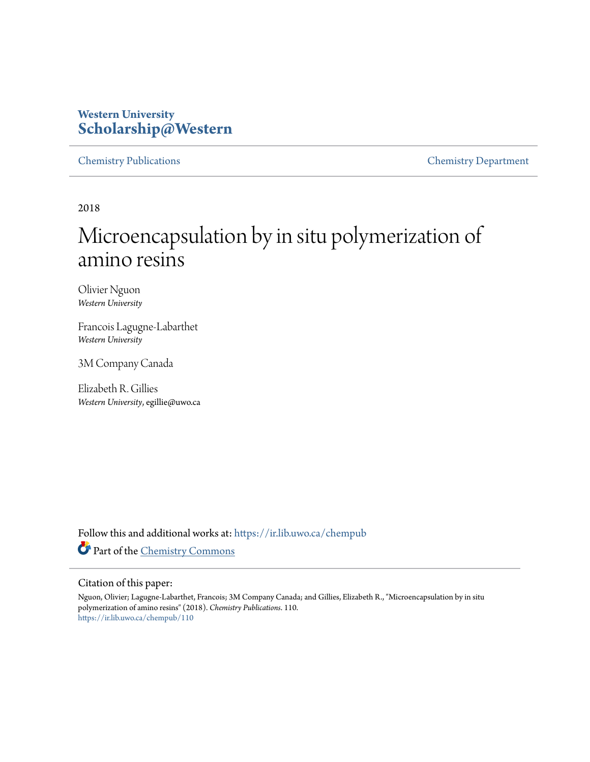# **Western University [Scholarship@Western](https://ir.lib.uwo.ca/?utm_source=ir.lib.uwo.ca%2Fchempub%2F110&utm_medium=PDF&utm_campaign=PDFCoverPages)**

[Chemistry Publications](https://ir.lib.uwo.ca/chempub?utm_source=ir.lib.uwo.ca%2Fchempub%2F110&utm_medium=PDF&utm_campaign=PDFCoverPages) [Chemistry Department](https://ir.lib.uwo.ca/chem?utm_source=ir.lib.uwo.ca%2Fchempub%2F110&utm_medium=PDF&utm_campaign=PDFCoverPages)

2018

# Microencapsulation by in situ polymerization of amino resins

Olivier Nguon *Western University*

Francois Lagugne-Labarthet *Western University*

3M Company Canada

Elizabeth R. Gillies *Western University*, egillie@uwo.ca

Follow this and additional works at: [https://ir.lib.uwo.ca/chempub](https://ir.lib.uwo.ca/chempub?utm_source=ir.lib.uwo.ca%2Fchempub%2F110&utm_medium=PDF&utm_campaign=PDFCoverPages) Part of the [Chemistry Commons](http://network.bepress.com/hgg/discipline/131?utm_source=ir.lib.uwo.ca%2Fchempub%2F110&utm_medium=PDF&utm_campaign=PDFCoverPages)

#### Citation of this paper:

Nguon, Olivier; Lagugne-Labarthet, Francois; 3M Company Canada; and Gillies, Elizabeth R., "Microencapsulation by in situ polymerization of amino resins" (2018). *Chemistry Publications*. 110. [https://ir.lib.uwo.ca/chempub/110](https://ir.lib.uwo.ca/chempub/110?utm_source=ir.lib.uwo.ca%2Fchempub%2F110&utm_medium=PDF&utm_campaign=PDFCoverPages)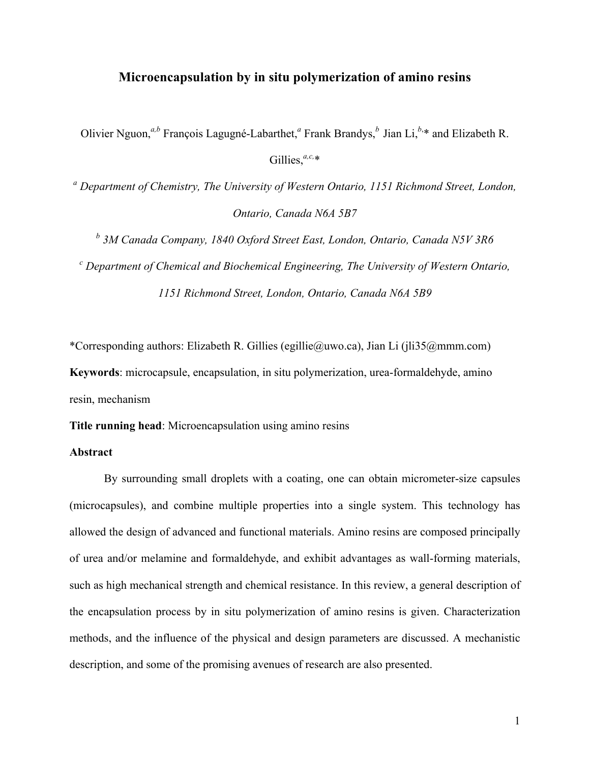## **Microencapsulation by in situ polymerization of amino resins**

Olivier Nguon,<sup>*a,b*</sup> François Lagugné-Labarthet,<sup>*a*</sup> Frank Brandys,<sup>*b*</sup> Jian Li,<sup>*b*,\*</sup> and Elizabeth R.

Gillies,<sup>*a,c,*\*</sup>

*<sup>a</sup> Department of Chemistry, The University of Western Ontario, 1151 Richmond Street, London, Ontario, Canada N6A 5B7*

*<sup>b</sup> 3M Canada Company, 1840 Oxford Street East, London, Ontario, Canada N5V 3R6*

*<sup>c</sup> Department of Chemical and Biochemical Engineering, The University of Western Ontario, 1151 Richmond Street, London, Ontario, Canada N6A 5B9*

\*Corresponding authors: Elizabeth R. Gillies (egillie@uwo.ca), Jian Li (jli35@mmm.com) **Keywords**: microcapsule, encapsulation, in situ polymerization, urea-formaldehyde, amino resin, mechanism

**Title running head**: Microencapsulation using amino resins

## **Abstract**

By surrounding small droplets with a coating, one can obtain micrometer-size capsules (microcapsules), and combine multiple properties into a single system. This technology has allowed the design of advanced and functional materials. Amino resins are composed principally of urea and/or melamine and formaldehyde, and exhibit advantages as wall-forming materials, such as high mechanical strength and chemical resistance. In this review, a general description of the encapsulation process by in situ polymerization of amino resins is given. Characterization methods, and the influence of the physical and design parameters are discussed. A mechanistic description, and some of the promising avenues of research are also presented.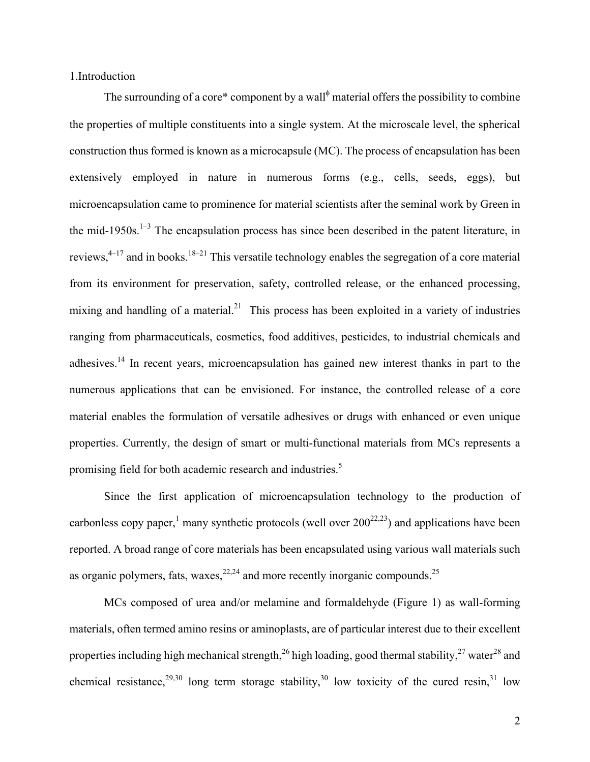1.Introduction

The surrounding of a core\* component by a wall<sup> $\phi$ </sup> material offers the possibility to combine the properties of multiple constituents into a single system. At the microscale level, the spherical construction thus formed is known as a microcapsule (MC). The process of encapsulation has been extensively employed in nature in numerous forms (e.g., cells, seeds, eggs), but microencapsulation came to prominence for material scientists after the seminal work by Green in the mid-1950s.<sup>1-3</sup> The encapsulation process has since been described in the patent literature, in reviews,  $4-17$  and in books.<sup>18–21</sup> This versatile technology enables the segregation of a core material from its environment for preservation, safety, controlled release, or the enhanced processing, mixing and handling of a material.<sup>21</sup> This process has been exploited in a variety of industries ranging from pharmaceuticals, cosmetics, food additives, pesticides, to industrial chemicals and adhesives.<sup>14</sup> In recent years, microencapsulation has gained new interest thanks in part to the numerous applications that can be envisioned. For instance, the controlled release of a core material enables the formulation of versatile adhesives or drugs with enhanced or even unique properties. Currently, the design of smart or multi-functional materials from MCs represents a promising field for both academic research and industries.<sup>5</sup>

Since the first application of microencapsulation technology to the production of carbonless copy paper,<sup>1</sup> many synthetic protocols (well over  $200^{22,23}$ ) and applications have been reported. A broad range of core materials has been encapsulated using various wall materials such as organic polymers, fats, waxes,  $2^{2,24}$  and more recently inorganic compounds.<sup>25</sup>

MCs composed of urea and/or melamine and formaldehyde (Figure 1) as wall-forming materials, often termed amino resins or aminoplasts, are of particular interest due to their excellent properties including high mechanical strength,  $^{26}$  high loading, good thermal stability,  $^{27}$  water  $^{28}$  and chemical resistance,  $2^{9,30}$  long term storage stability,  $3^{10}$  low toxicity of the cured resin,  $3^{1}$  low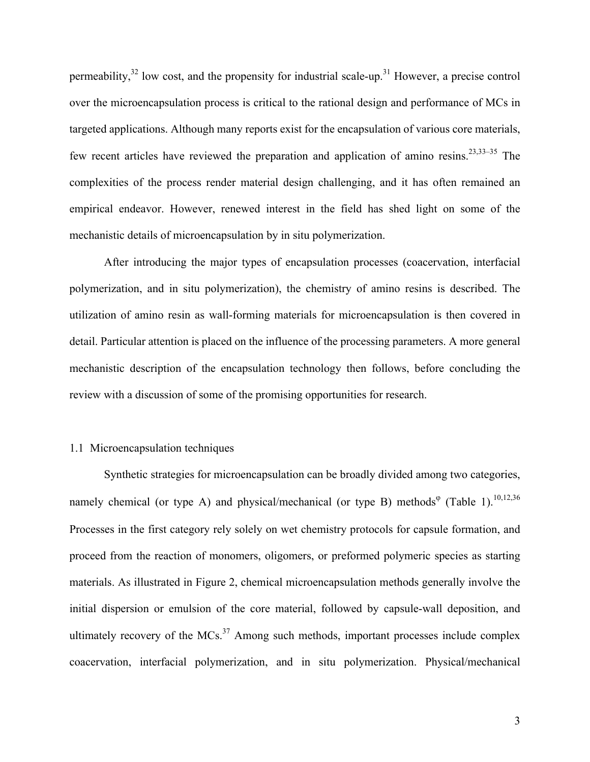permeability, $32$  low cost, and the propensity for industrial scale-up.<sup>31</sup> However, a precise control over the microencapsulation process is critical to the rational design and performance of MCs in targeted applications. Although many reports exist for the encapsulation of various core materials, few recent articles have reviewed the preparation and application of amino resins.<sup>23,33–35</sup> The complexities of the process render material design challenging, and it has often remained an empirical endeavor. However, renewed interest in the field has shed light on some of the mechanistic details of microencapsulation by in situ polymerization.

After introducing the major types of encapsulation processes (coacervation, interfacial polymerization, and in situ polymerization), the chemistry of amino resins is described. The utilization of amino resin as wall-forming materials for microencapsulation is then covered in detail. Particular attention is placed on the influence of the processing parameters. A more general mechanistic description of the encapsulation technology then follows, before concluding the review with a discussion of some of the promising opportunities for research.

## 1.1 Microencapsulation techniques

Synthetic strategies for microencapsulation can be broadly divided among two categories, namely chemical (or type A) and physical/mechanical (or type B) methods<sup> $\varphi$ </sup> (Table 1).<sup>10,12,36</sup> Processes in the first category rely solely on wet chemistry protocols for capsule formation, and proceed from the reaction of monomers, oligomers, or preformed polymeric species as starting materials. As illustrated in Figure 2, chemical microencapsulation methods generally involve the initial dispersion or emulsion of the core material, followed by capsule-wall deposition, and ultimately recovery of the  $MCs$ <sup>37</sup> Among such methods, important processes include complex coacervation, interfacial polymerization, and in situ polymerization. Physical/mechanical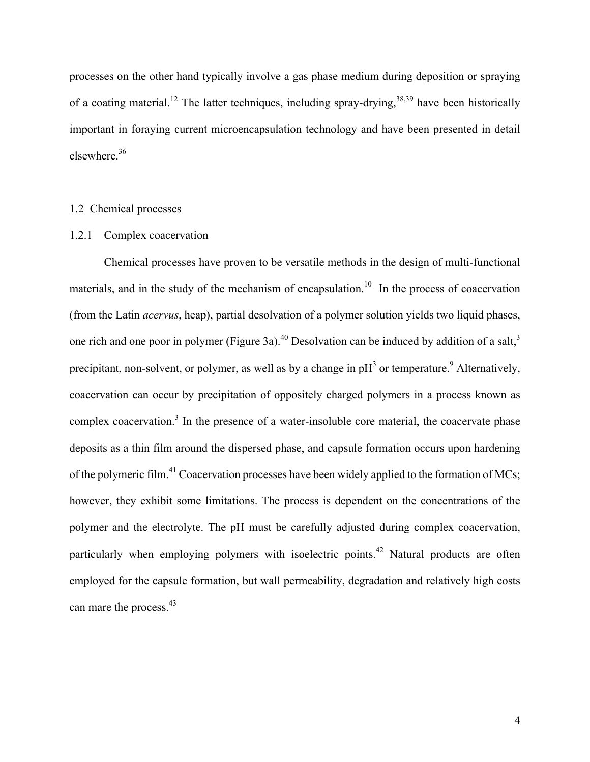processes on the other hand typically involve a gas phase medium during deposition or spraying of a coating material.<sup>12</sup> The latter techniques, including spray-drying,  $38,39$  have been historically important in foraying current microencapsulation technology and have been presented in detail elsewhere. 36

## 1.2 Chemical processes

### 1.2.1 Complex coacervation

Chemical processes have proven to be versatile methods in the design of multi-functional materials, and in the study of the mechanism of encapsulation.<sup>10</sup> In the process of coacervation (from the Latin *acervus*, heap), partial desolvation of a polymer solution yields two liquid phases, one rich and one poor in polymer (Figure 3a).<sup>40</sup> Desolvation can be induced by addition of a salt,<sup>3</sup> precipitant, non-solvent, or polymer, as well as by a change in  $pH<sup>3</sup>$  or temperature.<sup>9</sup> Alternatively, coacervation can occur by precipitation of oppositely charged polymers in a process known as complex coacervation.<sup>3</sup> In the presence of a water-insoluble core material, the coacervate phase deposits as a thin film around the dispersed phase, and capsule formation occurs upon hardening of the polymeric film.<sup>41</sup> Coacervation processes have been widely applied to the formation of MCs; however, they exhibit some limitations. The process is dependent on the concentrations of the polymer and the electrolyte. The pH must be carefully adjusted during complex coacervation, particularly when employing polymers with isoelectric points.<sup>42</sup> Natural products are often employed for the capsule formation, but wall permeability, degradation and relatively high costs can mare the process.<sup>43</sup>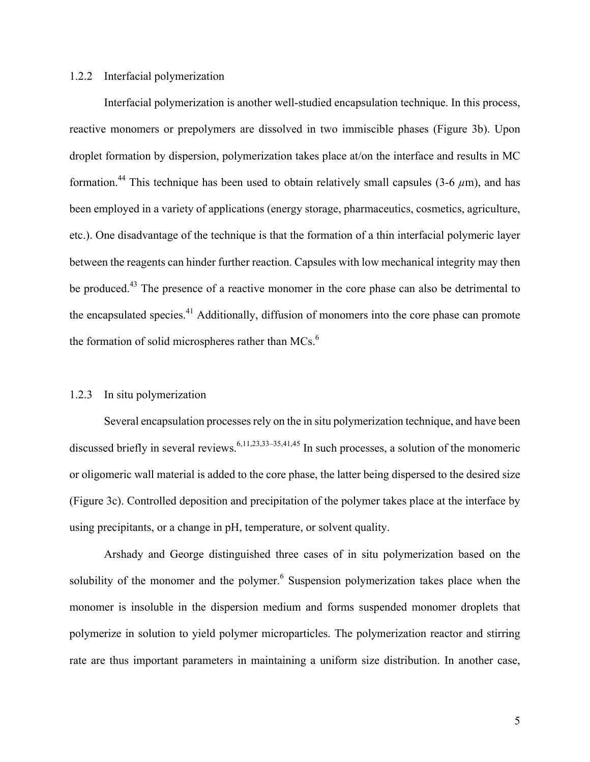## 1.2.2 Interfacial polymerization

Interfacial polymerization is another well-studied encapsulation technique. In this process, reactive monomers or prepolymers are dissolved in two immiscible phases (Figure 3b). Upon droplet formation by dispersion, polymerization takes place at/on the interface and results in MC formation.<sup>44</sup> This technique has been used to obtain relatively small capsules (3-6  $\mu$ m), and has been employed in a variety of applications (energy storage, pharmaceutics, cosmetics, agriculture, etc.). One disadvantage of the technique is that the formation of a thin interfacial polymeric layer between the reagents can hinder further reaction. Capsules with low mechanical integrity may then be produced.<sup>43</sup> The presence of a reactive monomer in the core phase can also be detrimental to the encapsulated species.<sup>41</sup> Additionally, diffusion of monomers into the core phase can promote the formation of solid microspheres rather than MCs.<sup>6</sup>

## 1.2.3 In situ polymerization

Several encapsulation processesrely on the in situ polymerization technique, and have been discussed briefly in several reviews.<sup>6,11,23,33–35,41,45</sup> In such processes, a solution of the monomeric or oligomeric wall material is added to the core phase, the latter being dispersed to the desired size (Figure 3c). Controlled deposition and precipitation of the polymer takes place at the interface by using precipitants, or a change in pH, temperature, or solvent quality.

Arshady and George distinguished three cases of in situ polymerization based on the solubility of the monomer and the polymer.<sup>6</sup> Suspension polymerization takes place when the monomer is insoluble in the dispersion medium and forms suspended monomer droplets that polymerize in solution to yield polymer microparticles. The polymerization reactor and stirring rate are thus important parameters in maintaining a uniform size distribution. In another case,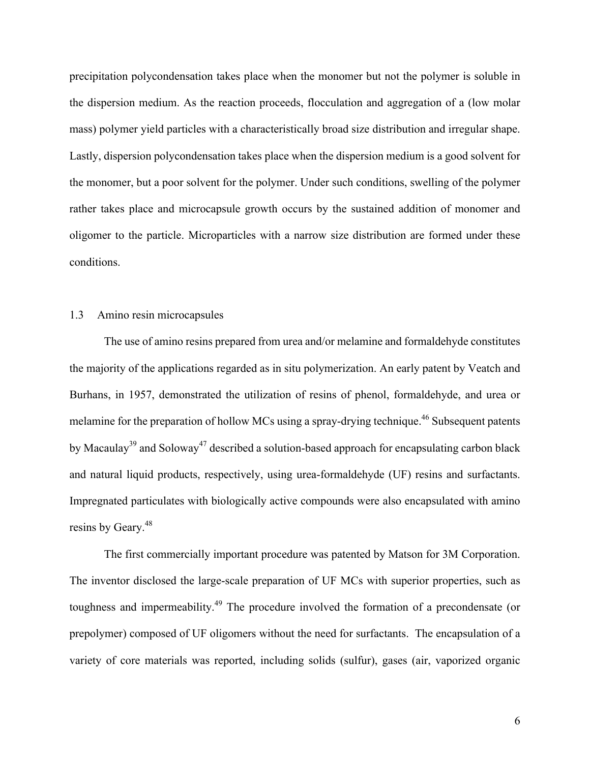precipitation polycondensation takes place when the monomer but not the polymer is soluble in the dispersion medium. As the reaction proceeds, flocculation and aggregation of a (low molar mass) polymer yield particles with a characteristically broad size distribution and irregular shape. Lastly, dispersion polycondensation takes place when the dispersion medium is a good solvent for the monomer, but a poor solvent for the polymer. Under such conditions, swelling of the polymer rather takes place and microcapsule growth occurs by the sustained addition of monomer and oligomer to the particle. Microparticles with a narrow size distribution are formed under these conditions.

## 1.3 Amino resin microcapsules

The use of amino resins prepared from urea and/or melamine and formaldehyde constitutes the majority of the applications regarded as in situ polymerization. An early patent by Veatch and Burhans, in 1957, demonstrated the utilization of resins of phenol, formaldehyde, and urea or melamine for the preparation of hollow MCs using a spray-drying technique.<sup>46</sup> Subsequent patents by Macaulay<sup>39</sup> and Soloway<sup>47</sup> described a solution-based approach for encapsulating carbon black and natural liquid products, respectively, using urea-formaldehyde (UF) resins and surfactants. Impregnated particulates with biologically active compounds were also encapsulated with amino resins by Geary.<sup>48</sup>

The first commercially important procedure was patented by Matson for 3M Corporation. The inventor disclosed the large-scale preparation of UF MCs with superior properties, such as toughness and impermeability. <sup>49</sup> The procedure involved the formation of a precondensate (or prepolymer) composed of UF oligomers without the need for surfactants. The encapsulation of a variety of core materials was reported, including solids (sulfur), gases (air, vaporized organic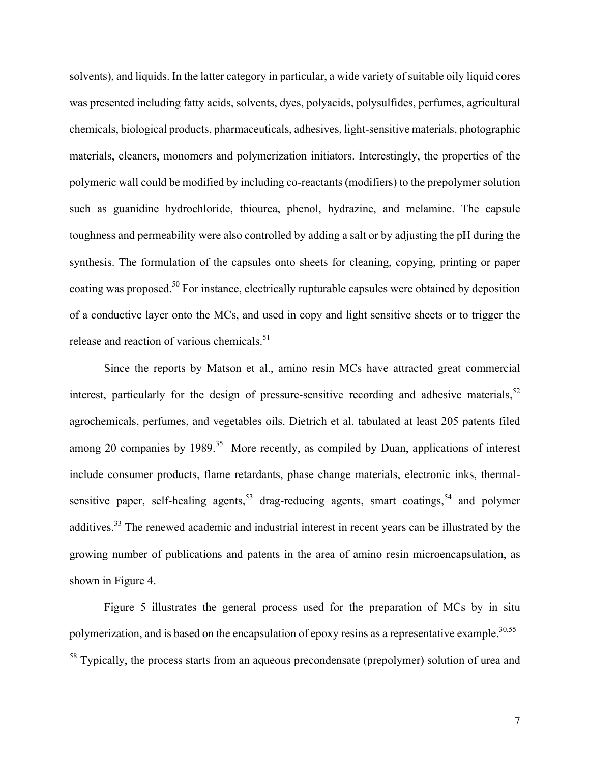solvents), and liquids. In the latter category in particular, a wide variety of suitable oily liquid cores was presented including fatty acids, solvents, dyes, polyacids, polysulfides, perfumes, agricultural chemicals, biological products, pharmaceuticals, adhesives, light-sensitive materials, photographic materials, cleaners, monomers and polymerization initiators. Interestingly, the properties of the polymeric wall could be modified by including co-reactants (modifiers) to the prepolymer solution such as guanidine hydrochloride, thiourea, phenol, hydrazine, and melamine. The capsule toughness and permeability were also controlled by adding a salt or by adjusting the pH during the synthesis. The formulation of the capsules onto sheets for cleaning, copying, printing or paper coating was proposed.<sup>50</sup> For instance, electrically rupturable capsules were obtained by deposition of a conductive layer onto the MCs, and used in copy and light sensitive sheets or to trigger the release and reaction of various chemicals.<sup>51</sup>

Since the reports by Matson et al., amino resin MCs have attracted great commercial interest, particularly for the design of pressure-sensitive recording and adhesive materials,<sup>52</sup> agrochemicals, perfumes, and vegetables oils. Dietrich et al. tabulated at least 205 patents filed among 20 companies by 1989.<sup>35</sup> More recently, as compiled by Duan, applications of interest include consumer products, flame retardants, phase change materials, electronic inks, thermalsensitive paper, self-healing agents, $53$  drag-reducing agents, smart coatings,  $54$  and polymer additives.<sup>33</sup> The renewed academic and industrial interest in recent years can be illustrated by the growing number of publications and patents in the area of amino resin microencapsulation, as shown in Figure 4.

Figure 5 illustrates the general process used for the preparation of MCs by in situ polymerization, and is based on the encapsulation of epoxy resins as a representative example.<sup>30,55–</sup> <sup>58</sup> Typically, the process starts from an aqueous precondensate (prepolymer) solution of urea and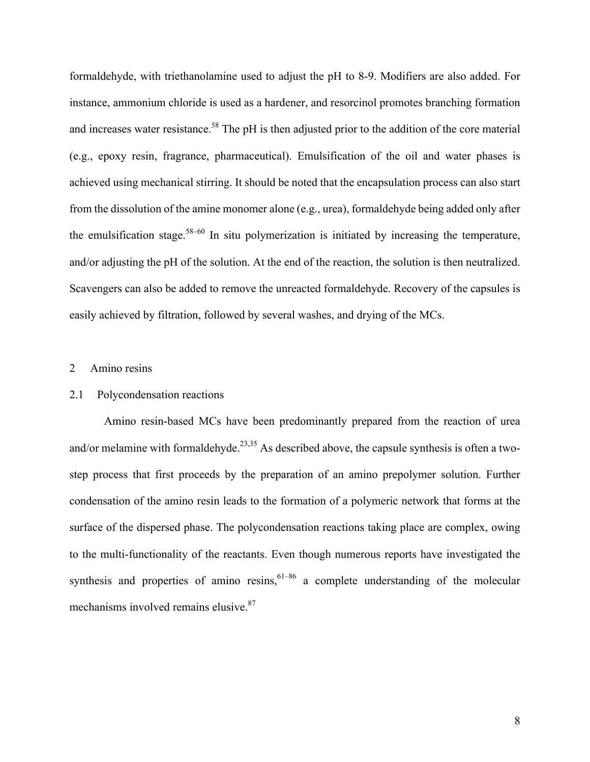formaldehyde, with triethanolamine used to adjust the pH to 8-9. Modifiers are also added. For instance, ammonium chloride is used as a hardener, and resorcinol promotes branching formation and increases water resistance.<sup>58</sup> The pH is then adjusted prior to the addition of the core material (e.g., epoxy resin, fragrance, pharmaceutical). Emulsification of the oil and water phases is achieved using mechanical stirring. It should be noted that the encapsulation process can also start from the dissolution of the amine monomer alone (e.g., urea), formaldehyde being added only after the emulsification stage. $58-60$  In situ polymerization is initiated by increasing the temperature, and/or adjusting the pH of the solution. At the end of the reaction, the solution is then neutralized. Scavengers can also be added to remove the unreacted formaldehyde. Recovery of the capsules is easily achieved by filtration, followed by several washes, and drying of the MCs.

## 2 Amino resins

## 2.1 Polycondensation reactions

Amino resin-based MCs have been predominantly prepared from the reaction of urea and/or melamine with formaldehyde.<sup>23,35</sup> As described above, the capsule synthesis is often a twostep process that first proceeds by the preparation of an amino prepolymer solution. Further condensation of the amino resin leads to the formation of a polymeric network that forms at the surface of the dispersed phase. The polycondensation reactions taking place are complex, owing to the multi-functionality of the reactants. Even though numerous reports have investigated the synthesis and properties of amino resins,  $61-86$  a complete understanding of the molecular mechanisms involved remains elusive.<sup>87</sup>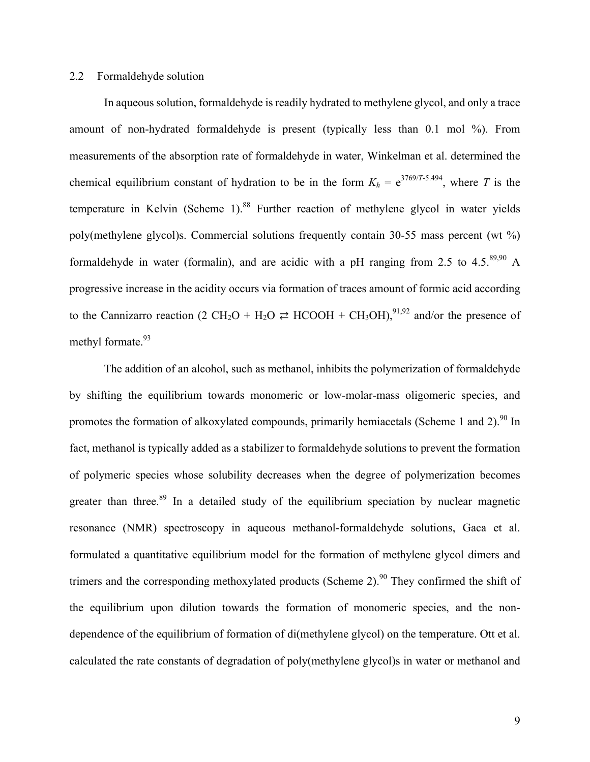## 2.2 Formaldehyde solution

In aqueous solution, formaldehyde is readily hydrated to methylene glycol, and only a trace amount of non-hydrated formaldehyde is present (typically less than 0.1 mol %). From measurements of the absorption rate of formaldehyde in water, Winkelman et al. determined the chemical equilibrium constant of hydration to be in the form  $K_h = e^{3769/T \cdot 5.494}$ , where *T* is the temperature in Kelvin (Scheme 1).<sup>88</sup> Further reaction of methylene glycol in water yields poly(methylene glycol)s. Commercial solutions frequently contain 30-55 mass percent (wt %) formaldehyde in water (formalin), and are acidic with a pH ranging from 2.5 to 4.5. $^{89,90}$  A progressive increase in the acidity occurs via formation of traces amount of formic acid according to the Cannizarro reaction (2 CH<sub>2</sub>O + H<sub>2</sub>O  $\rightleftharpoons$  HCOOH + CH<sub>3</sub>OH),<sup>91,92</sup> and/or the presence of methyl formate.<sup>93</sup>

The addition of an alcohol, such as methanol, inhibits the polymerization of formaldehyde by shifting the equilibrium towards monomeric or low-molar-mass oligomeric species, and promotes the formation of alkoxylated compounds, primarily hemiacetals (Scheme 1 and 2).<sup>90</sup> In fact, methanol is typically added as a stabilizer to formaldehyde solutions to prevent the formation of polymeric species whose solubility decreases when the degree of polymerization becomes greater than three.<sup>89</sup> In a detailed study of the equilibrium speciation by nuclear magnetic resonance (NMR) spectroscopy in aqueous methanol-formaldehyde solutions, Gaca et al. formulated a quantitative equilibrium model for the formation of methylene glycol dimers and trimers and the corresponding methoxylated products (Scheme 2).<sup>90</sup> They confirmed the shift of the equilibrium upon dilution towards the formation of monomeric species, and the nondependence of the equilibrium of formation of di(methylene glycol) on the temperature. Ott et al. calculated the rate constants of degradation of poly(methylene glycol)s in water or methanol and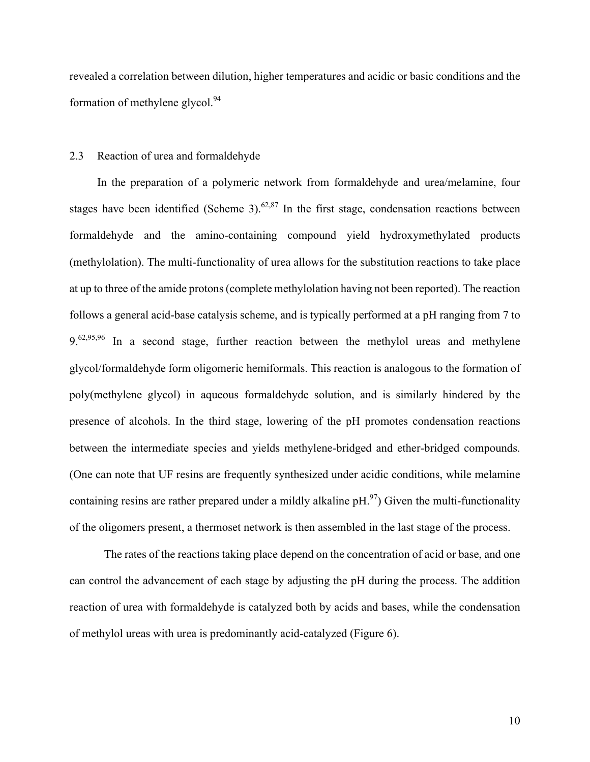revealed a correlation between dilution, higher temperatures and acidic or basic conditions and the formation of methylene glycol. $94$ 

## 2.3 Reaction of urea and formaldehyde

In the preparation of a polymeric network from formaldehyde and urea/melamine, four stages have been identified (Scheme 3).  $62,87$  In the first stage, condensation reactions between formaldehyde and the amino-containing compound yield hydroxymethylated products (methylolation). The multi-functionality of urea allows for the substitution reactions to take place at up to three of the amide protons (complete methylolation having not been reported). The reaction follows a general acid-base catalysis scheme, and is typically performed at a pH ranging from 7 to  $9.62,95,96$  In a second stage, further reaction between the methylol ureas and methylene glycol/formaldehyde form oligomeric hemiformals. This reaction is analogous to the formation of poly(methylene glycol) in aqueous formaldehyde solution, and is similarly hindered by the presence of alcohols. In the third stage, lowering of the pH promotes condensation reactions between the intermediate species and yields methylene-bridged and ether-bridged compounds. (One can note that UF resins are frequently synthesized under acidic conditions, while melamine containing resins are rather prepared under a mildly alkaline  $pH<sup>97</sup>$  Given the multi-functionality of the oligomers present, a thermoset network is then assembled in the last stage of the process.

The rates of the reactions taking place depend on the concentration of acid or base, and one can control the advancement of each stage by adjusting the pH during the process. The addition reaction of urea with formaldehyde is catalyzed both by acids and bases, while the condensation of methylol ureas with urea is predominantly acid-catalyzed (Figure 6).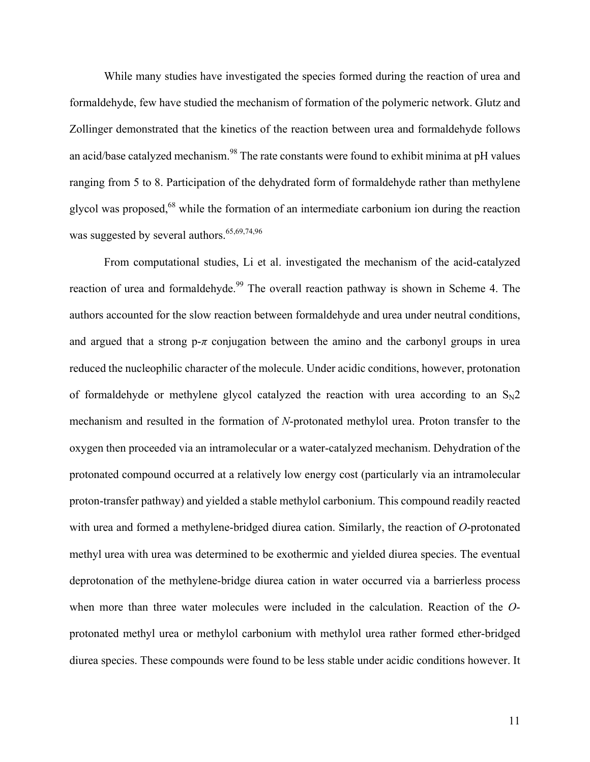While many studies have investigated the species formed during the reaction of urea and formaldehyde, few have studied the mechanism of formation of the polymeric network. Glutz and Zollinger demonstrated that the kinetics of the reaction between urea and formaldehyde follows an acid/base catalyzed mechanism.<sup>98</sup> The rate constants were found to exhibit minima at pH values ranging from 5 to 8. Participation of the dehydrated form of formaldehyde rather than methylene glycol was proposed,<sup>68</sup> while the formation of an intermediate carbonium ion during the reaction was suggested by several authors.<sup>65,69,74,96</sup>

From computational studies, Li et al. investigated the mechanism of the acid-catalyzed reaction of urea and formaldehyde.<sup>99</sup> The overall reaction pathway is shown in Scheme 4. The authors accounted for the slow reaction between formaldehyde and urea under neutral conditions, and argued that a strong  $p-\pi$  conjugation between the amino and the carbonyl groups in urea reduced the nucleophilic character of the molecule. Under acidic conditions, however, protonation of formaldehyde or methylene glycol catalyzed the reaction with urea according to an  $S_N2$ mechanism and resulted in the formation of *N*-protonated methylol urea. Proton transfer to the oxygen then proceeded via an intramolecular or a water-catalyzed mechanism. Dehydration of the protonated compound occurred at a relatively low energy cost (particularly via an intramolecular proton-transfer pathway) and yielded a stable methylol carbonium. This compound readily reacted with urea and formed a methylene-bridged diurea cation. Similarly, the reaction of *O*-protonated methyl urea with urea was determined to be exothermic and yielded diurea species. The eventual deprotonation of the methylene-bridge diurea cation in water occurred via a barrierless process when more than three water molecules were included in the calculation. Reaction of the *O*protonated methyl urea or methylol carbonium with methylol urea rather formed ether-bridged diurea species. These compounds were found to be less stable under acidic conditions however. It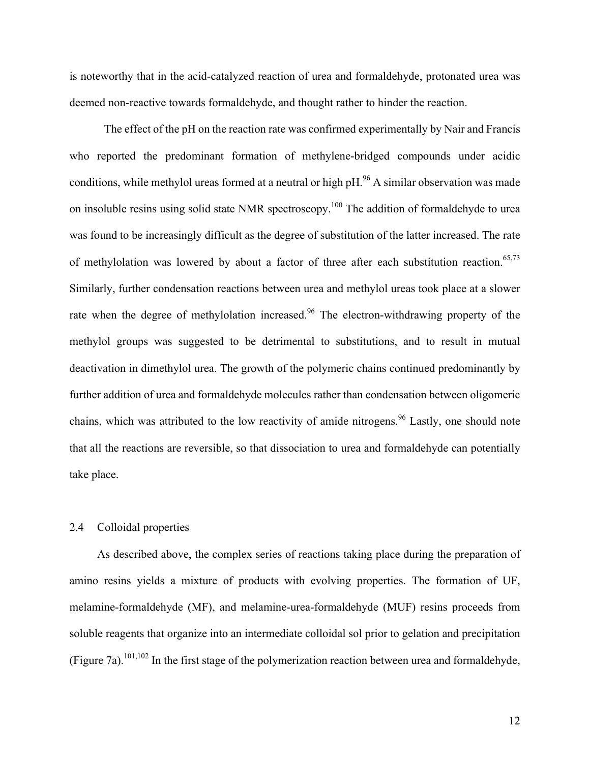is noteworthy that in the acid-catalyzed reaction of urea and formaldehyde, protonated urea was deemed non-reactive towards formaldehyde, and thought rather to hinder the reaction.

The effect of the pH on the reaction rate was confirmed experimentally by Nair and Francis who reported the predominant formation of methylene-bridged compounds under acidic conditions, while methylol ureas formed at a neutral or high  $pH.$ <sup>96</sup> A similar observation was made on insoluble resins using solid state NMR spectroscopy.<sup>100</sup> The addition of formaldehyde to urea was found to be increasingly difficult as the degree of substitution of the latter increased. The rate of methylolation was lowered by about a factor of three after each substitution reaction.<sup>65,73</sup> Similarly, further condensation reactions between urea and methylol ureas took place at a slower rate when the degree of methylolation increased.<sup>96</sup> The electron-withdrawing property of the methylol groups was suggested to be detrimental to substitutions, and to result in mutual deactivation in dimethylol urea. The growth of the polymeric chains continued predominantly by further addition of urea and formaldehyde molecules rather than condensation between oligomeric chains, which was attributed to the low reactivity of amide nitrogens.<sup>96</sup> Lastly, one should note that all the reactions are reversible, so that dissociation to urea and formaldehyde can potentially take place.

## 2.4 Colloidal properties

As described above, the complex series of reactions taking place during the preparation of amino resins yields a mixture of products with evolving properties. The formation of UF, melamine-formaldehyde (MF), and melamine-urea-formaldehyde (MUF) resins proceeds from soluble reagents that organize into an intermediate colloidal sol prior to gelation and precipitation (Figure 7a).<sup>101,102</sup> In the first stage of the polymerization reaction between urea and formaldehyde,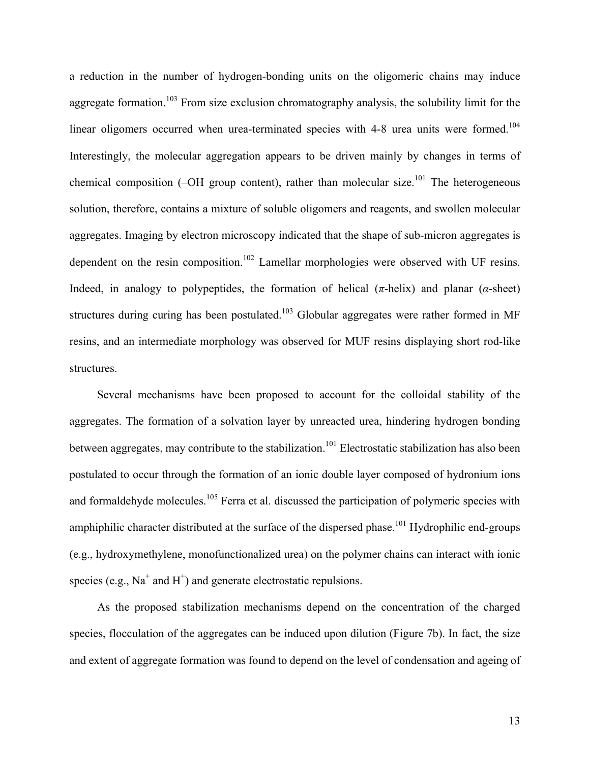a reduction in the number of hydrogen-bonding units on the oligomeric chains may induce aggregate formation.<sup>103</sup> From size exclusion chromatography analysis, the solubility limit for the linear oligomers occurred when urea-terminated species with 4-8 urea units were formed.<sup>104</sup> Interestingly, the molecular aggregation appears to be driven mainly by changes in terms of chemical composition ( $-OH$  group content), rather than molecular size.<sup>101</sup> The heterogeneous solution, therefore, contains a mixture of soluble oligomers and reagents, and swollen molecular aggregates. Imaging by electron microscopy indicated that the shape of sub-micron aggregates is dependent on the resin composition.<sup>102</sup> Lamellar morphologies were observed with UF resins. Indeed, in analogy to polypeptides, the formation of helical  $(π$ -helix) and planar  $(α$ -sheet) structures during curing has been postulated.<sup>103</sup> Globular aggregates were rather formed in MF resins, and an intermediate morphology was observed for MUF resins displaying short rod-like structures.

Several mechanisms have been proposed to account for the colloidal stability of the aggregates. The formation of a solvation layer by unreacted urea, hindering hydrogen bonding between aggregates, may contribute to the stabilization.<sup>101</sup> Electrostatic stabilization has also been postulated to occur through the formation of an ionic double layer composed of hydronium ions and formaldehyde molecules.<sup>105</sup> Ferra et al. discussed the participation of polymeric species with amphiphilic character distributed at the surface of the dispersed phase.<sup>101</sup> Hydrophilic end-groups (e.g., hydroxymethylene, monofunctionalized urea) on the polymer chains can interact with ionic species (e.g.,  $Na^+$  and  $H^+$ ) and generate electrostatic repulsions.

As the proposed stabilization mechanisms depend on the concentration of the charged species, flocculation of the aggregates can be induced upon dilution (Figure 7b). In fact, the size and extent of aggregate formation was found to depend on the level of condensation and ageing of

13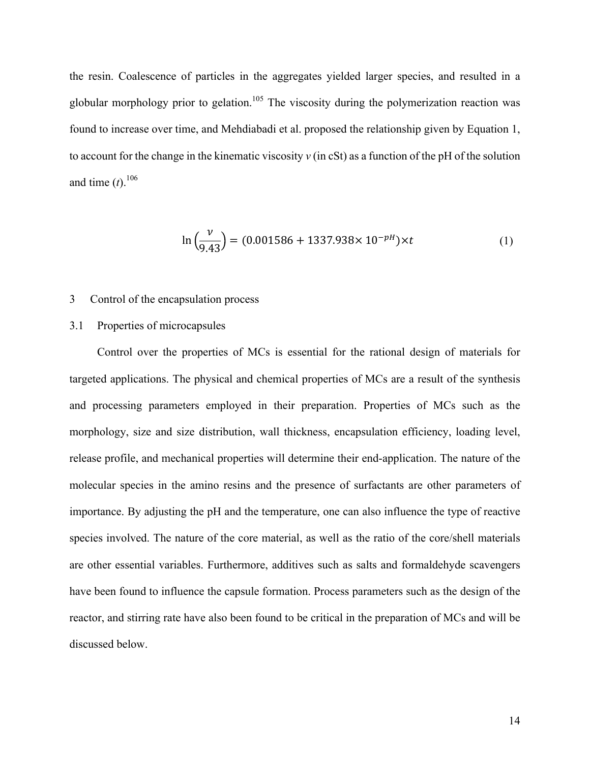the resin. Coalescence of particles in the aggregates yielded larger species, and resulted in a globular morphology prior to gelation.<sup>105</sup> The viscosity during the polymerization reaction was found to increase over time, and Mehdiabadi et al. proposed the relationship given by Equation 1, to account for the change in the kinematic viscosity *ν* (in cSt) as a function of the pH of the solution and time  $(t)$ .<sup>106</sup>

$$
\ln\left(\frac{v}{9.43}\right) = (0.001586 + 1337.938 \times 10^{-pH}) \times t \tag{1}
$$

#### 3 Control of the encapsulation process

## 3.1 Properties of microcapsules

Control over the properties of MCs is essential for the rational design of materials for targeted applications. The physical and chemical properties of MCs are a result of the synthesis and processing parameters employed in their preparation. Properties of MCs such as the morphology, size and size distribution, wall thickness, encapsulation efficiency, loading level, release profile, and mechanical properties will determine their end-application. The nature of the molecular species in the amino resins and the presence of surfactants are other parameters of importance. By adjusting the pH and the temperature, one can also influence the type of reactive species involved. The nature of the core material, as well as the ratio of the core/shell materials are other essential variables. Furthermore, additives such as salts and formaldehyde scavengers have been found to influence the capsule formation. Process parameters such as the design of the reactor, and stirring rate have also been found to be critical in the preparation of MCs and will be discussed below.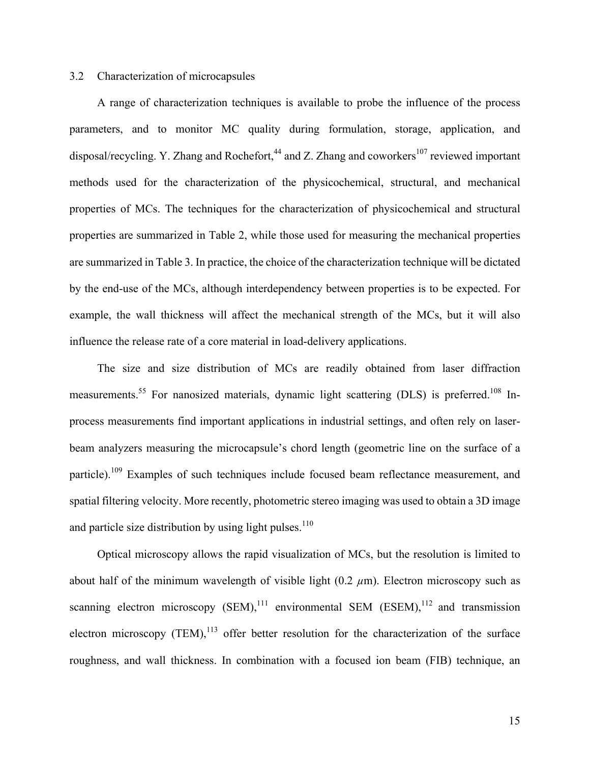## 3.2 Characterization of microcapsules

A range of characterization techniques is available to probe the influence of the process parameters, and to monitor MC quality during formulation, storage, application, and disposal/recycling. Y. Zhang and Rochefort,  $44$  and Z. Zhang and coworkers<sup>107</sup> reviewed important methods used for the characterization of the physicochemical, structural, and mechanical properties of MCs. The techniques for the characterization of physicochemical and structural properties are summarized in Table 2, while those used for measuring the mechanical properties are summarized in Table 3. In practice, the choice of the characterization technique will be dictated by the end-use of the MCs, although interdependency between properties is to be expected. For example, the wall thickness will affect the mechanical strength of the MCs, but it will also influence the release rate of a core material in load-delivery applications.

The size and size distribution of MCs are readily obtained from laser diffraction measurements.<sup>55</sup> For nanosized materials, dynamic light scattering (DLS) is preferred.<sup>108</sup> Inprocess measurements find important applications in industrial settings, and often rely on laserbeam analyzers measuring the microcapsule's chord length (geometric line on the surface of a particle).<sup>109</sup> Examples of such techniques include focused beam reflectance measurement, and spatial filtering velocity. More recently, photometric stereo imaging was used to obtain a 3D image and particle size distribution by using light pulses. $110$ 

Optical microscopy allows the rapid visualization of MCs, but the resolution is limited to about half of the minimum wavelength of visible light  $(0.2 \mu m)$ . Electron microscopy such as scanning electron microscopy  $(SEM)$ ,<sup>111</sup> environmental SEM  $(ESEM)$ ,<sup>112</sup> and transmission electron microscopy (TEM), $^{113}$  offer better resolution for the characterization of the surface roughness, and wall thickness. In combination with a focused ion beam (FIB) technique, an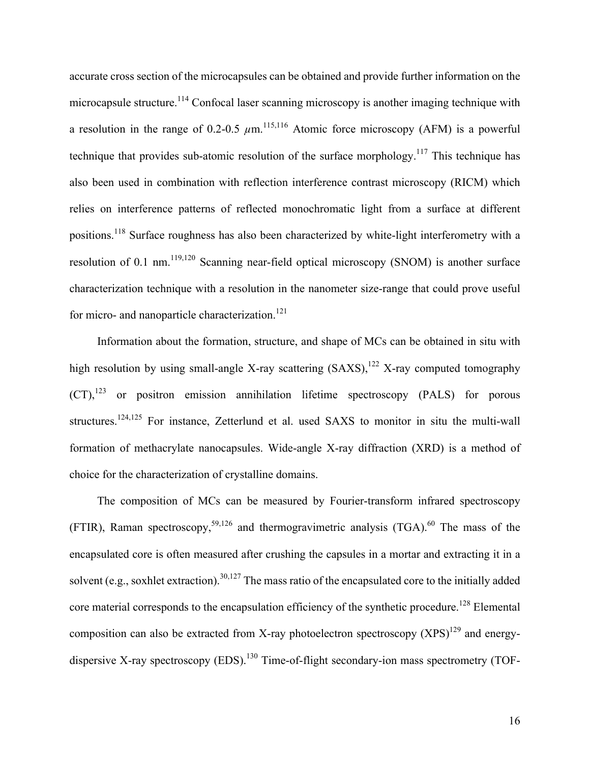accurate cross section of the microcapsules can be obtained and provide further information on the microcapsule structure.<sup>114</sup> Confocal laser scanning microscopy is another imaging technique with a resolution in the range of 0.2-0.5  $\mu$ m.<sup>115,116</sup> Atomic force microscopy (AFM) is a powerful technique that provides sub-atomic resolution of the surface morphology.<sup>117</sup> This technique has also been used in combination with reflection interference contrast microscopy (RICM) which relies on interference patterns of reflected monochromatic light from a surface at different positions.<sup>118</sup> Surface roughness has also been characterized by white-light interferometry with a resolution of 0.1 nm.<sup>119,120</sup> Scanning near-field optical microscopy (SNOM) is another surface characterization technique with a resolution in the nanometer size-range that could prove useful for micro- and nanoparticle characterization.<sup>121</sup>

Information about the formation, structure, and shape of MCs can be obtained in situ with high resolution by using small-angle X-ray scattering  $(SAXS)$ ,<sup>122</sup> X-ray computed tomography  $(CT)$ ,<sup>123</sup> or positron emission annihilation lifetime spectroscopy (PALS) for porous structures.<sup>124,125</sup> For instance, Zetterlund et al. used SAXS to monitor in situ the multi-wall formation of methacrylate nanocapsules. Wide-angle X-ray diffraction (XRD) is a method of choice for the characterization of crystalline domains.

The composition of MCs can be measured by Fourier-transform infrared spectroscopy (FTIR), Raman spectroscopy,<sup>59,126</sup> and thermogravimetric analysis (TGA).<sup>60</sup> The mass of the encapsulated core is often measured after crushing the capsules in a mortar and extracting it in a solvent (e.g., soxhlet extraction).<sup>30,127</sup> The mass ratio of the encapsulated core to the initially added core material corresponds to the encapsulation efficiency of the synthetic procedure.<sup>128</sup> Elemental composition can also be extracted from X-ray photoelectron spectroscopy  $(XPS)^{129}$  and energydispersive X-ray spectroscopy  $(EDS)$ <sup>130</sup> Time-of-flight secondary-ion mass spectrometry (TOF-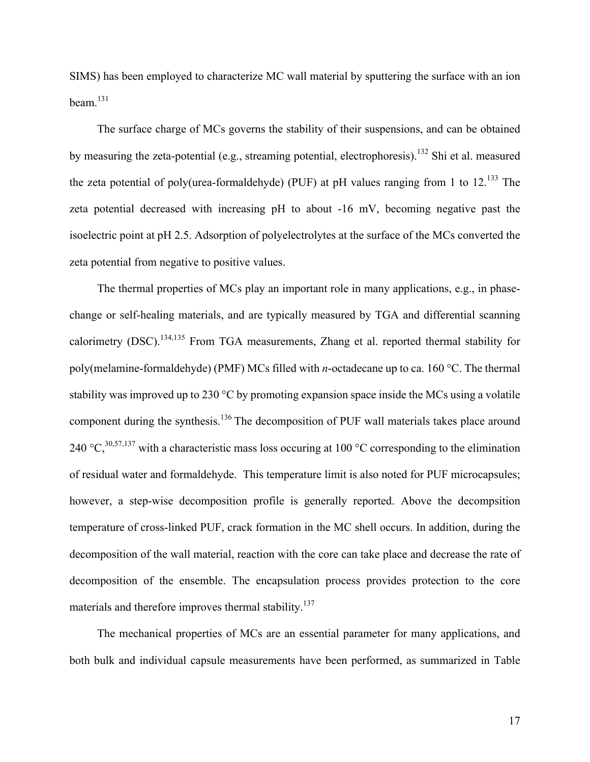SIMS) has been employed to characterize MC wall material by sputtering the surface with an ion  $beam<sup>131</sup>$ 

The surface charge of MCs governs the stability of their suspensions, and can be obtained by measuring the zeta-potential (e.g., streaming potential, electrophoresis).<sup>132</sup> Shi et al. measured the zeta potential of poly(urea-formaldehyde) (PUF) at pH values ranging from 1 to  $12^{133}$  The zeta potential decreased with increasing pH to about -16 mV, becoming negative past the isoelectric point at pH 2.5. Adsorption of polyelectrolytes at the surface of the MCs converted the zeta potential from negative to positive values.

The thermal properties of MCs play an important role in many applications, e.g., in phasechange or self-healing materials, and are typically measured by TGA and differential scanning calorimetry (DSC).134,135 From TGA measurements, Zhang et al. reported thermal stability for poly(melamine-formaldehyde) (PMF) MCs filled with *n*-octadecane up to ca. 160 °C. The thermal stability was improved up to 230 °C by promoting expansion space inside the MCs using a volatile component during the synthesis.<sup>136</sup> The decomposition of PUF wall materials takes place around 240 °C,<sup>30,57,137</sup> with a characteristic mass loss occuring at 100 °C corresponding to the elimination of residual water and formaldehyde. This temperature limit is also noted for PUF microcapsules; however, a step-wise decomposition profile is generally reported. Above the decompsition temperature of cross-linked PUF, crack formation in the MC shell occurs. In addition, during the decomposition of the wall material, reaction with the core can take place and decrease the rate of decomposition of the ensemble. The encapsulation process provides protection to the core materials and therefore improves thermal stability.<sup>137</sup>

The mechanical properties of MCs are an essential parameter for many applications, and both bulk and individual capsule measurements have been performed, as summarized in Table

17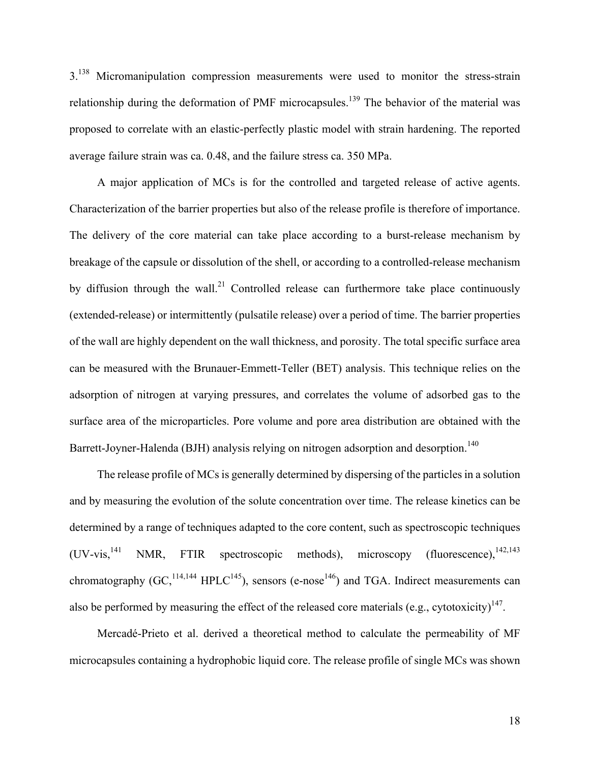3.<sup>138</sup> Micromanipulation compression measurements were used to monitor the stress-strain relationship during the deformation of PMF microcapsules.<sup>139</sup> The behavior of the material was proposed to correlate with an elastic-perfectly plastic model with strain hardening. The reported average failure strain was ca. 0.48, and the failure stress ca. 350 MPa.

A major application of MCs is for the controlled and targeted release of active agents. Characterization of the barrier properties but also of the release profile is therefore of importance. The delivery of the core material can take place according to a burst-release mechanism by breakage of the capsule or dissolution of the shell, or according to a controlled-release mechanism by diffusion through the wall.<sup>21</sup> Controlled release can furthermore take place continuously (extended-release) or intermittently (pulsatile release) over a period of time. The barrier properties of the wall are highly dependent on the wall thickness, and porosity. The total specific surface area can be measured with the Brunauer-Emmett-Teller (BET) analysis. This technique relies on the adsorption of nitrogen at varying pressures, and correlates the volume of adsorbed gas to the surface area of the microparticles. Pore volume and pore area distribution are obtained with the Barrett-Joyner-Halenda (BJH) analysis relying on nitrogen adsorption and desorption.<sup>140</sup>

The release profile of MCs is generally determined by dispersing of the particles in a solution and by measuring the evolution of the solute concentration over time. The release kinetics can be determined by a range of techniques adapted to the core content, such as spectroscopic techniques  $(UV\text{-vis},^{141} \text{ NMR}, \text{FTIR spectroscopic methods}),$  microscopy (fluorescence),  $(142,143)$ chromatography  $(GC_1^{114,144} HPLC^{145})$ , sensors (e-nose<sup>146</sup>) and TGA. Indirect measurements can also be performed by measuring the effect of the released core materials (e.g., cytotoxicity)<sup>147</sup>.

Mercadé-Prieto et al. derived a theoretical method to calculate the permeability of MF microcapsules containing a hydrophobic liquid core. The release profile of single MCs was shown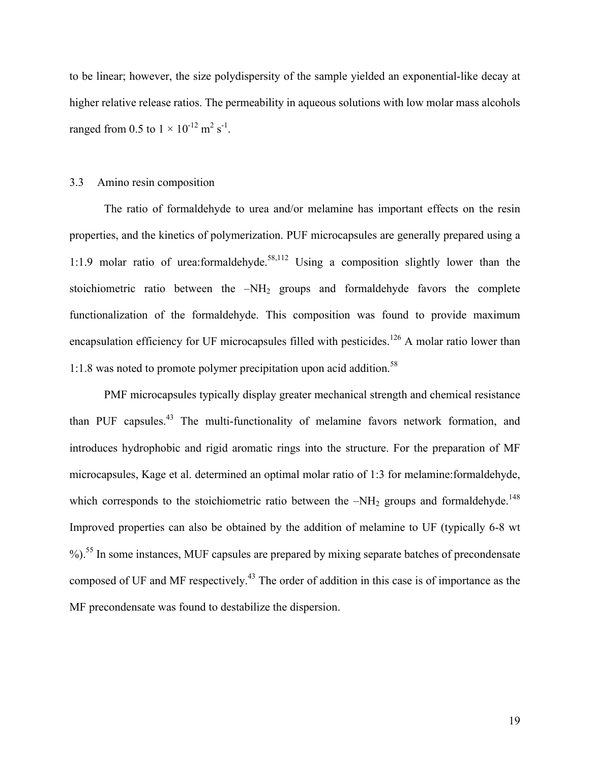to be linear; however, the size polydispersity of the sample yielded an exponential-like decay at higher relative release ratios. The permeability in aqueous solutions with low molar mass alcohols ranged from 0.5 to  $1 \times 10^{-12}$  m<sup>2</sup> s<sup>-1</sup>.

## 3.3 Amino resin composition

The ratio of formaldehyde to urea and/or melamine has important effects on the resin properties, and the kinetics of polymerization. PUF microcapsules are generally prepared using a 1:1.9 molar ratio of urea:formaldehyde.<sup>58,112</sup> Using a composition slightly lower than the stoichiometric ratio between the  $-NH<sub>2</sub>$  groups and formaldehyde favors the complete functionalization of the formaldehyde. This composition was found to provide maximum encapsulation efficiency for UF microcapsules filled with pesticides.<sup>126</sup> A molar ratio lower than 1:1.8 was noted to promote polymer precipitation upon acid addition.<sup>58</sup>

PMF microcapsules typically display greater mechanical strength and chemical resistance than PUF capsules.<sup>43</sup> The multi-functionality of melamine favors network formation, and introduces hydrophobic and rigid aromatic rings into the structure. For the preparation of MF microcapsules, Kage et al. determined an optimal molar ratio of 1:3 for melamine:formaldehyde, which corresponds to the stoichiometric ratio between the  $-NH<sub>2</sub>$  groups and formaldehyde.<sup>148</sup> Improved properties can also be obtained by the addition of melamine to UF (typically 6-8 wt  $\%$ ).<sup>55</sup> In some instances, MUF capsules are prepared by mixing separate batches of precondensate composed of UF and MF respectively.<sup>43</sup> The order of addition in this case is of importance as the MF precondensate was found to destabilize the dispersion.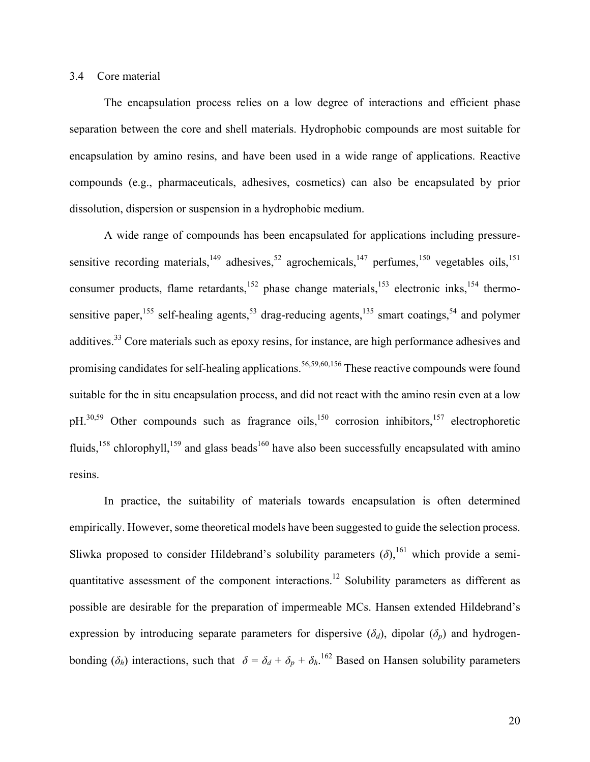## 3.4 Core material

The encapsulation process relies on a low degree of interactions and efficient phase separation between the core and shell materials. Hydrophobic compounds are most suitable for encapsulation by amino resins, and have been used in a wide range of applications. Reactive compounds (e.g., pharmaceuticals, adhesives, cosmetics) can also be encapsulated by prior dissolution, dispersion or suspension in a hydrophobic medium.

A wide range of compounds has been encapsulated for applications including pressuresensitive recording materials,  $^{149}$  adhesives,  $^{52}$  agrochemicals,  $^{147}$  perfumes,  $^{150}$  vegetables oils,  $^{151}$ consumer products, flame retardants,<sup>152</sup> phase change materials,<sup>153</sup> electronic inks,<sup>154</sup> thermosensitive paper, <sup>155</sup> self-healing agents, <sup>53</sup> drag-reducing agents, <sup>135</sup> smart coatings, <sup>54</sup> and polymer additives.<sup>33</sup> Core materials such as epoxy resins, for instance, are high performance adhesives and promising candidates for self-healing applications.<sup>56,59,60,156</sup> These reactive compounds were found suitable for the in situ encapsulation process, and did not react with the amino resin even at a low pH.<sup>30,59</sup> Other compounds such as fragrance oils,<sup>150</sup> corrosion inhibitors,<sup>157</sup> electrophoretic fluids,<sup>158</sup> chlorophyll,<sup>159</sup> and glass beads<sup>160</sup> have also been successfully encapsulated with amino resins.

In practice, the suitability of materials towards encapsulation is often determined empirically. However, some theoretical models have been suggested to guide the selection process. Sliwka proposed to consider Hildebrand's solubility parameters  $(\delta)$ , <sup>161</sup> which provide a semiquantitative assessment of the component interactions.<sup>12</sup> Solubility parameters as different as possible are desirable for the preparation of impermeable MCs. Hansen extended Hildebrand's expression by introducing separate parameters for dispersive  $(\delta_d)$ , dipolar  $(\delta_p)$  and hydrogenbonding ( $\delta_h$ ) interactions, such that  $\delta = \delta_d + \delta_p + \delta_h$ .<sup>162</sup> Based on Hansen solubility parameters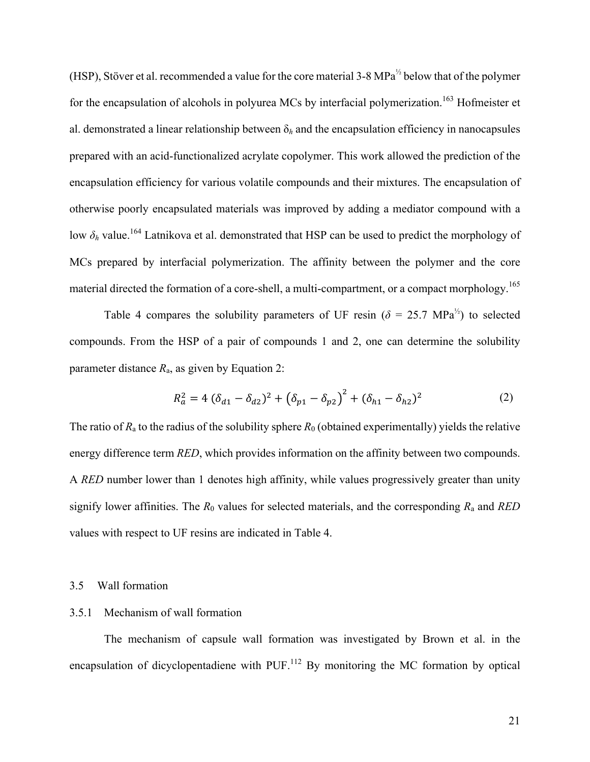(HSP), Stöver et al. recommended a value for the core material 3-8 MPa<sup>½</sup> below that of the polymer for the encapsulation of alcohols in polyurea MCs by interfacial polymerization.<sup>163</sup> Hofmeister et al. demonstrated a linear relationship between  $\delta_h$  and the encapsulation efficiency in nanocapsules prepared with an acid-functionalized acrylate copolymer. This work allowed the prediction of the encapsulation efficiency for various volatile compounds and their mixtures. The encapsulation of otherwise poorly encapsulated materials was improved by adding a mediator compound with a low *δ<sup>h</sup>* value. <sup>164</sup> Latnikova et al. demonstrated that HSP can be used to predict the morphology of MCs prepared by interfacial polymerization. The affinity between the polymer and the core material directed the formation of a core-shell, a multi-compartment, or a compact morphology.<sup>165</sup>

Table 4 compares the solubility parameters of UF resin ( $\delta = 25.7 \text{ MPa}^{1/2}$ ) to selected compounds. From the HSP of a pair of compounds 1 and 2, one can determine the solubility parameter distance  $R_a$ , as given by Equation 2:

$$
R_a^2 = 4\left(\delta_{d1} - \delta_{d2}\right)^2 + \left(\delta_{p1} - \delta_{p2}\right)^2 + \left(\delta_{h1} - \delta_{h2}\right)^2 \tag{2}
$$

The ratio of  $R_a$  to the radius of the solubility sphere  $R_0$  (obtained experimentally) yields the relative energy difference term *RED*, which provides information on the affinity between two compounds. A *RED* number lower than 1 denotes high affinity, while values progressively greater than unity signify lower affinities. The *R*<sup>0</sup> values for selected materials, and the corresponding *R*<sup>a</sup> and *RED* values with respect to UF resins are indicated in Table 4.

#### 3.5 Wall formation

## 3.5.1 Mechanism of wall formation

The mechanism of capsule wall formation was investigated by Brown et al. in the encapsulation of dicyclopentadiene with PUF. $^{112}$  By monitoring the MC formation by optical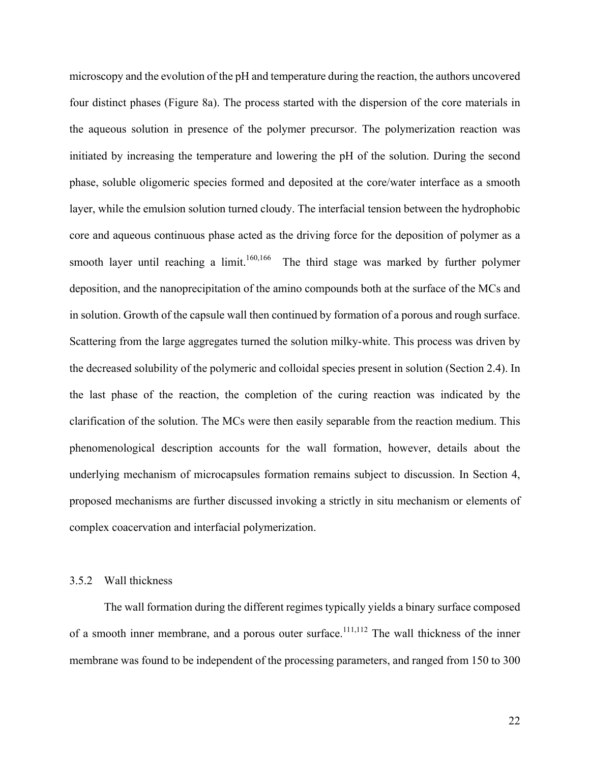microscopy and the evolution of the pH and temperature during the reaction, the authors uncovered four distinct phases (Figure 8a). The process started with the dispersion of the core materials in the aqueous solution in presence of the polymer precursor. The polymerization reaction was initiated by increasing the temperature and lowering the pH of the solution. During the second phase, soluble oligomeric species formed and deposited at the core/water interface as a smooth layer, while the emulsion solution turned cloudy. The interfacial tension between the hydrophobic core and aqueous continuous phase acted as the driving force for the deposition of polymer as a smooth layer until reaching a limit.<sup>160,166</sup> The third stage was marked by further polymer deposition, and the nanoprecipitation of the amino compounds both at the surface of the MCs and in solution. Growth of the capsule wall then continued by formation of a porous and rough surface. Scattering from the large aggregates turned the solution milky-white. This process was driven by the decreased solubility of the polymeric and colloidal species present in solution (Section 2.4). In the last phase of the reaction, the completion of the curing reaction was indicated by the clarification of the solution. The MCs were then easily separable from the reaction medium. This phenomenological description accounts for the wall formation, however, details about the underlying mechanism of microcapsules formation remains subject to discussion. In Section 4, proposed mechanisms are further discussed invoking a strictly in situ mechanism or elements of complex coacervation and interfacial polymerization.

## 3.5.2 Wall thickness

The wall formation during the different regimes typically yields a binary surface composed of a smooth inner membrane, and a porous outer surface.<sup>111,112</sup> The wall thickness of the inner membrane was found to be independent of the processing parameters, and ranged from 150 to 300

22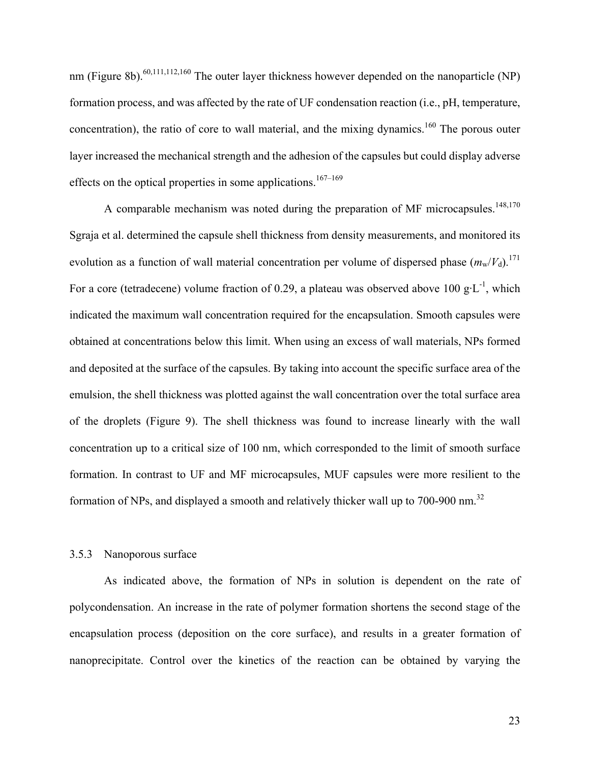nm (Figure 8b).<sup>60,111,112,160</sup> The outer layer thickness however depended on the nanoparticle (NP) formation process, and was affected by the rate of UF condensation reaction (i.e., pH, temperature, concentration), the ratio of core to wall material, and the mixing dynamics.<sup>160</sup> The porous outer layer increased the mechanical strength and the adhesion of the capsules but could display adverse effects on the optical properties in some applications.<sup>167–169</sup>

A comparable mechanism was noted during the preparation of MF microcapsules.<sup>148,170</sup> Sgraja et al. determined the capsule shell thickness from density measurements, and monitored its evolution as a function of wall material concentration per volume of dispersed phase  $(m_w/V_d)^{171}$ . For a core (tetradecene) volume fraction of 0.29, a plateau was observed above 100 g·L<sup>-1</sup>, which indicated the maximum wall concentration required for the encapsulation. Smooth capsules were obtained at concentrations below this limit. When using an excess of wall materials, NPs formed and deposited at the surface of the capsules. By taking into account the specific surface area of the emulsion, the shell thickness was plotted against the wall concentration over the total surface area of the droplets (Figure 9). The shell thickness was found to increase linearly with the wall concentration up to a critical size of 100 nm, which corresponded to the limit of smooth surface formation. In contrast to UF and MF microcapsules, MUF capsules were more resilient to the formation of NPs, and displayed a smooth and relatively thicker wall up to 700-900 nm.<sup>32</sup>

#### 3.5.3 Nanoporous surface

As indicated above, the formation of NPs in solution is dependent on the rate of polycondensation. An increase in the rate of polymer formation shortens the second stage of the encapsulation process (deposition on the core surface), and results in a greater formation of nanoprecipitate. Control over the kinetics of the reaction can be obtained by varying the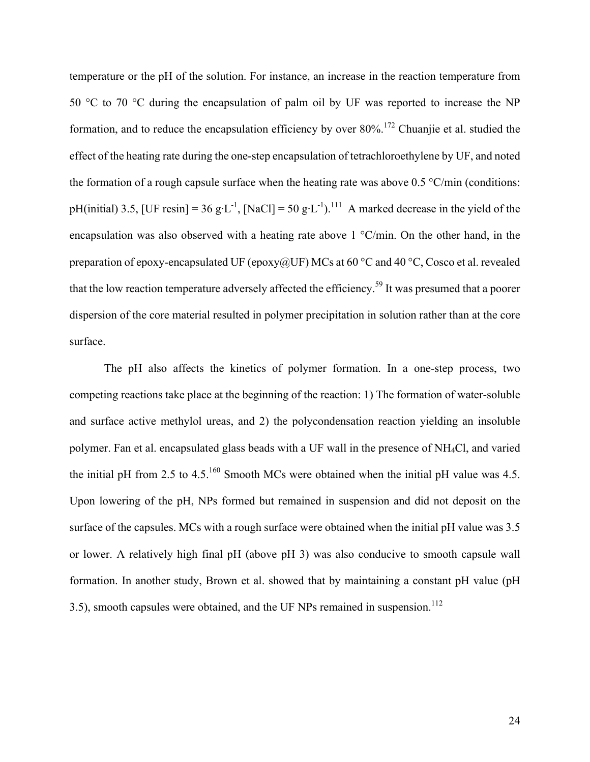temperature or the pH of the solution. For instance, an increase in the reaction temperature from 50 °C to 70 °C during the encapsulation of palm oil by UF was reported to increase the NP formation, and to reduce the encapsulation efficiency by over  $80\%$ <sup>172</sup> Chuanjie et al. studied the effect of the heating rate during the one-step encapsulation of tetrachloroethylene by UF, and noted the formation of a rough capsule surface when the heating rate was above  $0.5 \degree$ C/min (conditions: pH(initial) 3.5, [UF resin] = 36 g·L<sup>-1</sup>, [NaCl] = 50 g·L<sup>-1</sup>).<sup>111</sup> A marked decrease in the yield of the encapsulation was also observed with a heating rate above 1 °C/min. On the other hand, in the preparation of epoxy-encapsulated UF (epoxy@UF) MCs at 60  $^{\circ}$ C and 40  $^{\circ}$ C, Cosco et al. revealed that the low reaction temperature adversely affected the efficiency.<sup>59</sup> It was presumed that a poorer dispersion of the core material resulted in polymer precipitation in solution rather than at the core surface.

The pH also affects the kinetics of polymer formation. In a one-step process, two competing reactions take place at the beginning of the reaction: 1) The formation of water-soluble and surface active methylol ureas, and 2) the polycondensation reaction yielding an insoluble polymer. Fan et al. encapsulated glass beads with a UF wall in the presence of NH4Cl, and varied the initial pH from 2.5 to 4.5.<sup>160</sup> Smooth MCs were obtained when the initial pH value was 4.5. Upon lowering of the pH, NPs formed but remained in suspension and did not deposit on the surface of the capsules. MCs with a rough surface were obtained when the initial pH value was 3.5 or lower. A relatively high final pH (above pH 3) was also conducive to smooth capsule wall formation. In another study, Brown et al. showed that by maintaining a constant pH value (pH 3.5), smooth capsules were obtained, and the UF NPs remained in suspension.<sup>112</sup>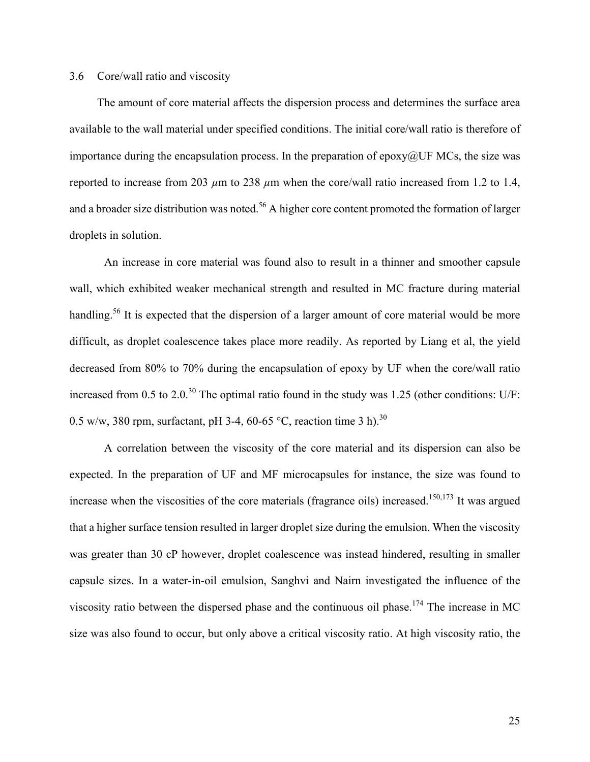## 3.6 Core/wall ratio and viscosity

The amount of core material affects the dispersion process and determines the surface area available to the wall material under specified conditions. The initial core/wall ratio is therefore of importance during the encapsulation process. In the preparation of epoxy $@$ UF MCs, the size was reported to increase from 203  $\mu$ m to 238  $\mu$ m when the core/wall ratio increased from 1.2 to 1.4, and a broader size distribution was noted.<sup>56</sup> A higher core content promoted the formation of larger droplets in solution.

An increase in core material was found also to result in a thinner and smoother capsule wall, which exhibited weaker mechanical strength and resulted in MC fracture during material handling.<sup>56</sup> It is expected that the dispersion of a larger amount of core material would be more difficult, as droplet coalescence takes place more readily. As reported by Liang et al, the yield decreased from 80% to 70% during the encapsulation of epoxy by UF when the core/wall ratio increased from 0.5 to 2.0.<sup>30</sup> The optimal ratio found in the study was 1.25 (other conditions: U/F: 0.5 w/w, 380 rpm, surfactant, pH 3-4, 60-65 °C, reaction time 3 h).<sup>30</sup>

A correlation between the viscosity of the core material and its dispersion can also be expected. In the preparation of UF and MF microcapsules for instance, the size was found to increase when the viscosities of the core materials (fragrance oils) increased.<sup>150,173</sup> It was argued that a higher surface tension resulted in larger droplet size during the emulsion. When the viscosity was greater than 30 cP however, droplet coalescence was instead hindered, resulting in smaller capsule sizes. In a water-in-oil emulsion, Sanghvi and Nairn investigated the influence of the viscosity ratio between the dispersed phase and the continuous oil phase.<sup>174</sup> The increase in MC size was also found to occur, but only above a critical viscosity ratio. At high viscosity ratio, the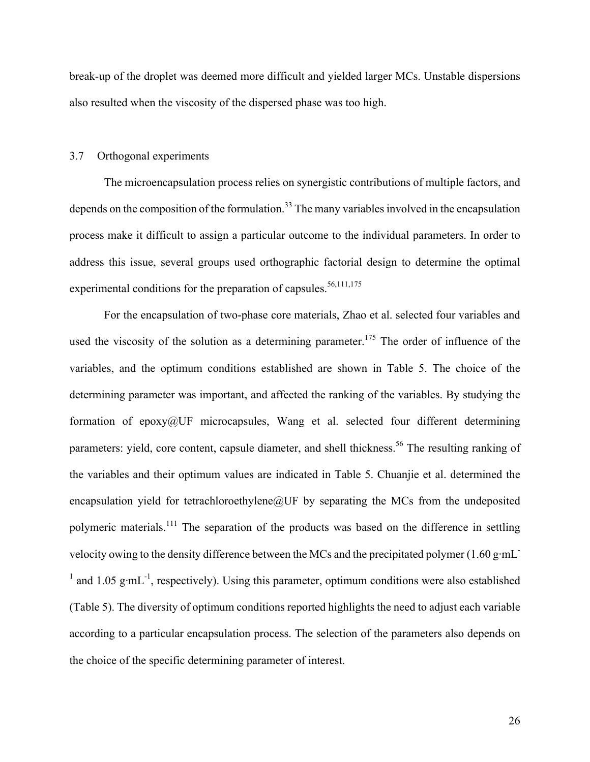break-up of the droplet was deemed more difficult and yielded larger MCs. Unstable dispersions also resulted when the viscosity of the dispersed phase was too high.

#### 3.7 Orthogonal experiments

The microencapsulation process relies on synergistic contributions of multiple factors, and depends on the composition of the formulation.<sup>33</sup> The many variables involved in the encapsulation process make it difficult to assign a particular outcome to the individual parameters. In order to address this issue, several groups used orthographic factorial design to determine the optimal experimental conditions for the preparation of capsules.<sup>56,111,175</sup>

For the encapsulation of two-phase core materials, Zhao et al. selected four variables and used the viscosity of the solution as a determining parameter.<sup>175</sup> The order of influence of the variables, and the optimum conditions established are shown in Table 5. The choice of the determining parameter was important, and affected the ranking of the variables. By studying the formation of epoxy@UF microcapsules, Wang et al. selected four different determining parameters: yield, core content, capsule diameter, and shell thickness.<sup>56</sup> The resulting ranking of the variables and their optimum values are indicated in Table 5. Chuanjie et al. determined the encapsulation yield for tetrachloroethylene@UF by separating the MCs from the undeposited polymeric materials.<sup>111</sup> The separation of the products was based on the difference in settling velocity owing to the density difference between the MCs and the precipitated polymer  $(1.60 \text{ g} \cdot \text{mL})$ <sup>1</sup> and 1.05 g·mL<sup>-1</sup>, respectively). Using this parameter, optimum conditions were also established (Table 5). The diversity of optimum conditions reported highlights the need to adjust each variable according to a particular encapsulation process. The selection of the parameters also depends on the choice of the specific determining parameter of interest.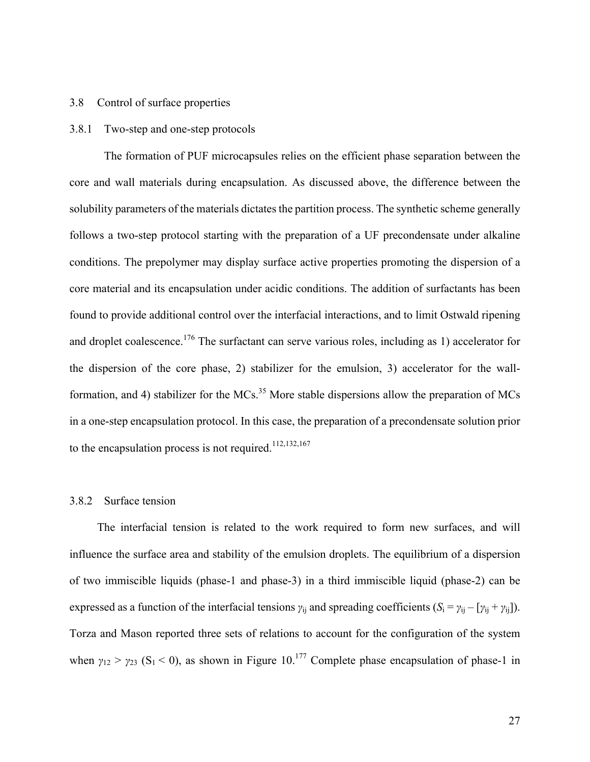## 3.8 Control of surface properties

## 3.8.1 Two-step and one-step protocols

The formation of PUF microcapsules relies on the efficient phase separation between the core and wall materials during encapsulation. As discussed above, the difference between the solubility parameters of the materials dictates the partition process. The synthetic scheme generally follows a two-step protocol starting with the preparation of a UF precondensate under alkaline conditions. The prepolymer may display surface active properties promoting the dispersion of a core material and its encapsulation under acidic conditions. The addition of surfactants has been found to provide additional control over the interfacial interactions, and to limit Ostwald ripening and droplet coalescence.<sup>176</sup> The surfactant can serve various roles, including as 1) accelerator for the dispersion of the core phase, 2) stabilizer for the emulsion, 3) accelerator for the wallformation, and 4) stabilizer for the MCs.<sup>35</sup> More stable dispersions allow the preparation of MCs in a one-step encapsulation protocol. In this case, the preparation of a precondensate solution prior to the encapsulation process is not required.  $112,132,167$ 

## 3.8.2 Surface tension

The interfacial tension is related to the work required to form new surfaces, and will influence the surface area and stability of the emulsion droplets. The equilibrium of a dispersion of two immiscible liquids (phase-1 and phase-3) in a third immiscible liquid (phase-2) can be expressed as a function of the interfacial tensions  $\gamma_{ij}$  and spreading coefficients ( $S_i = \gamma_{ij} - [\gamma_{ij} + \gamma_{ij}].$ Torza and Mason reported three sets of relations to account for the configuration of the system when  $\gamma_{12} > \gamma_{23}$  (S<sub>1</sub> < 0), as shown in Figure 10.<sup>177</sup> Complete phase encapsulation of phase-1 in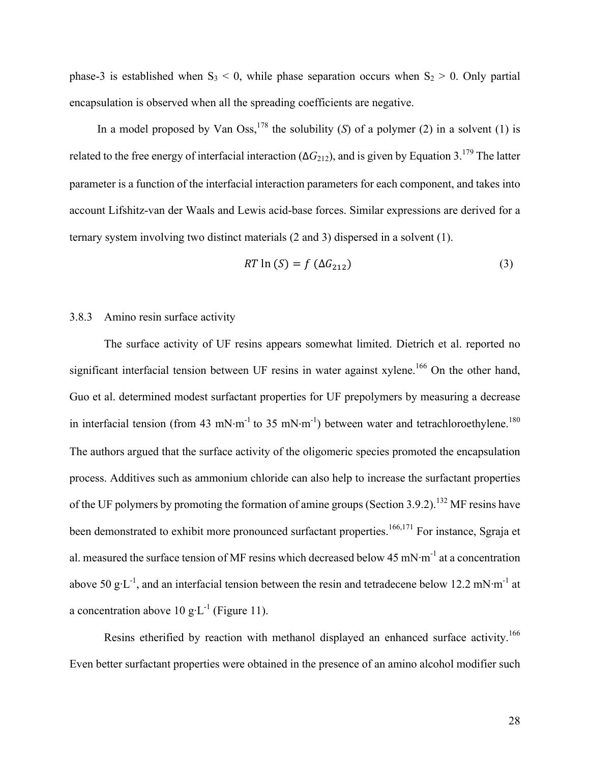phase-3 is established when  $S_3 < 0$ , while phase separation occurs when  $S_2 > 0$ . Only partial encapsulation is observed when all the spreading coefficients are negative.

In a model proposed by Van Oss,<sup>178</sup> the solubility (*S*) of a polymer (2) in a solvent (1) is related to the free energy of interfacial interaction  $(\Delta G_{212})$ , and is given by Equation 3.<sup>179</sup> The latter parameter is a function of the interfacial interaction parameters for each component, and takes into account Lifshitz-van der Waals and Lewis acid-base forces. Similar expressions are derived for a ternary system involving two distinct materials (2 and 3) dispersed in a solvent (1).

$$
RT \ln(S) = f(\Delta G_{212}) \tag{3}
$$

## 3.8.3 Amino resin surface activity

The surface activity of UF resins appears somewhat limited. Dietrich et al. reported no significant interfacial tension between UF resins in water against xylene.<sup>166</sup> On the other hand, Guo et al. determined modest surfactant properties for UF prepolymers by measuring a decrease in interfacial tension (from 43 mN·m<sup>-1</sup> to 35 mN·m<sup>-1</sup>) between water and tetrachloroethylene.<sup>180</sup> The authors argued that the surface activity of the oligomeric species promoted the encapsulation process. Additives such as ammonium chloride can also help to increase the surfactant properties of the UF polymers by promoting the formation of amine groups (Section 3.9.2).<sup>132</sup> MF resins have been demonstrated to exhibit more pronounced surfactant properties.<sup>166,171</sup> For instance, Sgraja et al. measured the surface tension of MF resins which decreased below 45 mN $\cdot$ m<sup>-1</sup> at a concentration above 50 g·L<sup>-1</sup>, and an interfacial tension between the resin and tetradecene below 12.2 mN·m<sup>-1</sup> at a concentration above 10 g·L<sup>-1</sup> (Figure 11).

Resins etherified by reaction with methanol displayed an enhanced surface activity.<sup>166</sup> Even better surfactant properties were obtained in the presence of an amino alcohol modifier such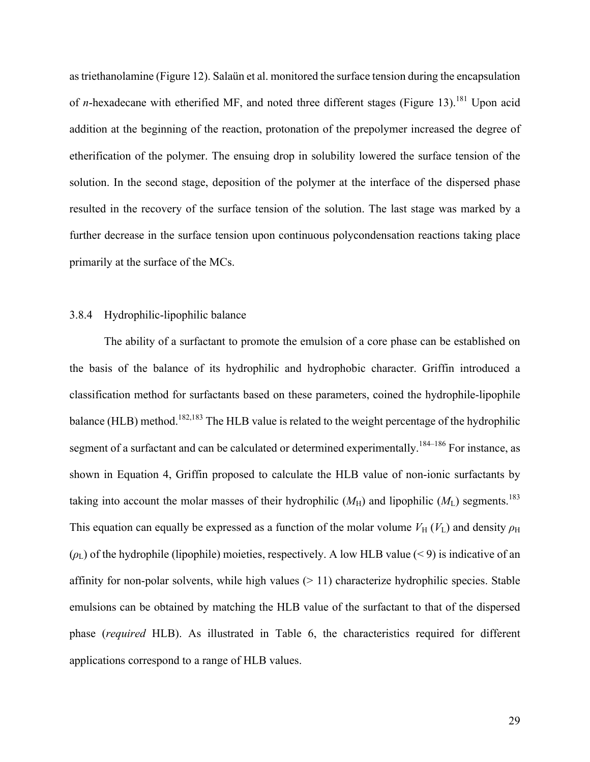as triethanolamine (Figure 12). Salaün et al. monitored the surface tension during the encapsulation of *n*-hexadecane with etherified MF, and noted three different stages (Figure 13).<sup>181</sup> Upon acid addition at the beginning of the reaction, protonation of the prepolymer increased the degree of etherification of the polymer. The ensuing drop in solubility lowered the surface tension of the solution. In the second stage, deposition of the polymer at the interface of the dispersed phase resulted in the recovery of the surface tension of the solution. The last stage was marked by a further decrease in the surface tension upon continuous polycondensation reactions taking place primarily at the surface of the MCs.

## 3.8.4 Hydrophilic-lipophilic balance

The ability of a surfactant to promote the emulsion of a core phase can be established on the basis of the balance of its hydrophilic and hydrophobic character. Griffin introduced a classification method for surfactants based on these parameters, coined the hydrophile-lipophile balance (HLB) method.<sup>182,183</sup> The HLB value is related to the weight percentage of the hydrophilic segment of a surfactant and can be calculated or determined experimentally.<sup>184–186</sup> For instance, as shown in Equation 4, Griffin proposed to calculate the HLB value of non-ionic surfactants by taking into account the molar masses of their hydrophilic  $(M_H)$  and lipophilic  $(M_L)$  segments.<sup>183</sup> This equation can equally be expressed as a function of the molar volume  $V_H(V_L)$  and density  $\rho_H$  $(\rho_L)$  of the hydrophile (lipophile) moieties, respectively. A low HLB value (< 9) is indicative of an affinity for non-polar solvents, while high values  $(> 11)$  characterize hydrophilic species. Stable emulsions can be obtained by matching the HLB value of the surfactant to that of the dispersed phase (*required* HLB). As illustrated in Table 6, the characteristics required for different applications correspond to a range of HLB values.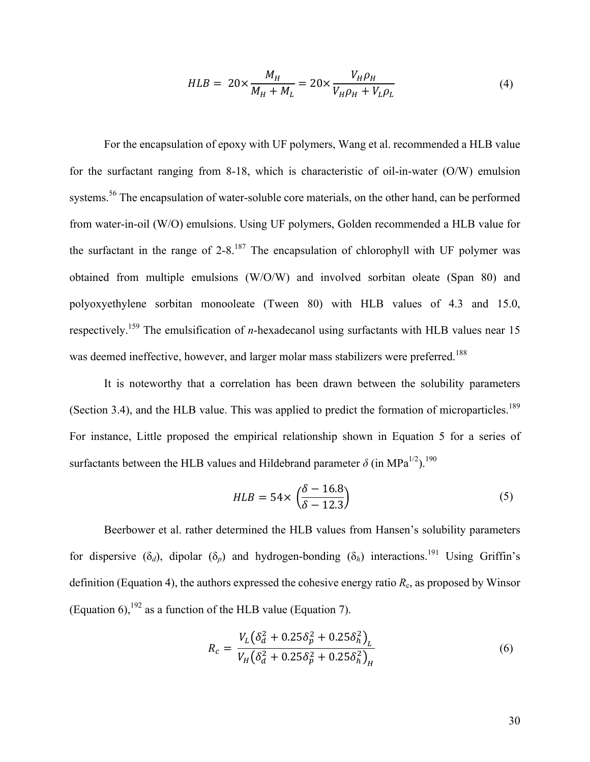$$
HLB = 20 \times \frac{M_H}{M_H + M_L} = 20 \times \frac{V_H \rho_H}{V_H \rho_H + V_L \rho_L}
$$
(4)

For the encapsulation of epoxy with UF polymers, Wang et al. recommended a HLB value for the surfactant ranging from 8-18, which is characteristic of oil-in-water (O/W) emulsion systems.<sup>56</sup> The encapsulation of water-soluble core materials, on the other hand, can be performed from water-in-oil (W/O) emulsions. Using UF polymers, Golden recommended a HLB value for the surfactant in the range of  $2-8$ .<sup>187</sup> The encapsulation of chlorophyll with UF polymer was obtained from multiple emulsions (W/O/W) and involved sorbitan oleate (Span 80) and polyoxyethylene sorbitan monooleate (Tween 80) with HLB values of 4.3 and 15.0, respectively.<sup>159</sup> The emulsification of *n*-hexadecanol using surfactants with HLB values near 15 was deemed ineffective, however, and larger molar mass stabilizers were preferred.<sup>188</sup>

It is noteworthy that a correlation has been drawn between the solubility parameters (Section 3.4), and the HLB value. This was applied to predict the formation of microparticles.<sup>189</sup> For instance, Little proposed the empirical relationship shown in Equation 5 for a series of surfactants between the HLB values and Hildebrand parameter  $\delta$  (in MPa<sup>1/2</sup>).<sup>190</sup>

$$
HLB = 54 \times \left(\frac{\delta - 16.8}{\delta - 12.3}\right) \tag{5}
$$

Beerbower et al. rather determined the HLB values from Hansen's solubility parameters for dispersive  $(\delta_d)$ , dipolar  $(\delta_p)$  and hydrogen-bonding  $(\delta_h)$  interactions.<sup>191</sup> Using Griffin's definition (Equation 4), the authors expressed the cohesive energy ratio  $R_c$ , as proposed by Winsor (Equation 6),  $192$  as a function of the HLB value (Equation 7).

$$
R_c = \frac{V_L(\delta_d^2 + 0.25\delta_p^2 + 0.25\delta_h^2)}{V_H(\delta_d^2 + 0.25\delta_p^2 + 0.25\delta_h^2)_H}
$$
(6)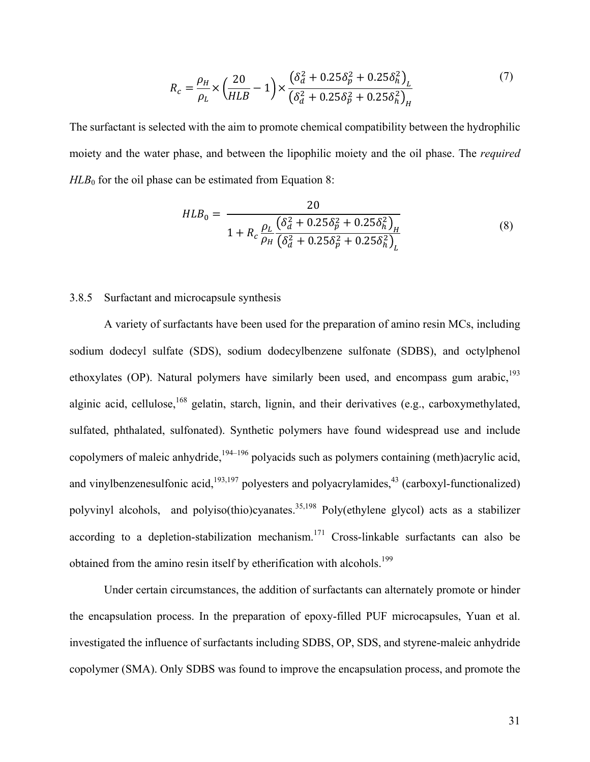$$
R_c = \frac{\rho_H}{\rho_L} \times \left(\frac{20}{HLB} - 1\right) \times \frac{\left(\delta_d^2 + 0.25\delta_p^2 + 0.25\delta_h^2\right)_L}{\left(\delta_d^2 + 0.25\delta_p^2 + 0.25\delta_h^2\right)_H}
$$
(7)

The surfactant is selected with the aim to promote chemical compatibility between the hydrophilic moiety and the water phase, and between the lipophilic moiety and the oil phase. The *required*  $HLB<sub>0</sub>$  for the oil phase can be estimated from Equation 8:

$$
HLB_0 = \frac{20}{1 + R_c \frac{\rho_L \left(\delta_d^2 + 0.25 \delta_p^2 + 0.25 \delta_h^2\right)_H}{\rho_H \left(\delta_d^2 + 0.25 \delta_p^2 + 0.25 \delta_h^2\right)_L}}
$$
(8)

## 3.8.5 Surfactant and microcapsule synthesis

A variety of surfactants have been used for the preparation of amino resin MCs, including sodium dodecyl sulfate (SDS), sodium dodecylbenzene sulfonate (SDBS), and octylphenol ethoxylates (OP). Natural polymers have similarly been used, and encompass gum arabic, $^{193}$ alginic acid, cellulose,<sup>168</sup> gelatin, starch, lignin, and their derivatives (e.g., carboxymethylated, sulfated, phthalated, sulfonated). Synthetic polymers have found widespread use and include copolymers of maleic anhydride, <sup>194–196</sup> polyacids such as polymers containing (meth)acrylic acid, and vinylbenzenesulfonic acid,  $193,197$  polyesters and polyacrylamides,  $43$  (carboxyl-functionalized) polyvinyl alcohols, and polyiso(thio)cyanates.<sup>35,198</sup> Poly(ethylene glycol) acts as a stabilizer according to a depletion-stabilization mechanism.<sup>171</sup> Cross-linkable surfactants can also be obtained from the amino resin itself by etherification with alcohols.<sup>199</sup>

Under certain circumstances, the addition of surfactants can alternately promote or hinder the encapsulation process. In the preparation of epoxy-filled PUF microcapsules, Yuan et al. investigated the influence of surfactants including SDBS, OP, SDS, and styrene-maleic anhydride copolymer (SMA). Only SDBS was found to improve the encapsulation process, and promote the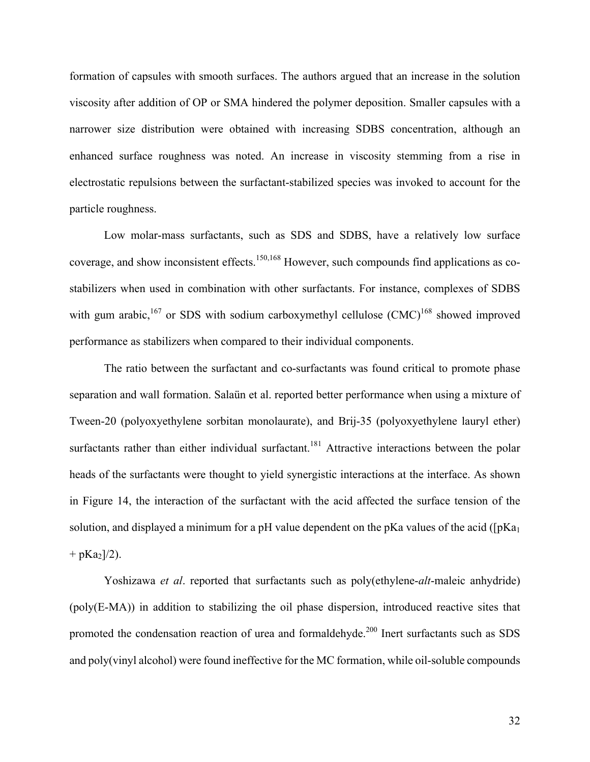formation of capsules with smooth surfaces. The authors argued that an increase in the solution viscosity after addition of OP or SMA hindered the polymer deposition. Smaller capsules with a narrower size distribution were obtained with increasing SDBS concentration, although an enhanced surface roughness was noted. An increase in viscosity stemming from a rise in electrostatic repulsions between the surfactant-stabilized species was invoked to account for the particle roughness.

Low molar-mass surfactants, such as SDS and SDBS, have a relatively low surface coverage, and show inconsistent effects.<sup>150,168</sup> However, such compounds find applications as costabilizers when used in combination with other surfactants. For instance, complexes of SDBS with gum arabic,<sup>167</sup> or SDS with sodium carboxymethyl cellulose  $(CMC)^{168}$  showed improved performance as stabilizers when compared to their individual components.

The ratio between the surfactant and co-surfactants was found critical to promote phase separation and wall formation. Salaün et al. reported better performance when using a mixture of Tween-20 (polyoxyethylene sorbitan monolaurate), and Brij-35 (polyoxyethylene lauryl ether) surfactants rather than either individual surfactant.<sup>181</sup> Attractive interactions between the polar heads of the surfactants were thought to yield synergistic interactions at the interface. As shown in Figure 14, the interaction of the surfactant with the acid affected the surface tension of the solution, and displayed a minimum for a pH value dependent on the pKa values of the acid ( $[pKa<sub>1</sub>]$  $+$  pKa<sub>2</sub>]/2).

Yoshizawa *et al*. reported that surfactants such as poly(ethylene-*alt*-maleic anhydride) (poly(E-MA)) in addition to stabilizing the oil phase dispersion, introduced reactive sites that promoted the condensation reaction of urea and formaldehyde.<sup>200</sup> Inert surfactants such as SDS and poly(vinyl alcohol) were found ineffective for the MC formation, while oil-soluble compounds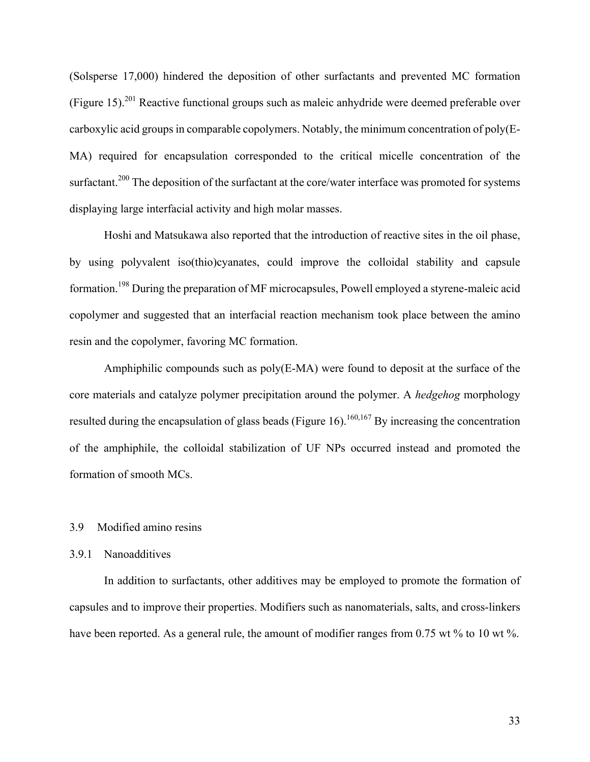(Solsperse 17,000) hindered the deposition of other surfactants and prevented MC formation (Figure 15).<sup>201</sup> Reactive functional groups such as maleic anhydride were deemed preferable over carboxylic acid groups in comparable copolymers. Notably, the minimum concentration of poly(E-MA) required for encapsulation corresponded to the critical micelle concentration of the surfactant.<sup>200</sup> The deposition of the surfactant at the core/water interface was promoted for systems displaying large interfacial activity and high molar masses.

Hoshi and Matsukawa also reported that the introduction of reactive sites in the oil phase, by using polyvalent iso(thio)cyanates, could improve the colloidal stability and capsule formation.<sup>198</sup> During the preparation of MF microcapsules, Powell employed a styrene-maleic acid copolymer and suggested that an interfacial reaction mechanism took place between the amino resin and the copolymer, favoring MC formation.

Amphiphilic compounds such as poly(E-MA) were found to deposit at the surface of the core materials and catalyze polymer precipitation around the polymer. A *hedgehog* morphology resulted during the encapsulation of glass beads (Figure 16).<sup>160,167</sup> By increasing the concentration of the amphiphile, the colloidal stabilization of UF NPs occurred instead and promoted the formation of smooth MCs.

#### 3.9 Modified amino resins

#### 3.9.1 Nanoadditives

In addition to surfactants, other additives may be employed to promote the formation of capsules and to improve their properties. Modifiers such as nanomaterials, salts, and cross-linkers have been reported. As a general rule, the amount of modifier ranges from 0.75 wt % to 10 wt %.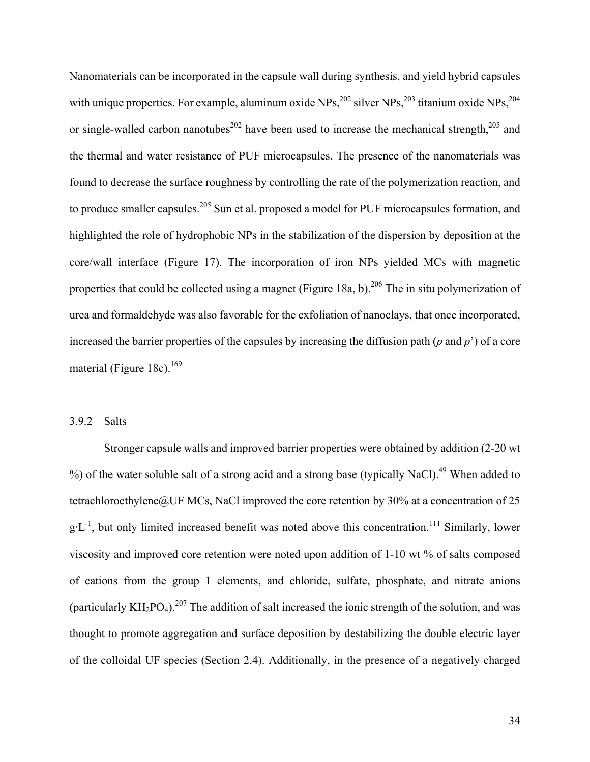Nanomaterials can be incorporated in the capsule wall during synthesis, and yield hybrid capsules with unique properties. For example, aluminum oxide NPs,  $^{202}$  silver NPs,  $^{203}$  titanium oxide NPs,  $^{204}$ or single-walled carbon nanotubes<sup>202</sup> have been used to increase the mechanical strength,  $205$  and the thermal and water resistance of PUF microcapsules. The presence of the nanomaterials was found to decrease the surface roughness by controlling the rate of the polymerization reaction, and to produce smaller capsules.<sup>205</sup> Sun et al. proposed a model for PUF microcapsules formation, and highlighted the role of hydrophobic NPs in the stabilization of the dispersion by deposition at the core/wall interface (Figure 17). The incorporation of iron NPs yielded MCs with magnetic properties that could be collected using a magnet (Figure 18a, b).<sup>206</sup> The in situ polymerization of urea and formaldehyde was also favorable for the exfoliation of nanoclays, that once incorporated, increased the barrier properties of the capsules by increasing the diffusion path (*p* and *p*') of a core material (Figure 18c).<sup>169</sup>

## 3.9.2 Salts

Stronger capsule walls and improved barrier properties were obtained by addition (2-20 wt %) of the water soluble salt of a strong acid and a strong base (typically NaCl).<sup>49</sup> When added to tetrachloroethylene@UF MCs, NaCl improved the core retention by 30% at a concentration of 25  $g \cdot L^{-1}$ , but only limited increased benefit was noted above this concentration.<sup>111</sup> Similarly, lower viscosity and improved core retention were noted upon addition of 1-10 wt % of salts composed of cations from the group 1 elements, and chloride, sulfate, phosphate, and nitrate anions (particularly  $KH_2PO_4$ ).<sup>207</sup> The addition of salt increased the ionic strength of the solution, and was thought to promote aggregation and surface deposition by destabilizing the double electric layer of the colloidal UF species (Section 2.4). Additionally, in the presence of a negatively charged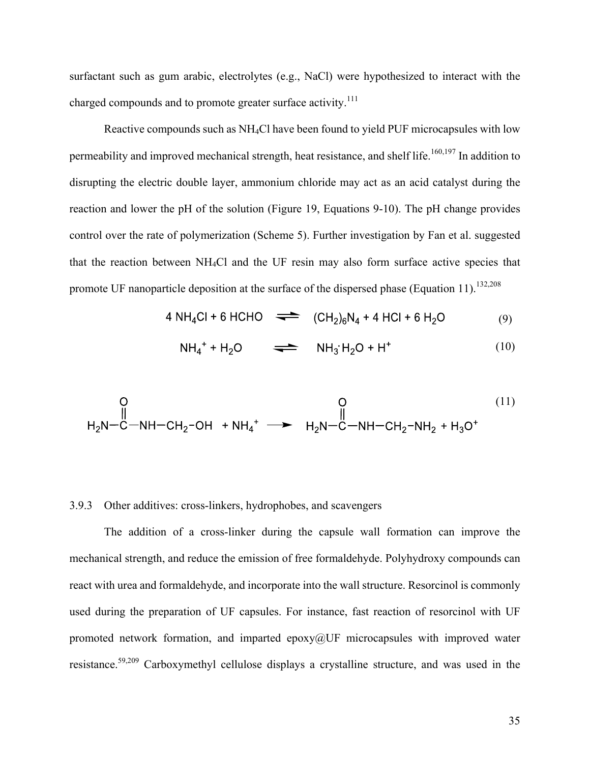surfactant such as gum arabic, electrolytes (e.g., NaCl) were hypothesized to interact with the charged compounds and to promote greater surface activity.<sup>111</sup>

Reactive compounds such as NH4Cl have been found to yield PUF microcapsules with low permeability and improved mechanical strength, heat resistance, and shelf life.<sup>160,197</sup> In addition to disrupting the electric double layer, ammonium chloride may act as an acid catalyst during the reaction and lower the pH of the solution (Figure 19, Equations 9-10). The pH change provides control over the rate of polymerization (Scheme 5). Further investigation by Fan et al. suggested that the reaction between NH4Cl and the UF resin may also form surface active species that promote UF nanoparticle deposition at the surface of the dispersed phase (Equation 11).<sup>132,208</sup>

$$
4 NH4Cl + 6 HCHO \implies (CH2)6N4 + 4 HCl + 6 H2O
$$
 (9)

$$
NH_4^+ + H_2O \qquad \Longrightarrow \qquad NH_3^H_2O + H^+ \tag{10}
$$

$$
\begin{array}{ccc}\n & & & 0 & (11) \\
& & & & \n\end{array}
$$
\n
$$
H_2N-C-NH-CH_2-OH + NH_4^+ \longrightarrow H_2N-C-NH-CH_2-NH_2 + H_3O^+
$$

## 3.9.3 Other additives: cross-linkers, hydrophobes, and scavengers

The addition of a cross-linker during the capsule wall formation can improve the mechanical strength, and reduce the emission of free formaldehyde. Polyhydroxy compounds can react with urea and formaldehyde, and incorporate into the wall structure. Resorcinol is commonly used during the preparation of UF capsules. For instance, fast reaction of resorcinol with UF promoted network formation, and imparted epoxy $@$ UF microcapsules with improved water resistance.<sup>59,209</sup> Carboxymethyl cellulose displays a crystalline structure, and was used in the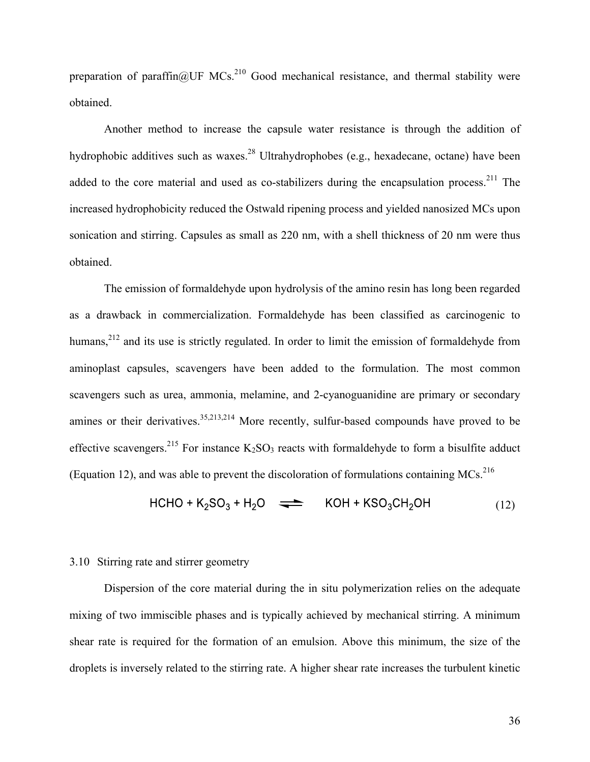preparation of paraffin $@$ UF MCs.<sup>210</sup> Good mechanical resistance, and thermal stability were obtained.

Another method to increase the capsule water resistance is through the addition of hydrophobic additives such as waxes.<sup>28</sup> Ultrahydrophobes (e.g., hexadecane, octane) have been added to the core material and used as co-stabilizers during the encapsulation process.<sup>211</sup> The increased hydrophobicity reduced the Ostwald ripening process and yielded nanosized MCs upon sonication and stirring. Capsules as small as 220 nm, with a shell thickness of 20 nm were thus obtained.

The emission of formaldehyde upon hydrolysis of the amino resin has long been regarded as a drawback in commercialization. Formaldehyde has been classified as carcinogenic to humans,<sup>212</sup> and its use is strictly regulated. In order to limit the emission of formaldehyde from aminoplast capsules, scavengers have been added to the formulation. The most common scavengers such as urea, ammonia, melamine, and 2-cyanoguanidine are primary or secondary amines or their derivatives.  $35,213,214$  More recently, sulfur-based compounds have proved to be effective scavengers.<sup>215</sup> For instance  $K_2SO_3$  reacts with formaldehyde to form a bisulfite adduct (Equation 12), and was able to prevent the discoloration of formulations containing MCs.<sup>216</sup>

$$
HCHO + K2SO3 + H2O \implies KOH + KSO3CH2OH
$$
 (12)

#### 3.10 Stirring rate and stirrer geometry

Dispersion of the core material during the in situ polymerization relies on the adequate mixing of two immiscible phases and is typically achieved by mechanical stirring. A minimum shear rate is required for the formation of an emulsion. Above this minimum, the size of the droplets is inversely related to the stirring rate. A higher shear rate increases the turbulent kinetic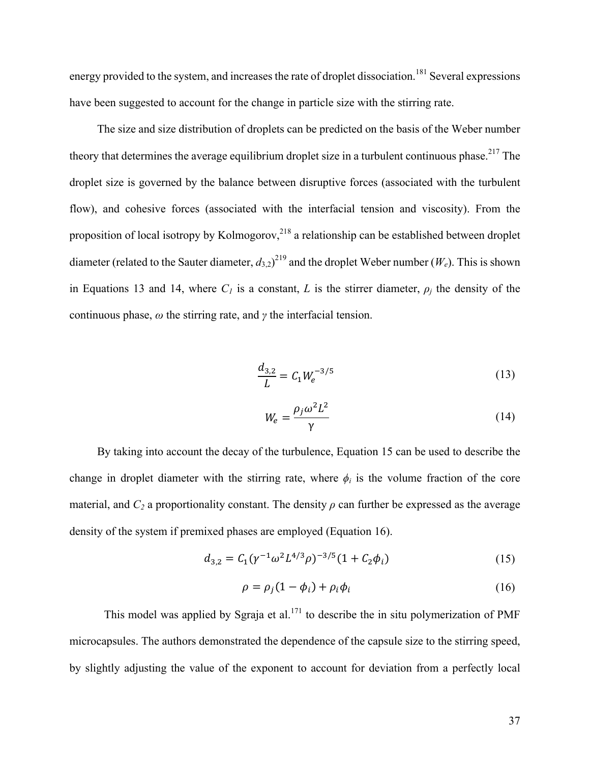energy provided to the system, and increases the rate of droplet dissociation.<sup>181</sup> Several expressions have been suggested to account for the change in particle size with the stirring rate.

The size and size distribution of droplets can be predicted on the basis of the Weber number theory that determines the average equilibrium droplet size in a turbulent continuous phase.<sup>217</sup> The droplet size is governed by the balance between disruptive forces (associated with the turbulent flow), and cohesive forces (associated with the interfacial tension and viscosity). From the proposition of local isotropy by Kolmogorov,<sup>218</sup> a relationship can be established between droplet diameter (related to the Sauter diameter,  $d_{3,2}$ )<sup>219</sup> and the droplet Weber number ( $W_e$ ). This is shown in Equations 13 and 14, where  $C_l$  is a constant, *L* is the stirrer diameter,  $\rho_i$  the density of the continuous phase, *ω* the stirring rate, and *γ* the interfacial tension.

$$
\frac{d_{3,2}}{L} = C_1 W_e^{-3/5}
$$
 (13)

$$
W_e = \frac{\rho_j \omega^2 L^2}{\gamma} \tag{14}
$$

By taking into account the decay of the turbulence, Equation 15 can be used to describe the change in droplet diameter with the stirring rate, where  $\phi_i$  is the volume fraction of the core material, and  $C_2$  a proportionality constant. The density  $\rho$  can further be expressed as the average density of the system if premixed phases are employed (Equation 16).

$$
d_{3,2} = C_1 (\gamma^{-1} \omega^2 L^{4/3} \rho)^{-3/5} (1 + C_2 \phi_i)
$$
 (15)

$$
\rho = \rho_j (1 - \phi_i) + \rho_i \phi_i \tag{16}
$$

This model was applied by Sgraja et al.<sup>171</sup> to describe the in situ polymerization of PMF microcapsules. The authors demonstrated the dependence of the capsule size to the stirring speed, by slightly adjusting the value of the exponent to account for deviation from a perfectly local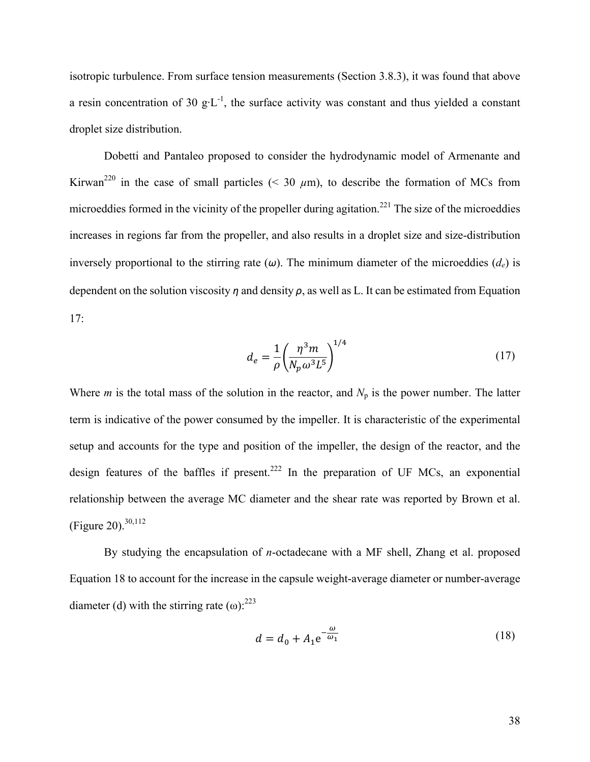isotropic turbulence. From surface tension measurements (Section 3.8.3), it was found that above a resin concentration of 30  $g \cdot L^{-1}$ , the surface activity was constant and thus yielded a constant droplet size distribution.

Dobetti and Pantaleo proposed to consider the hydrodynamic model of Armenante and Kirwan<sup>220</sup> in the case of small particles (< 30  $\mu$ m), to describe the formation of MCs from microeddies formed in the vicinity of the propeller during agitation.<sup>221</sup> The size of the microeddies increases in regions far from the propeller, and also results in a droplet size and size-distribution inversely proportional to the stirring rate  $(\omega)$ . The minimum diameter of the microeddies  $(d_e)$  is dependent on the solution viscosity *η* and density *ρ*, as well as L. It can be estimated from Equation 17:

$$
d_e = \frac{1}{\rho} \left( \frac{\eta^3 m}{N_p \omega^3 L^5} \right)^{1/4} \tag{17}
$$

Where *m* is the total mass of the solution in the reactor, and  $N_p$  is the power number. The latter term is indicative of the power consumed by the impeller. It is characteristic of the experimental setup and accounts for the type and position of the impeller, the design of the reactor, and the design features of the baffles if present.<sup>222</sup> In the preparation of UF MCs, an exponential relationship between the average MC diameter and the shear rate was reported by Brown et al. (Figure 20). 30,112

By studying the encapsulation of *n*-octadecane with a MF shell, Zhang et al. proposed Equation 18 to account for the increase in the capsule weight-average diameter or number-average diameter (d) with the stirring rate  $(\omega)$ : <sup>223</sup>

$$
d = d_0 + A_1 e^{-\frac{\omega}{\omega_1}}
$$
 (18)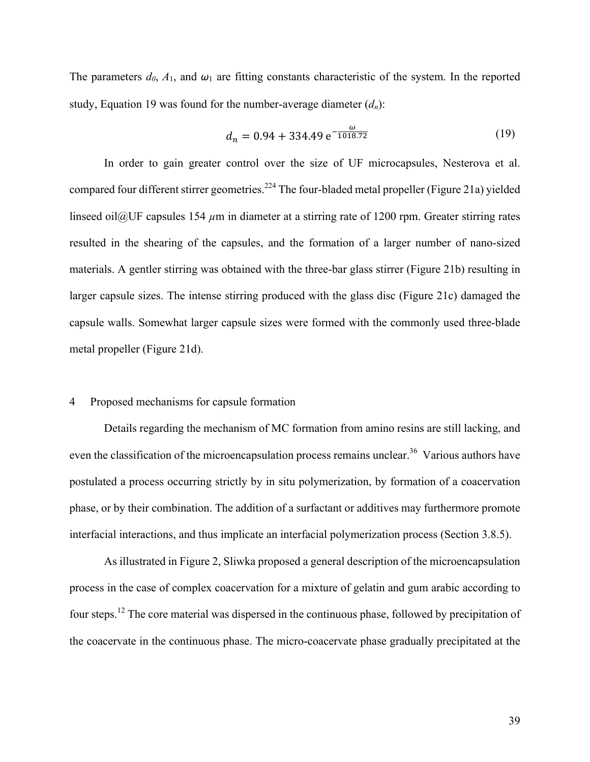The parameters  $d_0$ ,  $A_1$ , and  $\omega_1$  are fitting constants characteristic of the system. In the reported study, Equation 19 was found for the number-average diameter  $(d_n)$ :

$$
d_n = 0.94 + 334.49 e^{-\frac{\omega}{1018.72}}
$$
 (19)

In order to gain greater control over the size of UF microcapsules, Nesterova et al. compared four different stirrer geometries.<sup>224</sup> The four-bladed metal propeller (Figure 21a) yielded linseed oil@UF capsules 154  $\mu$ m in diameter at a stirring rate of 1200 rpm. Greater stirring rates resulted in the shearing of the capsules, and the formation of a larger number of nano-sized materials. A gentler stirring was obtained with the three-bar glass stirrer (Figure 21b) resulting in larger capsule sizes. The intense stirring produced with the glass disc (Figure 21c) damaged the capsule walls. Somewhat larger capsule sizes were formed with the commonly used three-blade metal propeller (Figure 21d).

## 4 Proposed mechanisms for capsule formation

Details regarding the mechanism of MC formation from amino resins are still lacking, and even the classification of the microencapsulation process remains unclear.<sup>36</sup> Various authors have postulated a process occurring strictly by in situ polymerization, by formation of a coacervation phase, or by their combination. The addition of a surfactant or additives may furthermore promote interfacial interactions, and thus implicate an interfacial polymerization process (Section 3.8.5).

As illustrated in Figure 2, Sliwka proposed a general description of the microencapsulation process in the case of complex coacervation for a mixture of gelatin and gum arabic according to four steps.<sup>12</sup> The core material was dispersed in the continuous phase, followed by precipitation of the coacervate in the continuous phase. The micro-coacervate phase gradually precipitated at the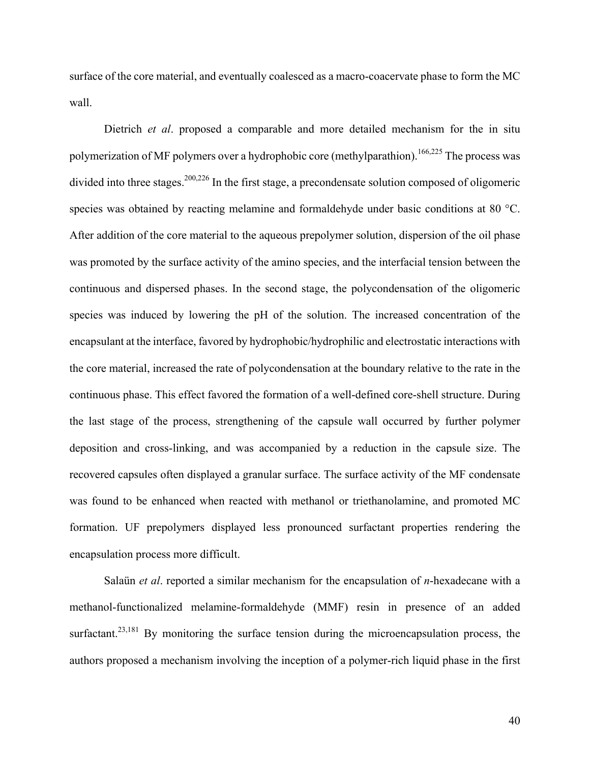surface of the core material, and eventually coalesced as a macro-coacervate phase to form the MC wall.

Dietrich *et al*. proposed a comparable and more detailed mechanism for the in situ polymerization of MF polymers over a hydrophobic core (methylparathion).<sup>166,225</sup> The process was divided into three stages.<sup>200,226</sup> In the first stage, a precondensate solution composed of oligomeric species was obtained by reacting melamine and formaldehyde under basic conditions at 80 °C. After addition of the core material to the aqueous prepolymer solution, dispersion of the oil phase was promoted by the surface activity of the amino species, and the interfacial tension between the continuous and dispersed phases. In the second stage, the polycondensation of the oligomeric species was induced by lowering the pH of the solution. The increased concentration of the encapsulant at the interface, favored by hydrophobic/hydrophilic and electrostatic interactions with the core material, increased the rate of polycondensation at the boundary relative to the rate in the continuous phase. This effect favored the formation of a well-defined core-shell structure. During the last stage of the process, strengthening of the capsule wall occurred by further polymer deposition and cross-linking, and was accompanied by a reduction in the capsule size. The recovered capsules often displayed a granular surface. The surface activity of the MF condensate was found to be enhanced when reacted with methanol or triethanolamine, and promoted MC formation. UF prepolymers displayed less pronounced surfactant properties rendering the encapsulation process more difficult.

Salaün *et al*. reported a similar mechanism for the encapsulation of *n*-hexadecane with a methanol-functionalized melamine-formaldehyde (MMF) resin in presence of an added surfactant.<sup>23,181</sup> By monitoring the surface tension during the microencapsulation process, the authors proposed a mechanism involving the inception of a polymer-rich liquid phase in the first

40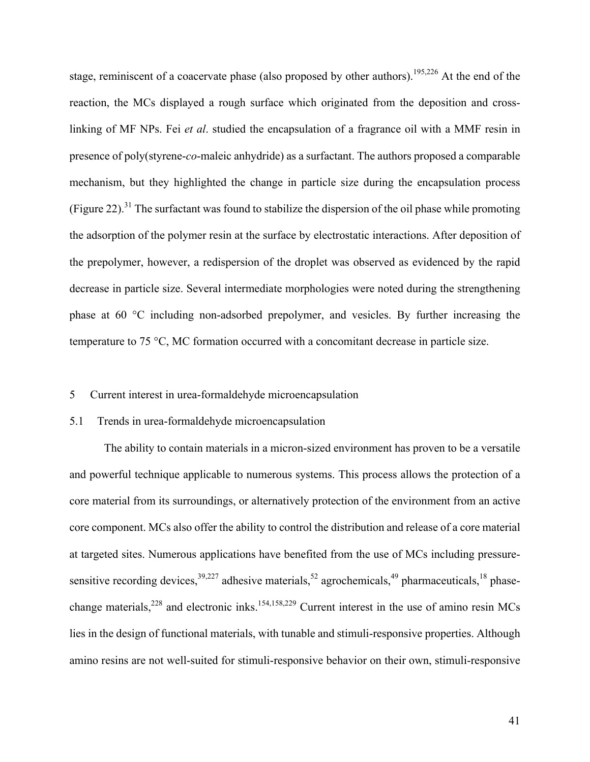stage, reminiscent of a coacervate phase (also proposed by other authors).<sup>195,226</sup> At the end of the reaction, the MCs displayed a rough surface which originated from the deposition and crosslinking of MF NPs. Fei *et al*. studied the encapsulation of a fragrance oil with a MMF resin in presence of poly(styrene-*co*-maleic anhydride) as a surfactant. The authors proposed a comparable mechanism, but they highlighted the change in particle size during the encapsulation process (Figure 22).<sup>31</sup> The surfactant was found to stabilize the dispersion of the oil phase while promoting the adsorption of the polymer resin at the surface by electrostatic interactions. After deposition of the prepolymer, however, a redispersion of the droplet was observed as evidenced by the rapid decrease in particle size. Several intermediate morphologies were noted during the strengthening phase at 60 °C including non-adsorbed prepolymer, and vesicles. By further increasing the temperature to 75 °C, MC formation occurred with a concomitant decrease in particle size.

#### 5 Current interest in urea-formaldehyde microencapsulation

#### 5.1 Trends in urea-formaldehyde microencapsulation

The ability to contain materials in a micron-sized environment has proven to be a versatile and powerful technique applicable to numerous systems. This process allows the protection of a core material from its surroundings, or alternatively protection of the environment from an active core component. MCs also offer the ability to control the distribution and release of a core material at targeted sites. Numerous applications have benefited from the use of MCs including pressuresensitive recording devices,  $39,227$  adhesive materials,  $52$  agrochemicals,  $49$  pharmaceuticals,  $18$  phasechange materials,<sup>228</sup> and electronic inks.<sup>154,158,229</sup> Current interest in the use of amino resin MCs lies in the design of functional materials, with tunable and stimuli-responsive properties. Although amino resins are not well-suited for stimuli-responsive behavior on their own, stimuli-responsive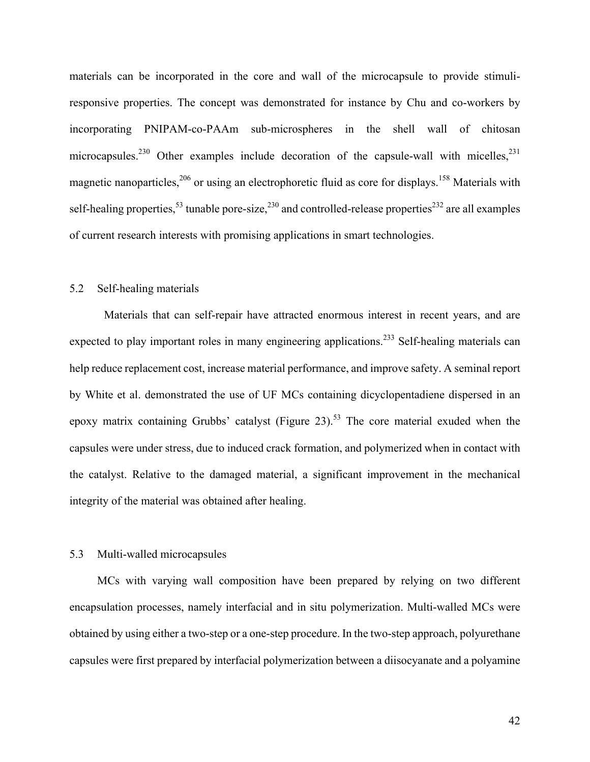materials can be incorporated in the core and wall of the microcapsule to provide stimuliresponsive properties. The concept was demonstrated for instance by Chu and co-workers by incorporating PNIPAM-co-PAAm sub-microspheres in the shell wall of chitosan microcapsules.<sup>230</sup> Other examples include decoration of the capsule-wall with micelles,<sup>231</sup> magnetic nanoparticles,<sup>206</sup> or using an electrophoretic fluid as core for displays.<sup>158</sup> Materials with self-healing properties,<sup>53</sup> tunable pore-size,<sup>230</sup> and controlled-release properties<sup>232</sup> are all examples of current research interests with promising applications in smart technologies.

## 5.2 Self-healing materials

Materials that can self-repair have attracted enormous interest in recent years, and are expected to play important roles in many engineering applications.<sup>233</sup> Self-healing materials can help reduce replacement cost, increase material performance, and improve safety. A seminal report by White et al. demonstrated the use of UF MCs containing dicyclopentadiene dispersed in an epoxy matrix containing Grubbs' catalyst (Figure 23).<sup>53</sup> The core material exuded when the capsules were under stress, due to induced crack formation, and polymerized when in contact with the catalyst. Relative to the damaged material, a significant improvement in the mechanical integrity of the material was obtained after healing.

## 5.3 Multi-walled microcapsules

MCs with varying wall composition have been prepared by relying on two different encapsulation processes, namely interfacial and in situ polymerization. Multi-walled MCs were obtained by using either a two-step or a one-step procedure. In the two-step approach, polyurethane capsules were first prepared by interfacial polymerization between a diisocyanate and a polyamine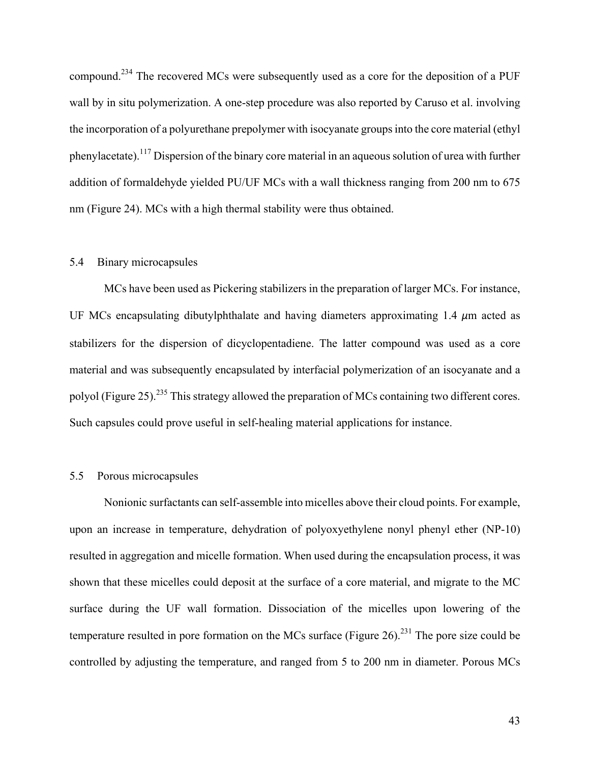compound.<sup>234</sup> The recovered MCs were subsequently used as a core for the deposition of a PUF wall by in situ polymerization. A one-step procedure was also reported by Caruso et al. involving the incorporation of a polyurethane prepolymer with isocyanate groups into the core material (ethyl phenylacetate).<sup>117</sup> Dispersion of the binary core material in an aqueous solution of urea with further addition of formaldehyde yielded PU/UF MCs with a wall thickness ranging from 200 nm to 675 nm (Figure 24). MCs with a high thermal stability were thus obtained.

## 5.4 Binary microcapsules

MCs have been used as Pickering stabilizers in the preparation of larger MCs. For instance, UF MCs encapsulating dibutylphthalate and having diameters approximating 1.4 *μ*m acted as stabilizers for the dispersion of dicyclopentadiene. The latter compound was used as a core material and was subsequently encapsulated by interfacial polymerization of an isocyanate and a polyol (Figure 25).<sup>235</sup> This strategy allowed the preparation of MCs containing two different cores. Such capsules could prove useful in self-healing material applications for instance.

# 5.5 Porous microcapsules

Nonionic surfactants can self-assemble into micelles above their cloud points. For example, upon an increase in temperature, dehydration of polyoxyethylene nonyl phenyl ether (NP-10) resulted in aggregation and micelle formation. When used during the encapsulation process, it was shown that these micelles could deposit at the surface of a core material, and migrate to the MC surface during the UF wall formation. Dissociation of the micelles upon lowering of the temperature resulted in pore formation on the MCs surface (Figure 26).<sup>231</sup> The pore size could be controlled by adjusting the temperature, and ranged from 5 to 200 nm in diameter. Porous MCs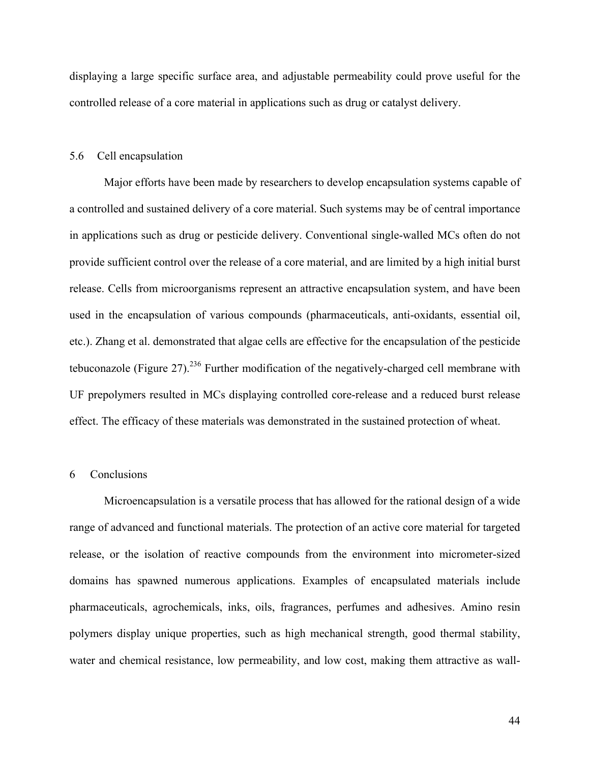displaying a large specific surface area, and adjustable permeability could prove useful for the controlled release of a core material in applications such as drug or catalyst delivery.

#### 5.6 Cell encapsulation

Major efforts have been made by researchers to develop encapsulation systems capable of a controlled and sustained delivery of a core material. Such systems may be of central importance in applications such as drug or pesticide delivery. Conventional single-walled MCs often do not provide sufficient control over the release of a core material, and are limited by a high initial burst release. Cells from microorganisms represent an attractive encapsulation system, and have been used in the encapsulation of various compounds (pharmaceuticals, anti-oxidants, essential oil, etc.). Zhang et al. demonstrated that algae cells are effective for the encapsulation of the pesticide tebuconazole (Figure 27).<sup>236</sup> Further modification of the negatively-charged cell membrane with UF prepolymers resulted in MCs displaying controlled core-release and a reduced burst release effect. The efficacy of these materials was demonstrated in the sustained protection of wheat.

# 6 Conclusions

Microencapsulation is a versatile process that has allowed for the rational design of a wide range of advanced and functional materials. The protection of an active core material for targeted release, or the isolation of reactive compounds from the environment into micrometer-sized domains has spawned numerous applications. Examples of encapsulated materials include pharmaceuticals, agrochemicals, inks, oils, fragrances, perfumes and adhesives. Amino resin polymers display unique properties, such as high mechanical strength, good thermal stability, water and chemical resistance, low permeability, and low cost, making them attractive as wall-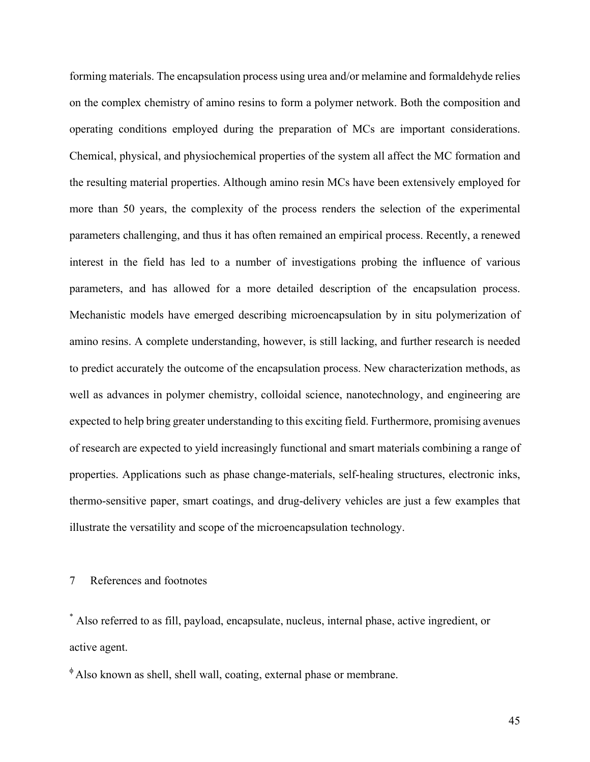forming materials. The encapsulation process using urea and/or melamine and formaldehyde relies on the complex chemistry of amino resins to form a polymer network. Both the composition and operating conditions employed during the preparation of MCs are important considerations. Chemical, physical, and physiochemical properties of the system all affect the MC formation and the resulting material properties. Although amino resin MCs have been extensively employed for more than 50 years, the complexity of the process renders the selection of the experimental parameters challenging, and thus it has often remained an empirical process. Recently, a renewed interest in the field has led to a number of investigations probing the influence of various parameters, and has allowed for a more detailed description of the encapsulation process. Mechanistic models have emerged describing microencapsulation by in situ polymerization of amino resins. A complete understanding, however, is still lacking, and further research is needed to predict accurately the outcome of the encapsulation process. New characterization methods, as well as advances in polymer chemistry, colloidal science, nanotechnology, and engineering are expected to help bring greater understanding to this exciting field. Furthermore, promising avenues of research are expected to yield increasingly functional and smart materials combining a range of properties. Applications such as phase change-materials, self-healing structures, electronic inks, thermo-sensitive paper, smart coatings, and drug-delivery vehicles are just a few examples that illustrate the versatility and scope of the microencapsulation technology.

## 7 References and footnotes

\* Also referred to as fill, payload, encapsulate, nucleus, internal phase, active ingredient, or active agent.

 $\Phi$ Also known as shell, shell wall, coating, external phase or membrane.

45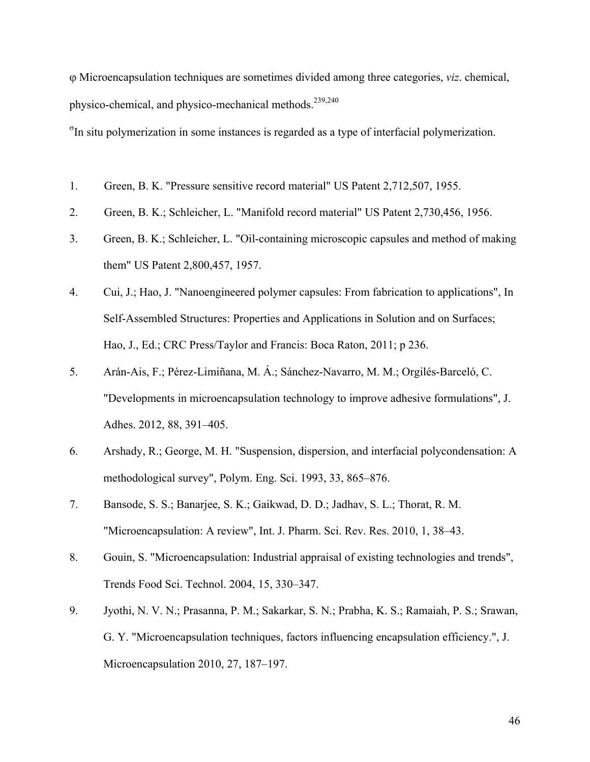j Microencapsulation techniques are sometimes divided among three categories, *viz*. chemical, physico-chemical, and physico-mechanical methods.<sup>239,240</sup>

<sup>Th</sup> situ polymerization in some instances is regarded as a type of interfacial polymerization.

- 1. Green, B. K. "Pressure sensitive record material" US Patent 2,712,507, 1955.
- 2. Green, B. K.; Schleicher, L. "Manifold record material" US Patent 2,730,456, 1956.
- 3. Green, B. K.; Schleicher, L. "Oil-containing microscopic capsules and method of making them" US Patent 2,800,457, 1957.
- 4. Cui, J.; Hao, J. "Nanoengineered polymer capsules: From fabrication to applications", In Self-Assembled Structures: Properties and Applications in Solution and on Surfaces; Hao, J., Ed.; CRC Press/Taylor and Francis: Boca Raton, 2011; p 236.
- 5. Arán-Ais, F.; Pérez-Limiñana, M. Á.; Sánchez-Navarro, M. M.; Orgilés-Barceló, C. "Developments in microencapsulation technology to improve adhesive formulations", J. Adhes. 2012, 88, 391–405.
- 6. Arshady, R.; George, M. H. "Suspension, dispersion, and interfacial polycondensation: A methodological survey", Polym. Eng. Sci. 1993, 33, 865–876.
- 7. Bansode, S. S.; Banarjee, S. K.; Gaikwad, D. D.; Jadhav, S. L.; Thorat, R. M. "Microencapsulation: A review", Int. J. Pharm. Sci. Rev. Res. 2010, 1, 38–43.
- 8. Gouin, S. "Microencapsulation: Industrial appraisal of existing technologies and trends", Trends Food Sci. Technol. 2004, 15, 330–347.
- 9. Jyothi, N. V. N.; Prasanna, P. M.; Sakarkar, S. N.; Prabha, K. S.; Ramaiah, P. S.; Srawan, G. Y. "Microencapsulation techniques, factors influencing encapsulation efficiency.", J. Microencapsulation 2010, 27, 187–197.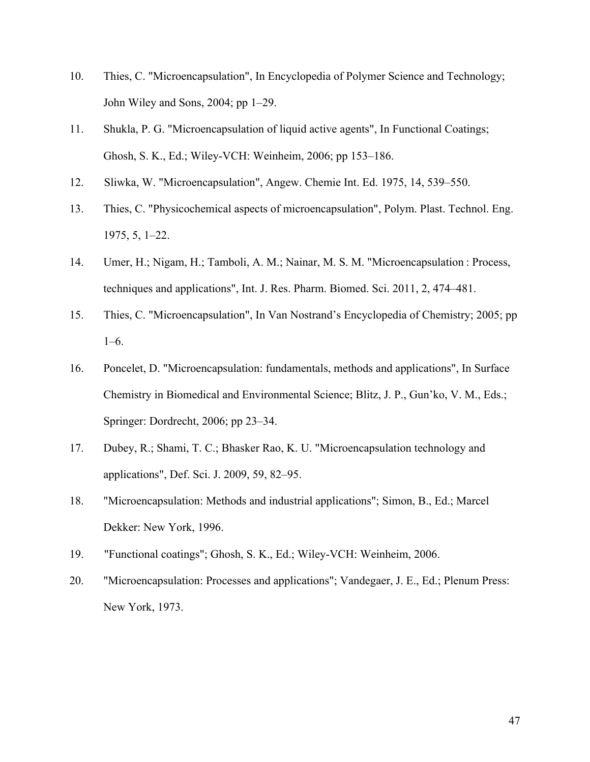- 10. Thies, C. "Microencapsulation", In Encyclopedia of Polymer Science and Technology; John Wiley and Sons, 2004; pp 1–29.
- 11. Shukla, P. G. "Microencapsulation of liquid active agents", In Functional Coatings; Ghosh, S. K., Ed.; Wiley-VCH: Weinheim, 2006; pp 153–186.
- 12. Sliwka, W. "Microencapsulation", Angew. Chemie Int. Ed. 1975, 14, 539–550.
- 13. Thies, C. "Physicochemical aspects of microencapsulation", Polym. Plast. Technol. Eng. 1975, 5, 1–22.
- 14. Umer, H.; Nigam, H.; Tamboli, A. M.; Nainar, M. S. M. "Microencapsulation : Process, techniques and applications", Int. J. Res. Pharm. Biomed. Sci. 2011, 2, 474–481.
- 15. Thies, C. "Microencapsulation", In Van Nostrand's Encyclopedia of Chemistry; 2005; pp 1–6.
- 16. Poncelet, D. "Microencapsulation: fundamentals, methods and applications", In Surface Chemistry in Biomedical and Environmental Science; Blitz, J. P., Gun'ko, V. M., Eds.; Springer: Dordrecht, 2006; pp 23–34.
- 17. Dubey, R.; Shami, T. C.; Bhasker Rao, K. U. "Microencapsulation technology and applications", Def. Sci. J. 2009, 59, 82–95.
- 18. "Microencapsulation: Methods and industrial applications"; Simon, B., Ed.; Marcel Dekker: New York, 1996.
- 19. "Functional coatings"; Ghosh, S. K., Ed.; Wiley-VCH: Weinheim, 2006.
- 20. "Microencapsulation: Processes and applications"; Vandegaer, J. E., Ed.; Plenum Press: New York, 1973.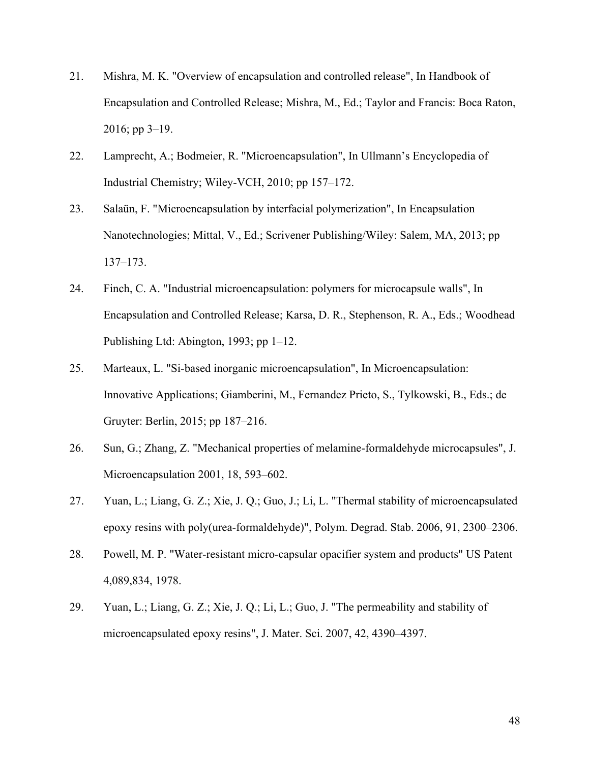- 21. Mishra, M. K. "Overview of encapsulation and controlled release", In Handbook of Encapsulation and Controlled Release; Mishra, M., Ed.; Taylor and Francis: Boca Raton, 2016; pp 3–19.
- 22. Lamprecht, A.; Bodmeier, R. "Microencapsulation", In Ullmann's Encyclopedia of Industrial Chemistry; Wiley-VCH, 2010; pp 157–172.
- 23. Salaün, F. "Microencapsulation by interfacial polymerization", In Encapsulation Nanotechnologies; Mittal, V., Ed.; Scrivener Publishing/Wiley: Salem, MA, 2013; pp 137–173.
- 24. Finch, C. A. "Industrial microencapsulation: polymers for microcapsule walls", In Encapsulation and Controlled Release; Karsa, D. R., Stephenson, R. A., Eds.; Woodhead Publishing Ltd: Abington, 1993; pp 1–12.
- 25. Marteaux, L. "Si-based inorganic microencapsulation", In Microencapsulation: Innovative Applications; Giamberini, M., Fernandez Prieto, S., Tylkowski, B., Eds.; de Gruyter: Berlin, 2015; pp 187–216.
- 26. Sun, G.; Zhang, Z. "Mechanical properties of melamine-formaldehyde microcapsules", J. Microencapsulation 2001, 18, 593–602.
- 27. Yuan, L.; Liang, G. Z.; Xie, J. Q.; Guo, J.; Li, L. "Thermal stability of microencapsulated epoxy resins with poly(urea-formaldehyde)", Polym. Degrad. Stab. 2006, 91, 2300–2306.
- 28. Powell, M. P. "Water-resistant micro-capsular opacifier system and products" US Patent 4,089,834, 1978.
- 29. Yuan, L.; Liang, G. Z.; Xie, J. Q.; Li, L.; Guo, J. "The permeability and stability of microencapsulated epoxy resins", J. Mater. Sci. 2007, 42, 4390–4397.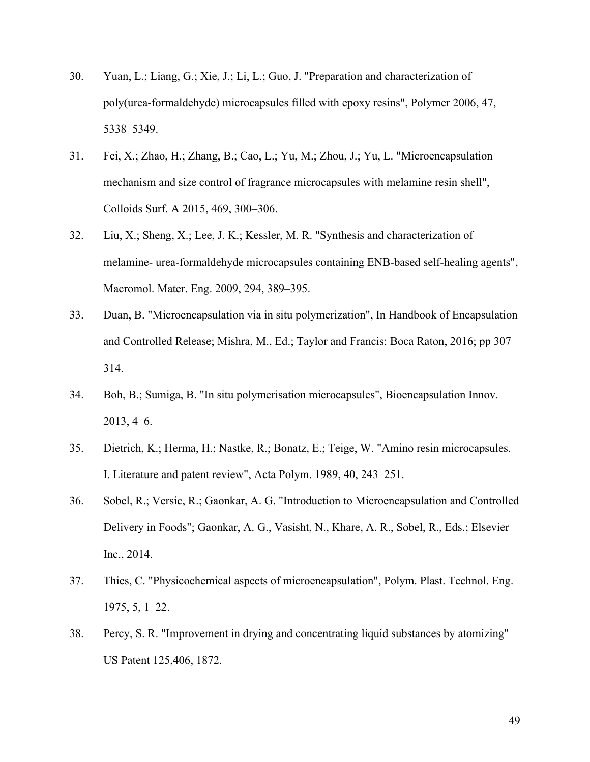- 30. Yuan, L.; Liang, G.; Xie, J.; Li, L.; Guo, J. "Preparation and characterization of poly(urea-formaldehyde) microcapsules filled with epoxy resins", Polymer 2006, 47, 5338–5349.
- 31. Fei, X.; Zhao, H.; Zhang, B.; Cao, L.; Yu, M.; Zhou, J.; Yu, L. "Microencapsulation mechanism and size control of fragrance microcapsules with melamine resin shell", Colloids Surf. A 2015, 469, 300–306.
- 32. Liu, X.; Sheng, X.; Lee, J. K.; Kessler, M. R. "Synthesis and characterization of melamine- urea-formaldehyde microcapsules containing ENB-based self-healing agents", Macromol. Mater. Eng. 2009, 294, 389–395.
- 33. Duan, B. "Microencapsulation via in situ polymerization", In Handbook of Encapsulation and Controlled Release; Mishra, M., Ed.; Taylor and Francis: Boca Raton, 2016; pp 307– 314.
- 34. Boh, B.; Sumiga, B. "In situ polymerisation microcapsules", Bioencapsulation Innov. 2013, 4–6.
- 35. Dietrich, K.; Herma, H.; Nastke, R.; Bonatz, E.; Teige, W. "Amino resin microcapsules. I. Literature and patent review", Acta Polym. 1989, 40, 243–251.
- 36. Sobel, R.; Versic, R.; Gaonkar, A. G. "Introduction to Microencapsulation and Controlled Delivery in Foods"; Gaonkar, A. G., Vasisht, N., Khare, A. R., Sobel, R., Eds.; Elsevier Inc., 2014.
- 37. Thies, C. "Physicochemical aspects of microencapsulation", Polym. Plast. Technol. Eng. 1975, 5, 1–22.
- 38. Percy, S. R. "Improvement in drying and concentrating liquid substances by atomizing" US Patent 125,406, 1872.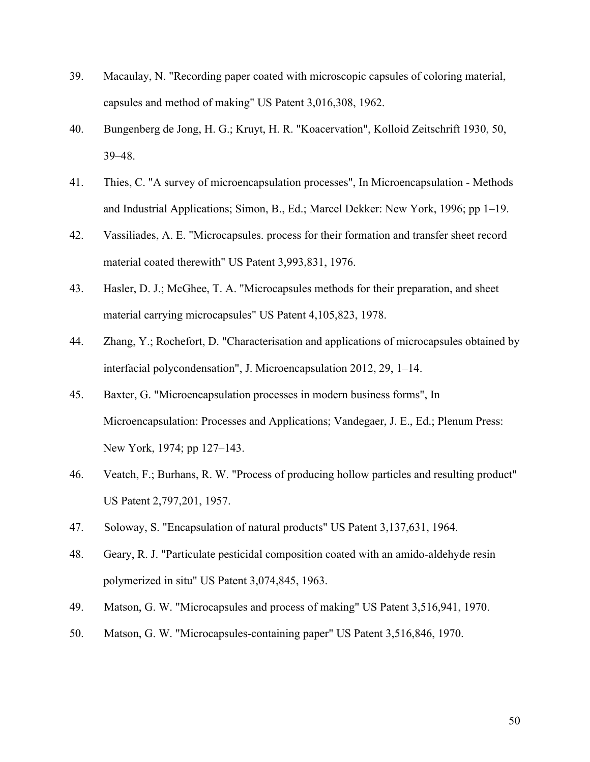- 39. Macaulay, N. "Recording paper coated with microscopic capsules of coloring material, capsules and method of making" US Patent 3,016,308, 1962.
- 40. Bungenberg de Jong, H. G.; Kruyt, H. R. "Koacervation", Kolloid Zeitschrift 1930, 50, 39–48.
- 41. Thies, C. "A survey of microencapsulation processes", In Microencapsulation Methods and Industrial Applications; Simon, B., Ed.; Marcel Dekker: New York, 1996; pp 1–19.
- 42. Vassiliades, A. E. "Microcapsules. process for their formation and transfer sheet record material coated therewith" US Patent 3,993,831, 1976.
- 43. Hasler, D. J.; McGhee, T. A. "Microcapsules methods for their preparation, and sheet material carrying microcapsules" US Patent 4,105,823, 1978.
- 44. Zhang, Y.; Rochefort, D. "Characterisation and applications of microcapsules obtained by interfacial polycondensation", J. Microencapsulation 2012, 29, 1–14.
- 45. Baxter, G. "Microencapsulation processes in modern business forms", In Microencapsulation: Processes and Applications; Vandegaer, J. E., Ed.; Plenum Press: New York, 1974; pp 127–143.
- 46. Veatch, F.; Burhans, R. W. "Process of producing hollow particles and resulting product" US Patent 2,797,201, 1957.
- 47. Soloway, S. "Encapsulation of natural products" US Patent 3,137,631, 1964.
- 48. Geary, R. J. "Particulate pesticidal composition coated with an amido-aldehyde resin polymerized in situ" US Patent 3,074,845, 1963.
- 49. Matson, G. W. "Microcapsules and process of making" US Patent 3,516,941, 1970.
- 50. Matson, G. W. "Microcapsules-containing paper" US Patent 3,516,846, 1970.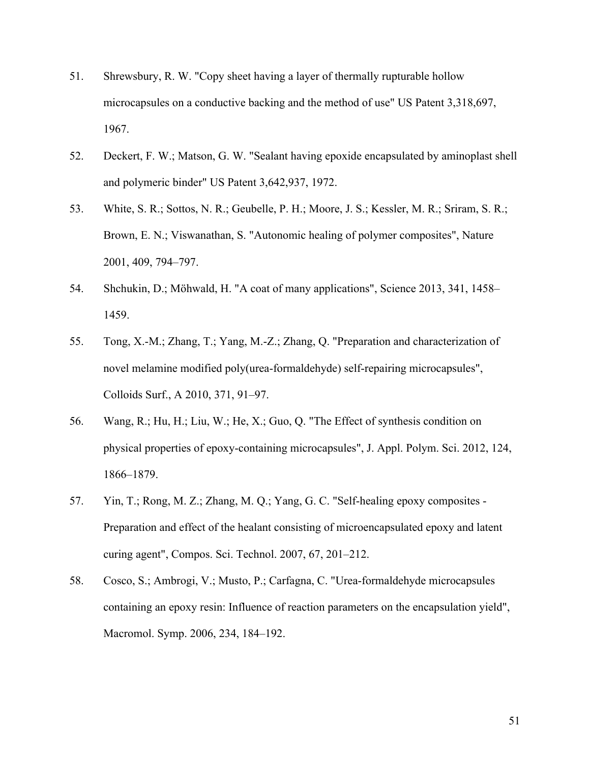- 51. Shrewsbury, R. W. "Copy sheet having a layer of thermally rupturable hollow microcapsules on a conductive backing and the method of use" US Patent 3,318,697, 1967.
- 52. Deckert, F. W.; Matson, G. W. "Sealant having epoxide encapsulated by aminoplast shell and polymeric binder" US Patent 3,642,937, 1972.
- 53. White, S. R.; Sottos, N. R.; Geubelle, P. H.; Moore, J. S.; Kessler, M. R.; Sriram, S. R.; Brown, E. N.; Viswanathan, S. "Autonomic healing of polymer composites", Nature 2001, 409, 794–797.
- 54. Shchukin, D.; Möhwald, H. "A coat of many applications", Science 2013, 341, 1458– 1459.
- 55. Tong, X.-M.; Zhang, T.; Yang, M.-Z.; Zhang, Q. "Preparation and characterization of novel melamine modified poly(urea-formaldehyde) self-repairing microcapsules", Colloids Surf., A 2010, 371, 91–97.
- 56. Wang, R.; Hu, H.; Liu, W.; He, X.; Guo, Q. "The Effect of synthesis condition on physical properties of epoxy-containing microcapsules", J. Appl. Polym. Sci. 2012, 124, 1866–1879.
- 57. Yin, T.; Rong, M. Z.; Zhang, M. Q.; Yang, G. C. "Self-healing epoxy composites Preparation and effect of the healant consisting of microencapsulated epoxy and latent curing agent", Compos. Sci. Technol. 2007, 67, 201–212.
- 58. Cosco, S.; Ambrogi, V.; Musto, P.; Carfagna, C. "Urea-formaldehyde microcapsules containing an epoxy resin: Influence of reaction parameters on the encapsulation yield", Macromol. Symp. 2006, 234, 184–192.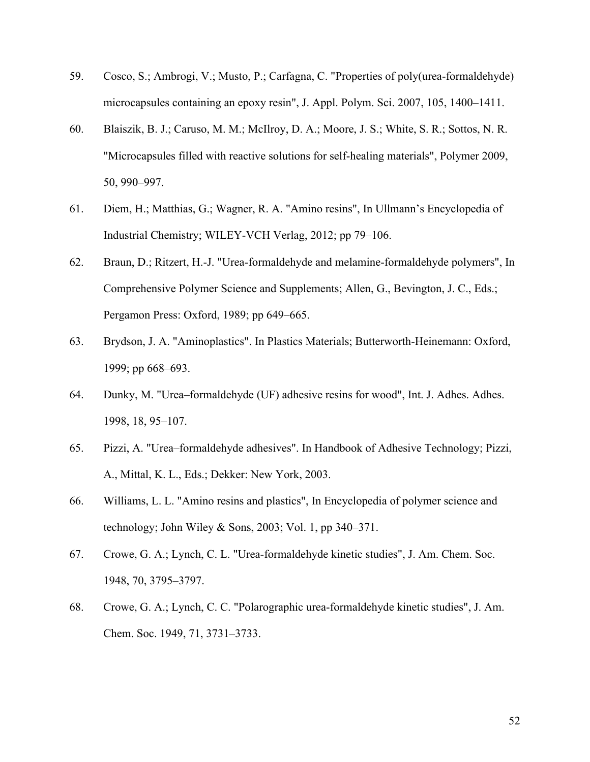- 59. Cosco, S.; Ambrogi, V.; Musto, P.; Carfagna, C. "Properties of poly(urea-formaldehyde) microcapsules containing an epoxy resin", J. Appl. Polym. Sci. 2007, 105, 1400–1411.
- 60. Blaiszik, B. J.; Caruso, M. M.; McIlroy, D. A.; Moore, J. S.; White, S. R.; Sottos, N. R. "Microcapsules filled with reactive solutions for self-healing materials", Polymer 2009, 50, 990–997.
- 61. Diem, H.; Matthias, G.; Wagner, R. A. "Amino resins", In Ullmann's Encyclopedia of Industrial Chemistry; WILEY-VCH Verlag, 2012; pp 79–106.
- 62. Braun, D.; Ritzert, H.-J. "Urea-formaldehyde and melamine-formaldehyde polymers", In Comprehensive Polymer Science and Supplements; Allen, G., Bevington, J. C., Eds.; Pergamon Press: Oxford, 1989; pp 649–665.
- 63. Brydson, J. A. "Aminoplastics". In Plastics Materials; Butterworth-Heinemann: Oxford, 1999; pp 668–693.
- 64. Dunky, M. "Urea–formaldehyde (UF) adhesive resins for wood", Int. J. Adhes. Adhes. 1998, 18, 95–107.
- 65. Pizzi, A. "Urea–formaldehyde adhesives". In Handbook of Adhesive Technology; Pizzi, A., Mittal, K. L., Eds.; Dekker: New York, 2003.
- 66. Williams, L. L. "Amino resins and plastics", In Encyclopedia of polymer science and technology; John Wiley & Sons, 2003; Vol. 1, pp  $340-371$ .
- 67. Crowe, G. A.; Lynch, C. L. "Urea-formaldehyde kinetic studies", J. Am. Chem. Soc. 1948, 70, 3795–3797.
- 68. Crowe, G. A.; Lynch, C. C. "Polarographic urea-formaldehyde kinetic studies", J. Am. Chem. Soc. 1949, 71, 3731–3733.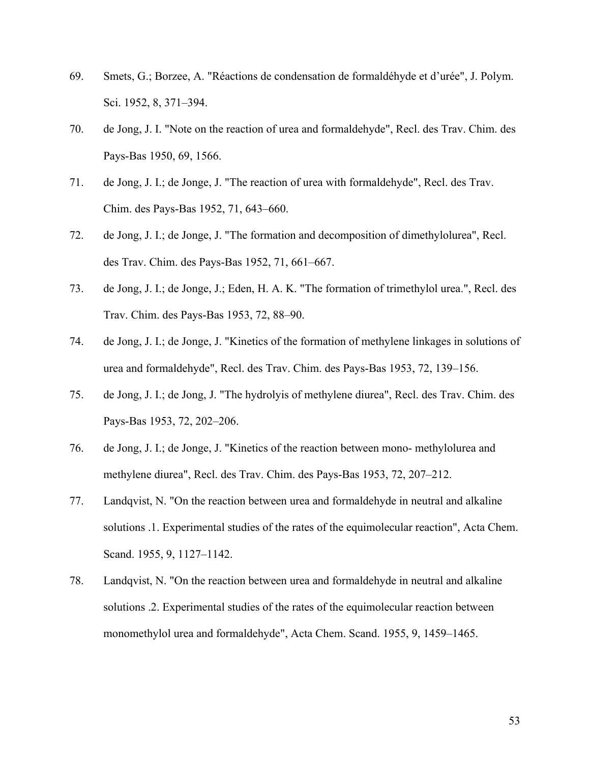- 69. Smets, G.; Borzee, A. "Réactions de condensation de formaldéhyde et d'urée", J. Polym. Sci. 1952, 8, 371–394.
- 70. de Jong, J. I. "Note on the reaction of urea and formaldehyde", Recl. des Trav. Chim. des Pays-Bas 1950, 69, 1566.
- 71. de Jong, J. I.; de Jonge, J. "The reaction of urea with formaldehyde", Recl. des Trav. Chim. des Pays-Bas 1952, 71, 643–660.
- 72. de Jong, J. I.; de Jonge, J. "The formation and decomposition of dimethylolurea", Recl. des Trav. Chim. des Pays-Bas 1952, 71, 661–667.
- 73. de Jong, J. I.; de Jonge, J.; Eden, H. A. K. "The formation of trimethylol urea.", Recl. des Trav. Chim. des Pays-Bas 1953, 72, 88–90.
- 74. de Jong, J. I.; de Jonge, J. "Kinetics of the formation of methylene linkages in solutions of urea and formaldehyde", Recl. des Trav. Chim. des Pays-Bas 1953, 72, 139–156.
- 75. de Jong, J. I.; de Jong, J. "The hydrolyis of methylene diurea", Recl. des Trav. Chim. des Pays-Bas 1953, 72, 202–206.
- 76. de Jong, J. I.; de Jonge, J. "Kinetics of the reaction between mono- methylolurea and methylene diurea", Recl. des Trav. Chim. des Pays-Bas 1953, 72, 207–212.
- 77. Landqvist, N. "On the reaction between urea and formaldehyde in neutral and alkaline solutions .1. Experimental studies of the rates of the equimolecular reaction", Acta Chem. Scand. 1955, 9, 1127–1142.
- 78. Landqvist, N. "On the reaction between urea and formaldehyde in neutral and alkaline solutions .2. Experimental studies of the rates of the equimolecular reaction between monomethylol urea and formaldehyde", Acta Chem. Scand. 1955, 9, 1459–1465.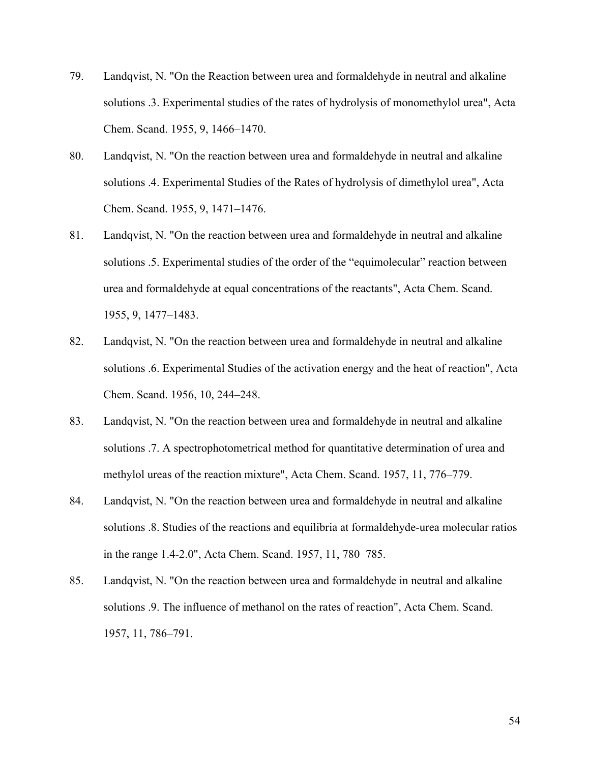- 79. Landqvist, N. "On the Reaction between urea and formaldehyde in neutral and alkaline solutions .3. Experimental studies of the rates of hydrolysis of monomethylol urea", Acta Chem. Scand. 1955, 9, 1466–1470.
- 80. Landqvist, N. "On the reaction between urea and formaldehyde in neutral and alkaline solutions .4. Experimental Studies of the Rates of hydrolysis of dimethylol urea", Acta Chem. Scand. 1955, 9, 1471–1476.
- 81. Landqvist, N. "On the reaction between urea and formaldehyde in neutral and alkaline solutions .5. Experimental studies of the order of the "equimolecular" reaction between urea and formaldehyde at equal concentrations of the reactants", Acta Chem. Scand. 1955, 9, 1477–1483.
- 82. Landqvist, N. "On the reaction between urea and formaldehyde in neutral and alkaline solutions .6. Experimental Studies of the activation energy and the heat of reaction", Acta Chem. Scand. 1956, 10, 244–248.
- 83. Landqvist, N. "On the reaction between urea and formaldehyde in neutral and alkaline solutions .7. A spectrophotometrical method for quantitative determination of urea and methylol ureas of the reaction mixture", Acta Chem. Scand. 1957, 11, 776–779.
- 84. Landqvist, N. "On the reaction between urea and formaldehyde in neutral and alkaline solutions .8. Studies of the reactions and equilibria at formaldehyde-urea molecular ratios in the range 1.4-2.0", Acta Chem. Scand. 1957, 11, 780–785.
- 85. Landqvist, N. "On the reaction between urea and formaldehyde in neutral and alkaline solutions .9. The influence of methanol on the rates of reaction", Acta Chem. Scand. 1957, 11, 786–791.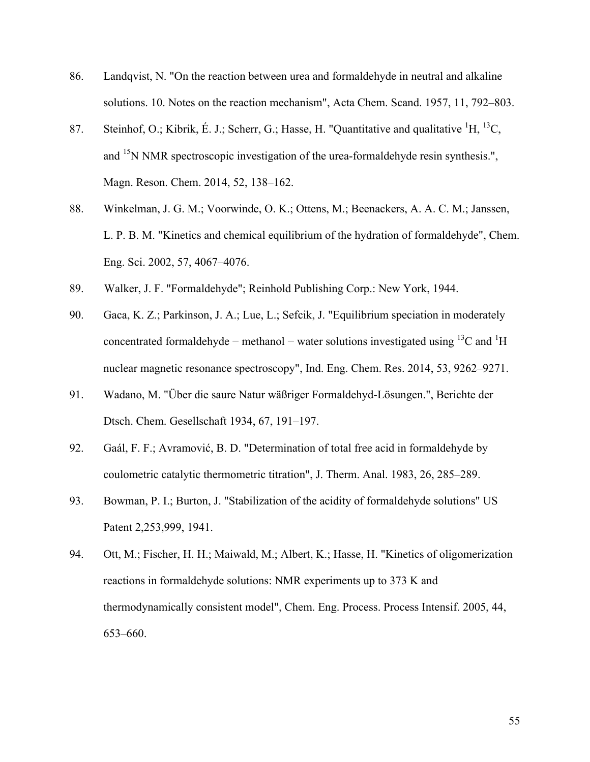- 86. Landqvist, N. "On the reaction between urea and formaldehyde in neutral and alkaline solutions. 10. Notes on the reaction mechanism", Acta Chem. Scand. 1957, 11, 792–803.
- 87. Steinhof, O.; Kibrik, É. J.; Scherr, G.; Hasse, H. "Quantitative and qualitative  ${}^{1}H, {}^{13}C,$ and <sup>15</sup>N NMR spectroscopic investigation of the urea-formaldehyde resin synthesis.", Magn. Reson. Chem. 2014, 52, 138–162.
- 88. Winkelman, J. G. M.; Voorwinde, O. K.; Ottens, M.; Beenackers, A. A. C. M.; Janssen, L. P. B. M. "Kinetics and chemical equilibrium of the hydration of formaldehyde", Chem. Eng. Sci. 2002, 57, 4067–4076.
- 89. Walker, J. F. "Formaldehyde"; Reinhold Publishing Corp.: New York, 1944.
- 90. Gaca, K. Z.; Parkinson, J. A.; Lue, L.; Sefcik, J. "Equilibrium speciation in moderately concentrated formaldehyde – methanol – water solutions investigated using <sup>13</sup>C and <sup>1</sup>H nuclear magnetic resonance spectroscopy", Ind. Eng. Chem. Res. 2014, 53, 9262–9271.
- 91. Wadano, M. "Über die saure Natur wäßriger Formaldehyd-Lösungen.", Berichte der Dtsch. Chem. Gesellschaft 1934, 67, 191–197.
- 92. Gaál, F. F.; Avramović, B. D. "Determination of total free acid in formaldehyde by coulometric catalytic thermometric titration", J. Therm. Anal. 1983, 26, 285–289.
- 93. Bowman, P. I.; Burton, J. "Stabilization of the acidity of formaldehyde solutions" US Patent 2,253,999, 1941.
- 94. Ott, M.; Fischer, H. H.; Maiwald, M.; Albert, K.; Hasse, H. "Kinetics of oligomerization reactions in formaldehyde solutions: NMR experiments up to 373 K and thermodynamically consistent model", Chem. Eng. Process. Process Intensif. 2005, 44, 653–660.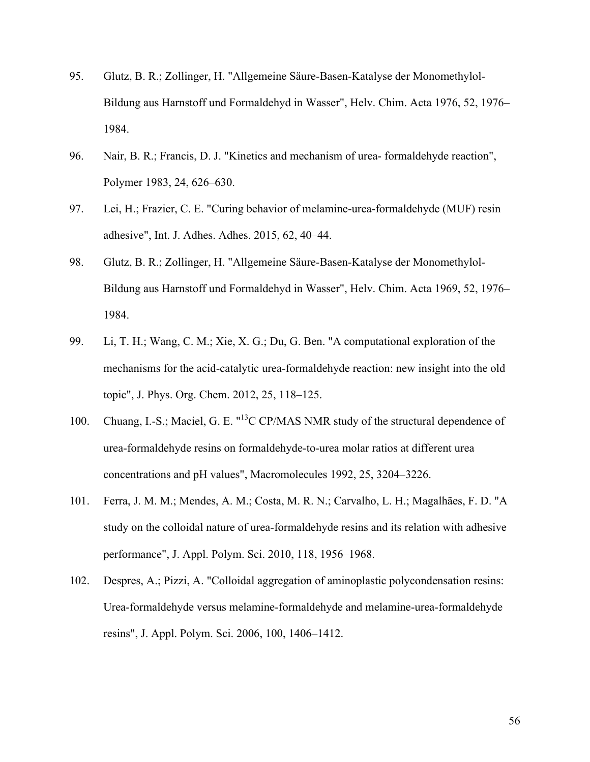- 95. Glutz, B. R.; Zollinger, H. "Allgemeine Säure-Basen-Katalyse der Monomethylol-Bildung aus Harnstoff und Formaldehyd in Wasser", Helv. Chim. Acta 1976, 52, 1976– 1984.
- 96. Nair, B. R.; Francis, D. J. "Kinetics and mechanism of urea- formaldehyde reaction", Polymer 1983, 24, 626–630.
- 97. Lei, H.; Frazier, C. E. "Curing behavior of melamine-urea-formaldehyde (MUF) resin adhesive", Int. J. Adhes. Adhes. 2015, 62, 40–44.
- 98. Glutz, B. R.; Zollinger, H. "Allgemeine Säure-Basen-Katalyse der Monomethylol-Bildung aus Harnstoff und Formaldehyd in Wasser", Helv. Chim. Acta 1969, 52, 1976– 1984.
- 99. Li, T. H.; Wang, C. M.; Xie, X. G.; Du, G. Ben. "A computational exploration of the mechanisms for the acid-catalytic urea-formaldehyde reaction: new insight into the old topic", J. Phys. Org. Chem. 2012, 25, 118–125.
- 100. Chuang, I.-S.; Maciel, G. E. "<sup>13</sup>C CP/MAS NMR study of the structural dependence of urea-formaldehyde resins on formaldehyde-to-urea molar ratios at different urea concentrations and pH values", Macromolecules 1992, 25, 3204–3226.
- 101. Ferra, J. M. M.; Mendes, A. M.; Costa, M. R. N.; Carvalho, L. H.; Magalhães, F. D. "A study on the colloidal nature of urea-formaldehyde resins and its relation with adhesive performance", J. Appl. Polym. Sci. 2010, 118, 1956–1968.
- 102. Despres, A.; Pizzi, A. "Colloidal aggregation of aminoplastic polycondensation resins: Urea-formaldehyde versus melamine-formaldehyde and melamine-urea-formaldehyde resins", J. Appl. Polym. Sci. 2006, 100, 1406–1412.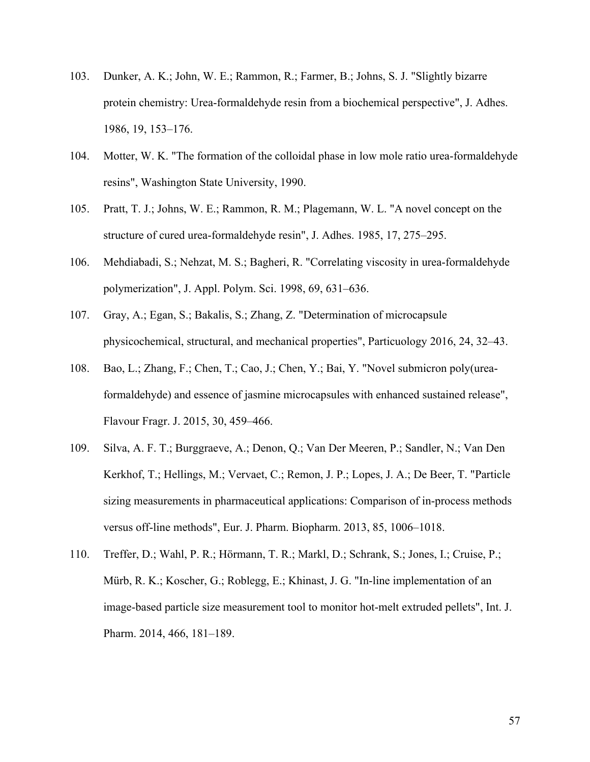- 103. Dunker, A. K.; John, W. E.; Rammon, R.; Farmer, B.; Johns, S. J. "Slightly bizarre protein chemistry: Urea-formaldehyde resin from a biochemical perspective", J. Adhes. 1986, 19, 153–176.
- 104. Motter, W. K. "The formation of the colloidal phase in low mole ratio urea-formaldehyde resins", Washington State University, 1990.
- 105. Pratt, T. J.; Johns, W. E.; Rammon, R. M.; Plagemann, W. L. "A novel concept on the structure of cured urea-formaldehyde resin", J. Adhes. 1985, 17, 275–295.
- 106. Mehdiabadi, S.; Nehzat, M. S.; Bagheri, R. "Correlating viscosity in urea-formaldehyde polymerization", J. Appl. Polym. Sci. 1998, 69, 631–636.
- 107. Gray, A.; Egan, S.; Bakalis, S.; Zhang, Z. "Determination of microcapsule physicochemical, structural, and mechanical properties", Particuology 2016, 24, 32–43.
- 108. Bao, L.; Zhang, F.; Chen, T.; Cao, J.; Chen, Y.; Bai, Y. "Novel submicron poly(ureaformaldehyde) and essence of jasmine microcapsules with enhanced sustained release", Flavour Fragr. J. 2015, 30, 459–466.
- 109. Silva, A. F. T.; Burggraeve, A.; Denon, Q.; Van Der Meeren, P.; Sandler, N.; Van Den Kerkhof, T.; Hellings, M.; Vervaet, C.; Remon, J. P.; Lopes, J. A.; De Beer, T. "Particle sizing measurements in pharmaceutical applications: Comparison of in-process methods versus off-line methods", Eur. J. Pharm. Biopharm. 2013, 85, 1006–1018.
- 110. Treffer, D.; Wahl, P. R.; Hörmann, T. R.; Markl, D.; Schrank, S.; Jones, I.; Cruise, P.; Mürb, R. K.; Koscher, G.; Roblegg, E.; Khinast, J. G. "In-line implementation of an image-based particle size measurement tool to monitor hot-melt extruded pellets", Int. J. Pharm. 2014, 466, 181–189.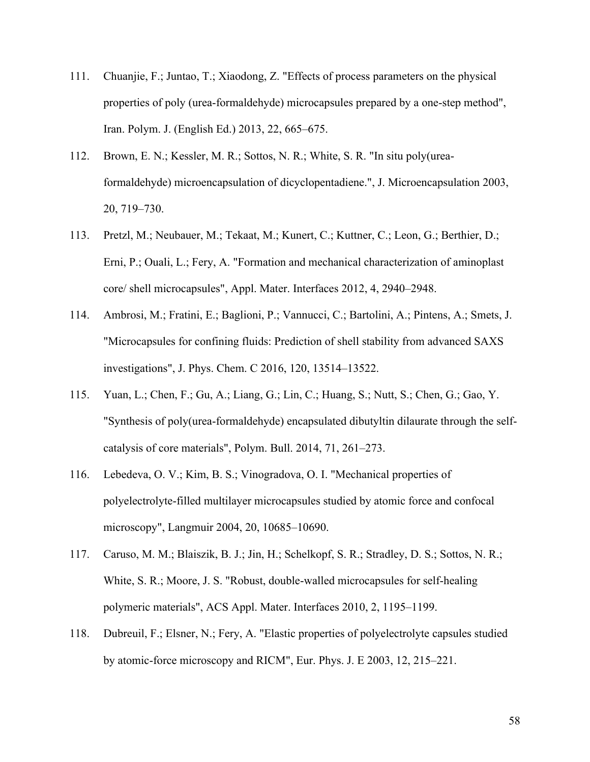- 111. Chuanjie, F.; Juntao, T.; Xiaodong, Z. "Effects of process parameters on the physical properties of poly (urea-formaldehyde) microcapsules prepared by a one-step method", Iran. Polym. J. (English Ed.) 2013, 22, 665–675.
- 112. Brown, E. N.; Kessler, M. R.; Sottos, N. R.; White, S. R. "In situ poly(ureaformaldehyde) microencapsulation of dicyclopentadiene.", J. Microencapsulation 2003, 20, 719–730.
- 113. Pretzl, M.; Neubauer, M.; Tekaat, M.; Kunert, C.; Kuttner, C.; Leon, G.; Berthier, D.; Erni, P.; Ouali, L.; Fery, A. "Formation and mechanical characterization of aminoplast core/ shell microcapsules", Appl. Mater. Interfaces 2012, 4, 2940–2948.
- 114. Ambrosi, M.; Fratini, E.; Baglioni, P.; Vannucci, C.; Bartolini, A.; Pintens, A.; Smets, J. "Microcapsules for confining fluids: Prediction of shell stability from advanced SAXS investigations", J. Phys. Chem. C 2016, 120, 13514–13522.
- 115. Yuan, L.; Chen, F.; Gu, A.; Liang, G.; Lin, C.; Huang, S.; Nutt, S.; Chen, G.; Gao, Y. "Synthesis of poly(urea-formaldehyde) encapsulated dibutyltin dilaurate through the selfcatalysis of core materials", Polym. Bull. 2014, 71, 261–273.
- 116. Lebedeva, O. V.; Kim, B. S.; Vinogradova, O. I. "Mechanical properties of polyelectrolyte-filled multilayer microcapsules studied by atomic force and confocal microscopy", Langmuir 2004, 20, 10685–10690.
- 117. Caruso, M. M.; Blaiszik, B. J.; Jin, H.; Schelkopf, S. R.; Stradley, D. S.; Sottos, N. R.; White, S. R.; Moore, J. S. "Robust, double-walled microcapsules for self-healing polymeric materials", ACS Appl. Mater. Interfaces 2010, 2, 1195–1199.
- 118. Dubreuil, F.; Elsner, N.; Fery, A. "Elastic properties of polyelectrolyte capsules studied by atomic-force microscopy and RICM", Eur. Phys. J. E 2003, 12, 215–221.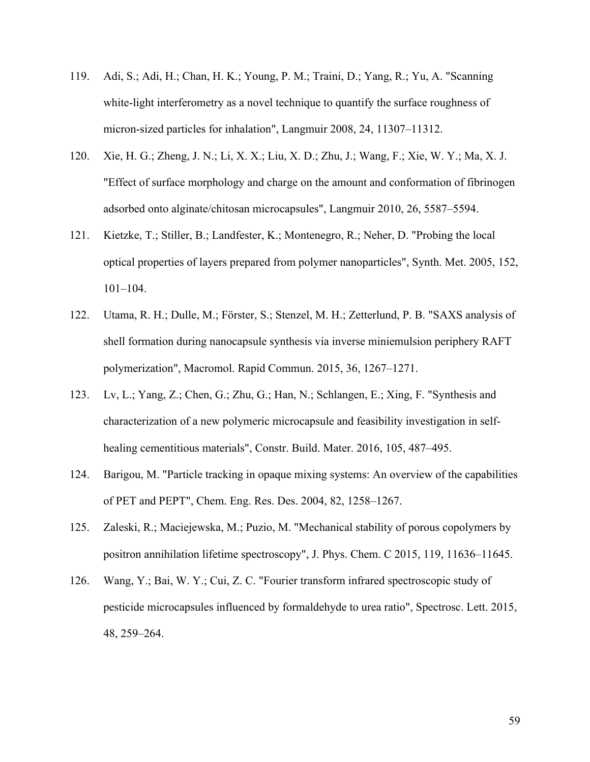- 119. Adi, S.; Adi, H.; Chan, H. K.; Young, P. M.; Traini, D.; Yang, R.; Yu, A. "Scanning white-light interferometry as a novel technique to quantify the surface roughness of micron-sized particles for inhalation", Langmuir 2008, 24, 11307–11312.
- 120. Xie, H. G.; Zheng, J. N.; Li, X. X.; Liu, X. D.; Zhu, J.; Wang, F.; Xie, W. Y.; Ma, X. J. "Effect of surface morphology and charge on the amount and conformation of fibrinogen adsorbed onto alginate/chitosan microcapsules", Langmuir 2010, 26, 5587–5594.
- 121. Kietzke, T.; Stiller, B.; Landfester, K.; Montenegro, R.; Neher, D. "Probing the local optical properties of layers prepared from polymer nanoparticles", Synth. Met. 2005, 152, 101–104.
- 122. Utama, R. H.; Dulle, M.; Förster, S.; Stenzel, M. H.; Zetterlund, P. B. "SAXS analysis of shell formation during nanocapsule synthesis via inverse miniemulsion periphery RAFT polymerization", Macromol. Rapid Commun. 2015, 36, 1267–1271.
- 123. Lv, L.; Yang, Z.; Chen, G.; Zhu, G.; Han, N.; Schlangen, E.; Xing, F. "Synthesis and characterization of a new polymeric microcapsule and feasibility investigation in selfhealing cementitious materials", Constr. Build. Mater. 2016, 105, 487–495.
- 124. Barigou, M. "Particle tracking in opaque mixing systems: An overview of the capabilities of PET and PEPT", Chem. Eng. Res. Des. 2004, 82, 1258–1267.
- 125. Zaleski, R.; Maciejewska, M.; Puzio, M. "Mechanical stability of porous copolymers by positron annihilation lifetime spectroscopy", J. Phys. Chem. C 2015, 119, 11636–11645.
- 126. Wang, Y.; Bai, W. Y.; Cui, Z. C. "Fourier transform infrared spectroscopic study of pesticide microcapsules influenced by formaldehyde to urea ratio", Spectrosc. Lett. 2015, 48, 259–264.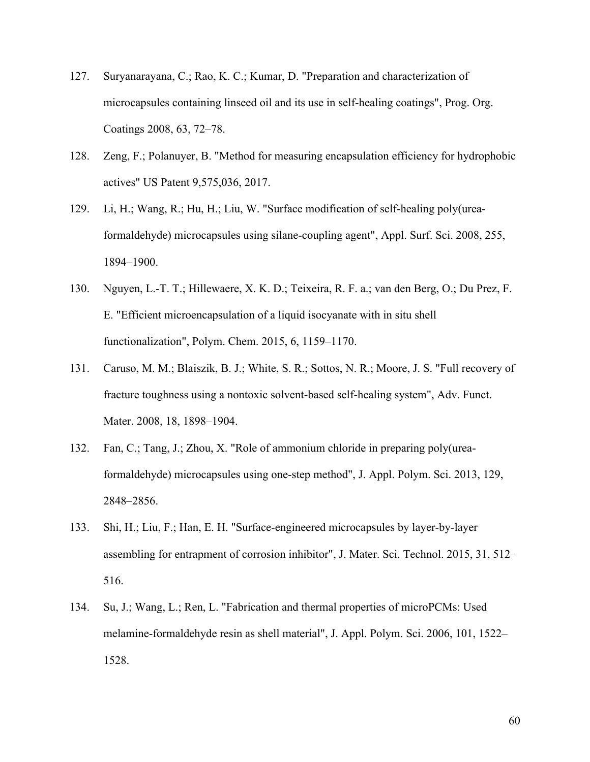- 127. Suryanarayana, C.; Rao, K. C.; Kumar, D. "Preparation and characterization of microcapsules containing linseed oil and its use in self-healing coatings", Prog. Org. Coatings 2008, 63, 72–78.
- 128. Zeng, F.; Polanuyer, B. "Method for measuring encapsulation efficiency for hydrophobic actives" US Patent 9,575,036, 2017.
- 129. Li, H.; Wang, R.; Hu, H.; Liu, W. "Surface modification of self-healing poly(ureaformaldehyde) microcapsules using silane-coupling agent", Appl. Surf. Sci. 2008, 255, 1894–1900.
- 130. Nguyen, L.-T. T.; Hillewaere, X. K. D.; Teixeira, R. F. a.; van den Berg, O.; Du Prez, F. E. "Efficient microencapsulation of a liquid isocyanate with in situ shell functionalization", Polym. Chem. 2015, 6, 1159–1170.
- 131. Caruso, M. M.; Blaiszik, B. J.; White, S. R.; Sottos, N. R.; Moore, J. S. "Full recovery of fracture toughness using a nontoxic solvent-based self-healing system", Adv. Funct. Mater. 2008, 18, 1898–1904.
- 132. Fan, C.; Tang, J.; Zhou, X. "Role of ammonium chloride in preparing poly(ureaformaldehyde) microcapsules using one-step method", J. Appl. Polym. Sci. 2013, 129, 2848–2856.
- 133. Shi, H.; Liu, F.; Han, E. H. "Surface-engineered microcapsules by layer-by-layer assembling for entrapment of corrosion inhibitor", J. Mater. Sci. Technol. 2015, 31, 512– 516.
- 134. Su, J.; Wang, L.; Ren, L. "Fabrication and thermal properties of microPCMs: Used melamine-formaldehyde resin as shell material", J. Appl. Polym. Sci. 2006, 101, 1522– 1528.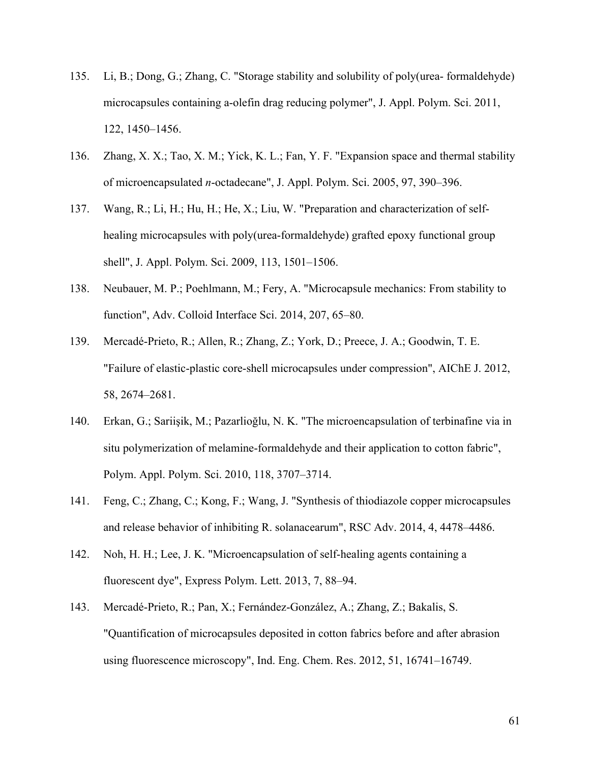- 135. Li, B.; Dong, G.; Zhang, C. "Storage stability and solubility of poly(urea- formaldehyde) microcapsules containing a-olefin drag reducing polymer", J. Appl. Polym. Sci. 2011, 122, 1450–1456.
- 136. Zhang, X. X.; Tao, X. M.; Yick, K. L.; Fan, Y. F. "Expansion space and thermal stability of microencapsulated *n*-octadecane", J. Appl. Polym. Sci. 2005, 97, 390–396.
- 137. Wang, R.; Li, H.; Hu, H.; He, X.; Liu, W. "Preparation and characterization of selfhealing microcapsules with poly(urea-formaldehyde) grafted epoxy functional group shell", J. Appl. Polym. Sci. 2009, 113, 1501–1506.
- 138. Neubauer, M. P.; Poehlmann, M.; Fery, A. "Microcapsule mechanics: From stability to function", Adv. Colloid Interface Sci. 2014, 207, 65–80.
- 139. Mercadé-Prieto, R.; Allen, R.; Zhang, Z.; York, D.; Preece, J. A.; Goodwin, T. E. "Failure of elastic-plastic core-shell microcapsules under compression", AIChE J. 2012, 58, 2674–2681.
- 140. Erkan, G.; Sariişik, M.; Pazarlioğlu, N. K. "The microencapsulation of terbinafine via in situ polymerization of melamine-formaldehyde and their application to cotton fabric", Polym. Appl. Polym. Sci. 2010, 118, 3707–3714.
- 141. Feng, C.; Zhang, C.; Kong, F.; Wang, J. "Synthesis of thiodiazole copper microcapsules and release behavior of inhibiting R. solanacearum", RSC Adv. 2014, 4, 4478–4486.
- 142. Noh, H. H.; Lee, J. K. "Microencapsulation of self-healing agents containing a fluorescent dye", Express Polym. Lett. 2013, 7, 88–94.
- 143. Mercadé-Prieto, R.; Pan, X.; Fernández-González, A.; Zhang, Z.; Bakalis, S. "Quantification of microcapsules deposited in cotton fabrics before and after abrasion using fluorescence microscopy", Ind. Eng. Chem. Res. 2012, 51, 16741–16749.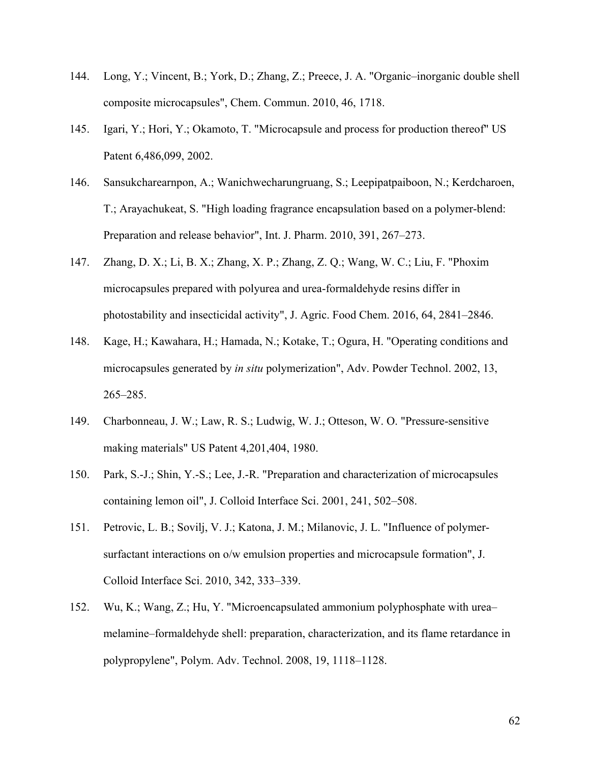- 144. Long, Y.; Vincent, B.; York, D.; Zhang, Z.; Preece, J. A. "Organic–inorganic double shell composite microcapsules", Chem. Commun. 2010, 46, 1718.
- 145. Igari, Y.; Hori, Y.; Okamoto, T. "Microcapsule and process for production thereof" US Patent 6,486,099, 2002.
- 146. Sansukcharearnpon, A.; Wanichwecharungruang, S.; Leepipatpaiboon, N.; Kerdcharoen, T.; Arayachukeat, S. "High loading fragrance encapsulation based on a polymer-blend: Preparation and release behavior", Int. J. Pharm. 2010, 391, 267–273.
- 147. Zhang, D. X.; Li, B. X.; Zhang, X. P.; Zhang, Z. Q.; Wang, W. C.; Liu, F. "Phoxim microcapsules prepared with polyurea and urea-formaldehyde resins differ in photostability and insecticidal activity", J. Agric. Food Chem. 2016, 64, 2841–2846.
- 148. Kage, H.; Kawahara, H.; Hamada, N.; Kotake, T.; Ogura, H. "Operating conditions and microcapsules generated by *in situ* polymerization", Adv. Powder Technol. 2002, 13, 265–285.
- 149. Charbonneau, J. W.; Law, R. S.; Ludwig, W. J.; Otteson, W. O. "Pressure-sensitive making materials" US Patent 4,201,404, 1980.
- 150. Park, S.-J.; Shin, Y.-S.; Lee, J.-R. "Preparation and characterization of microcapsules containing lemon oil", J. Colloid Interface Sci. 2001, 241, 502–508.
- 151. Petrovic, L. B.; Sovilj, V. J.; Katona, J. M.; Milanovic, J. L. "Influence of polymersurfactant interactions on o/w emulsion properties and microcapsule formation", J. Colloid Interface Sci. 2010, 342, 333–339.
- 152. Wu, K.; Wang, Z.; Hu, Y. "Microencapsulated ammonium polyphosphate with urea– melamine–formaldehyde shell: preparation, characterization, and its flame retardance in polypropylene", Polym. Adv. Technol. 2008, 19, 1118–1128.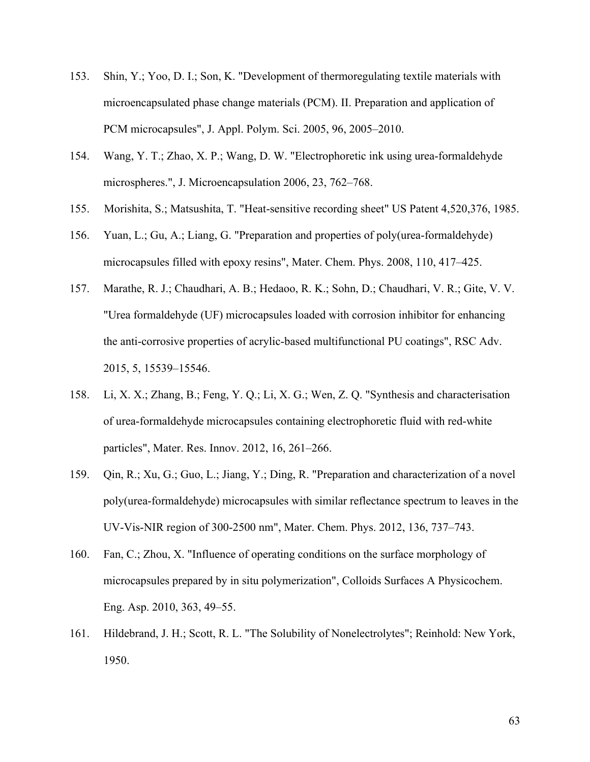- 153. Shin, Y.; Yoo, D. I.; Son, K. "Development of thermoregulating textile materials with microencapsulated phase change materials (PCM). II. Preparation and application of PCM microcapsules", J. Appl. Polym. Sci. 2005, 96, 2005–2010.
- 154. Wang, Y. T.; Zhao, X. P.; Wang, D. W. "Electrophoretic ink using urea-formaldehyde microspheres.", J. Microencapsulation 2006, 23, 762–768.
- 155. Morishita, S.; Matsushita, T. "Heat-sensitive recording sheet" US Patent 4,520,376, 1985.
- 156. Yuan, L.; Gu, A.; Liang, G. "Preparation and properties of poly(urea-formaldehyde) microcapsules filled with epoxy resins", Mater. Chem. Phys. 2008, 110, 417–425.
- 157. Marathe, R. J.; Chaudhari, A. B.; Hedaoo, R. K.; Sohn, D.; Chaudhari, V. R.; Gite, V. V. "Urea formaldehyde (UF) microcapsules loaded with corrosion inhibitor for enhancing the anti-corrosive properties of acrylic-based multifunctional PU coatings", RSC Adv. 2015, 5, 15539–15546.
- 158. Li, X. X.; Zhang, B.; Feng, Y. Q.; Li, X. G.; Wen, Z. Q. "Synthesis and characterisation of urea-formaldehyde microcapsules containing electrophoretic fluid with red-white particles", Mater. Res. Innov. 2012, 16, 261–266.
- 159. Qin, R.; Xu, G.; Guo, L.; Jiang, Y.; Ding, R. "Preparation and characterization of a novel poly(urea-formaldehyde) microcapsules with similar reflectance spectrum to leaves in the UV-Vis-NIR region of 300-2500 nm", Mater. Chem. Phys. 2012, 136, 737–743.
- 160. Fan, C.; Zhou, X. "Influence of operating conditions on the surface morphology of microcapsules prepared by in situ polymerization", Colloids Surfaces A Physicochem. Eng. Asp. 2010, 363, 49–55.
- 161. Hildebrand, J. H.; Scott, R. L. "The Solubility of Nonelectrolytes"; Reinhold: New York, 1950.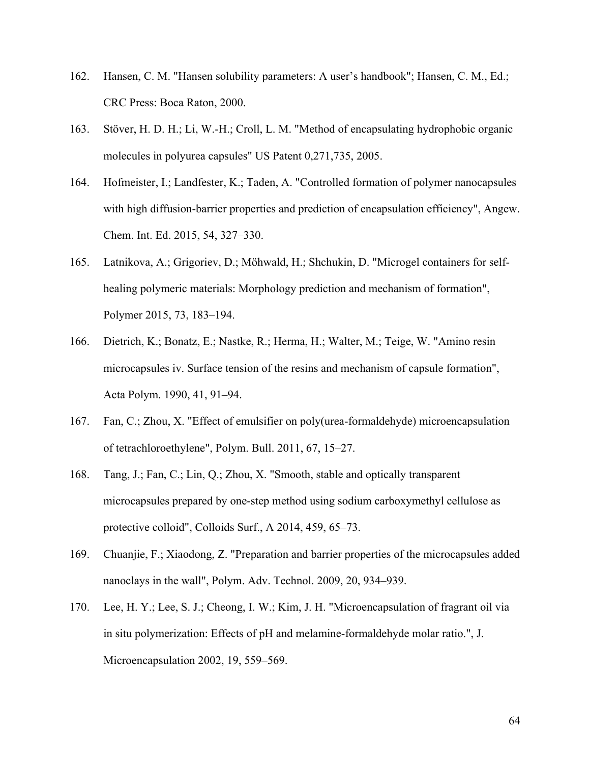- 162. Hansen, C. M. "Hansen solubility parameters: A user's handbook"; Hansen, C. M., Ed.; CRC Press: Boca Raton, 2000.
- 163. Stöver, H. D. H.; Li, W.-H.; Croll, L. M. "Method of encapsulating hydrophobic organic molecules in polyurea capsules" US Patent 0,271,735, 2005.
- 164. Hofmeister, I.; Landfester, K.; Taden, A. "Controlled formation of polymer nanocapsules with high diffusion-barrier properties and prediction of encapsulation efficiency", Angew. Chem. Int. Ed. 2015, 54, 327–330.
- 165. Latnikova, A.; Grigoriev, D.; Möhwald, H.; Shchukin, D. "Microgel containers for selfhealing polymeric materials: Morphology prediction and mechanism of formation", Polymer 2015, 73, 183–194.
- 166. Dietrich, K.; Bonatz, E.; Nastke, R.; Herma, H.; Walter, M.; Teige, W. "Amino resin microcapsules iv. Surface tension of the resins and mechanism of capsule formation", Acta Polym. 1990, 41, 91–94.
- 167. Fan, C.; Zhou, X. "Effect of emulsifier on poly(urea-formaldehyde) microencapsulation of tetrachloroethylene", Polym. Bull. 2011, 67, 15–27.
- 168. Tang, J.; Fan, C.; Lin, Q.; Zhou, X. "Smooth, stable and optically transparent microcapsules prepared by one-step method using sodium carboxymethyl cellulose as protective colloid", Colloids Surf., A 2014, 459, 65–73.
- 169. Chuanjie, F.; Xiaodong, Z. "Preparation and barrier properties of the microcapsules added nanoclays in the wall", Polym. Adv. Technol. 2009, 20, 934–939.
- 170. Lee, H. Y.; Lee, S. J.; Cheong, I. W.; Kim, J. H. "Microencapsulation of fragrant oil via in situ polymerization: Effects of pH and melamine-formaldehyde molar ratio.", J. Microencapsulation 2002, 19, 559–569.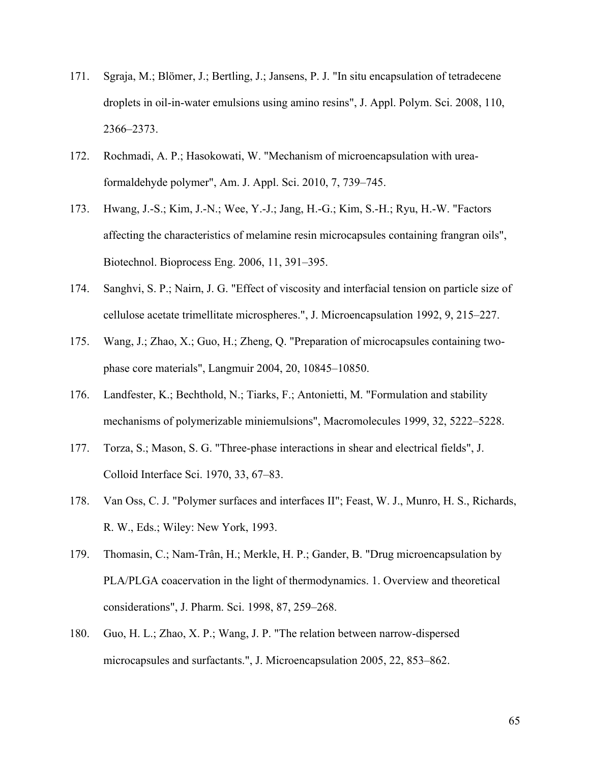- 171. Sgraja, M.; Blömer, J.; Bertling, J.; Jansens, P. J. "In situ encapsulation of tetradecene droplets in oil-in-water emulsions using amino resins", J. Appl. Polym. Sci. 2008, 110, 2366–2373.
- 172. Rochmadi, A. P.; Hasokowati, W. "Mechanism of microencapsulation with ureaformaldehyde polymer", Am. J. Appl. Sci. 2010, 7, 739–745.
- 173. Hwang, J.-S.; Kim, J.-N.; Wee, Y.-J.; Jang, H.-G.; Kim, S.-H.; Ryu, H.-W. "Factors affecting the characteristics of melamine resin microcapsules containing frangran oils", Biotechnol. Bioprocess Eng. 2006, 11, 391–395.
- 174. Sanghvi, S. P.; Nairn, J. G. "Effect of viscosity and interfacial tension on particle size of cellulose acetate trimellitate microspheres.", J. Microencapsulation 1992, 9, 215–227.
- 175. Wang, J.; Zhao, X.; Guo, H.; Zheng, Q. "Preparation of microcapsules containing twophase core materials", Langmuir 2004, 20, 10845–10850.
- 176. Landfester, K.; Bechthold, N.; Tiarks, F.; Antonietti, M. "Formulation and stability mechanisms of polymerizable miniemulsions", Macromolecules 1999, 32, 5222–5228.
- 177. Torza, S.; Mason, S. G. "Three-phase interactions in shear and electrical fields", J. Colloid Interface Sci. 1970, 33, 67–83.
- 178. Van Oss, C. J. "Polymer surfaces and interfaces II"; Feast, W. J., Munro, H. S., Richards, R. W., Eds.; Wiley: New York, 1993.
- 179. Thomasin, C.; Nam-Trân, H.; Merkle, H. P.; Gander, B. "Drug microencapsulation by PLA/PLGA coacervation in the light of thermodynamics. 1. Overview and theoretical considerations", J. Pharm. Sci. 1998, 87, 259–268.
- 180. Guo, H. L.; Zhao, X. P.; Wang, J. P. "The relation between narrow-dispersed microcapsules and surfactants.", J. Microencapsulation 2005, 22, 853–862.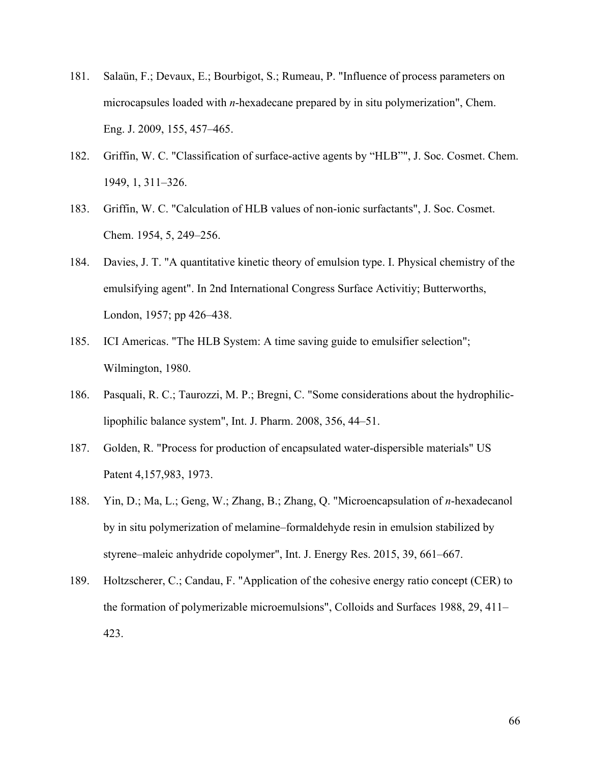- 181. Salaün, F.; Devaux, E.; Bourbigot, S.; Rumeau, P. "Influence of process parameters on microcapsules loaded with *n*-hexadecane prepared by in situ polymerization", Chem. Eng. J. 2009, 155, 457–465.
- 182. Griffin, W. C. "Classification of surface-active agents by "HLB"", J. Soc. Cosmet. Chem. 1949, 1, 311–326.
- 183. Griffin, W. C. "Calculation of HLB values of non-ionic surfactants", J. Soc. Cosmet. Chem. 1954, 5, 249–256.
- 184. Davies, J. T. "A quantitative kinetic theory of emulsion type. I. Physical chemistry of the emulsifying agent". In 2nd International Congress Surface Activitiy; Butterworths, London, 1957; pp 426–438.
- 185. ICI Americas. "The HLB System: A time saving guide to emulsifier selection"; Wilmington, 1980.
- 186. Pasquali, R. C.; Taurozzi, M. P.; Bregni, C. "Some considerations about the hydrophiliclipophilic balance system", Int. J. Pharm. 2008, 356, 44–51.
- 187. Golden, R. "Process for production of encapsulated water-dispersible materials" US Patent 4,157,983, 1973.
- 188. Yin, D.; Ma, L.; Geng, W.; Zhang, B.; Zhang, Q. "Microencapsulation of *n*-hexadecanol by in situ polymerization of melamine–formaldehyde resin in emulsion stabilized by styrene–maleic anhydride copolymer", Int. J. Energy Res. 2015, 39, 661–667.
- 189. Holtzscherer, C.; Candau, F. "Application of the cohesive energy ratio concept (CER) to the formation of polymerizable microemulsions", Colloids and Surfaces 1988, 29, 411– 423.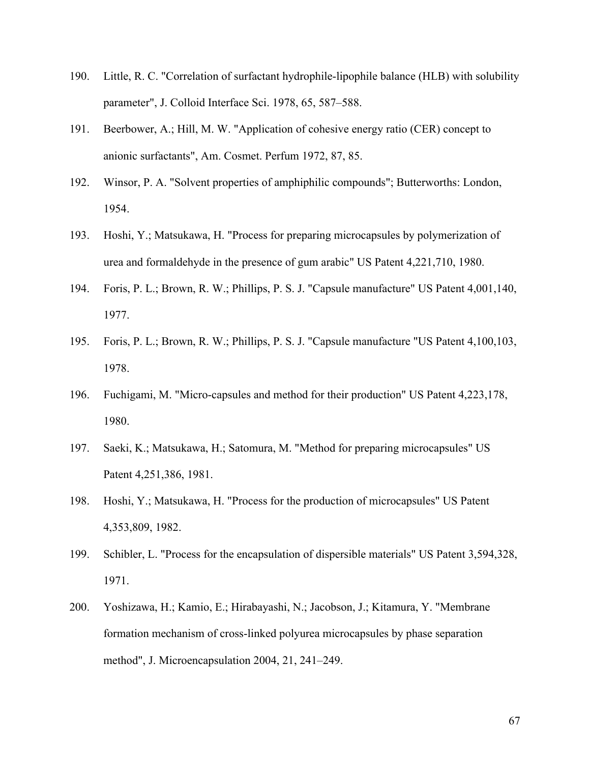- 190. Little, R. C. "Correlation of surfactant hydrophile-lipophile balance (HLB) with solubility parameter", J. Colloid Interface Sci. 1978, 65, 587–588.
- 191. Beerbower, A.; Hill, M. W. "Application of cohesive energy ratio (CER) concept to anionic surfactants", Am. Cosmet. Perfum 1972, 87, 85.
- 192. Winsor, P. A. "Solvent properties of amphiphilic compounds"; Butterworths: London, 1954.
- 193. Hoshi, Y.; Matsukawa, H. "Process for preparing microcapsules by polymerization of urea and formaldehyde in the presence of gum arabic" US Patent 4,221,710, 1980.
- 194. Foris, P. L.; Brown, R. W.; Phillips, P. S. J. "Capsule manufacture" US Patent 4,001,140, 1977.
- 195. Foris, P. L.; Brown, R. W.; Phillips, P. S. J. "Capsule manufacture "US Patent 4,100,103, 1978.
- 196. Fuchigami, M. "Micro-capsules and method for their production" US Patent 4,223,178, 1980.
- 197. Saeki, K.; Matsukawa, H.; Satomura, M. "Method for preparing microcapsules" US Patent 4,251,386, 1981.
- 198. Hoshi, Y.; Matsukawa, H. "Process for the production of microcapsules" US Patent 4,353,809, 1982.
- 199. Schibler, L. "Process for the encapsulation of dispersible materials" US Patent 3,594,328, 1971.
- 200. Yoshizawa, H.; Kamio, E.; Hirabayashi, N.; Jacobson, J.; Kitamura, Y. "Membrane formation mechanism of cross-linked polyurea microcapsules by phase separation method", J. Microencapsulation 2004, 21, 241–249.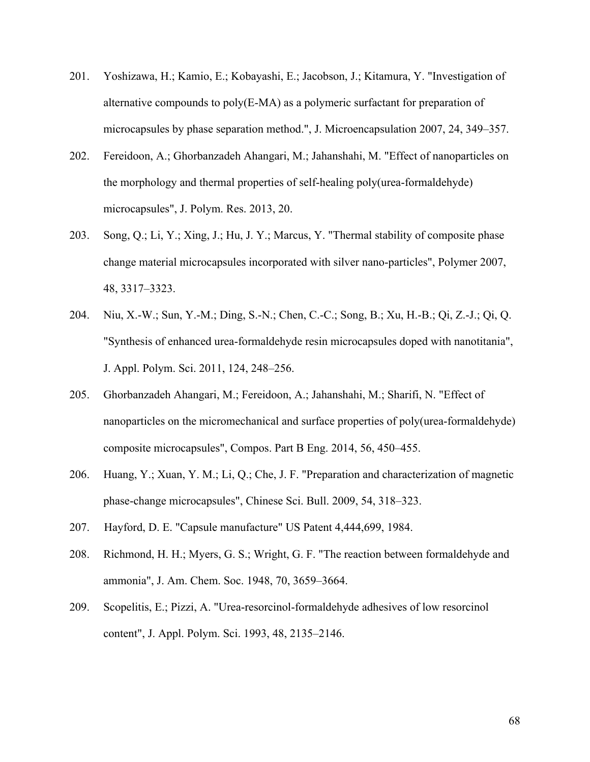- 201. Yoshizawa, H.; Kamio, E.; Kobayashi, E.; Jacobson, J.; Kitamura, Y. "Investigation of alternative compounds to poly(E-MA) as a polymeric surfactant for preparation of microcapsules by phase separation method.", J. Microencapsulation 2007, 24, 349–357.
- 202. Fereidoon, A.; Ghorbanzadeh Ahangari, M.; Jahanshahi, M. "Effect of nanoparticles on the morphology and thermal properties of self-healing poly(urea-formaldehyde) microcapsules", J. Polym. Res. 2013, 20.
- 203. Song, Q.; Li, Y.; Xing, J.; Hu, J. Y.; Marcus, Y. "Thermal stability of composite phase change material microcapsules incorporated with silver nano-particles", Polymer 2007, 48, 3317–3323.
- 204. Niu, X.-W.; Sun, Y.-M.; Ding, S.-N.; Chen, C.-C.; Song, B.; Xu, H.-B.; Qi, Z.-J.; Qi, Q. "Synthesis of enhanced urea-formaldehyde resin microcapsules doped with nanotitania", J. Appl. Polym. Sci. 2011, 124, 248–256.
- 205. Ghorbanzadeh Ahangari, M.; Fereidoon, A.; Jahanshahi, M.; Sharifi, N. "Effect of nanoparticles on the micromechanical and surface properties of poly(urea-formaldehyde) composite microcapsules", Compos. Part B Eng. 2014, 56, 450–455.
- 206. Huang, Y.; Xuan, Y. M.; Li, Q.; Che, J. F. "Preparation and characterization of magnetic phase-change microcapsules", Chinese Sci. Bull. 2009, 54, 318–323.
- 207. Hayford, D. E. "Capsule manufacture" US Patent 4,444,699, 1984.
- 208. Richmond, H. H.; Myers, G. S.; Wright, G. F. "The reaction between formaldehyde and ammonia", J. Am. Chem. Soc. 1948, 70, 3659–3664.
- 209. Scopelitis, E.; Pizzi, A. "Urea-resorcinol-formaldehyde adhesives of low resorcinol content", J. Appl. Polym. Sci. 1993, 48, 2135–2146.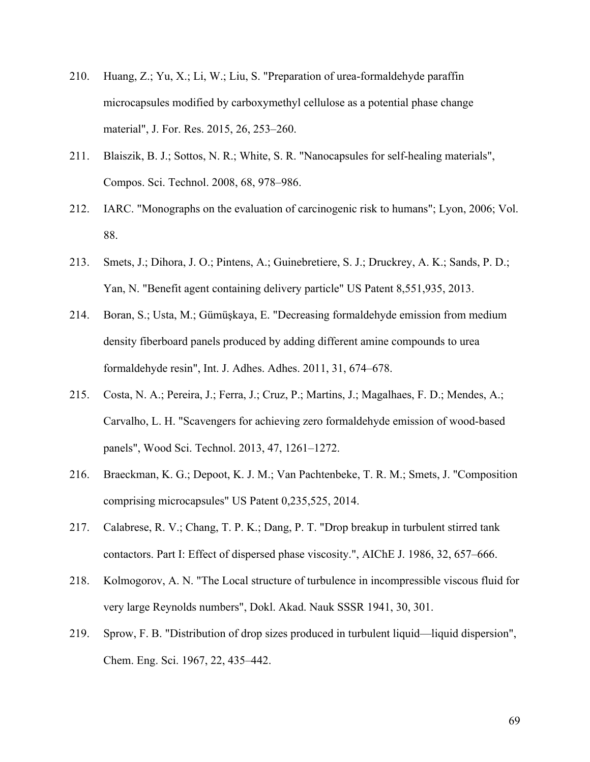- 210. Huang, Z.; Yu, X.; Li, W.; Liu, S. "Preparation of urea-formaldehyde paraffin microcapsules modified by carboxymethyl cellulose as a potential phase change material", J. For. Res. 2015, 26, 253–260.
- 211. Blaiszik, B. J.; Sottos, N. R.; White, S. R. "Nanocapsules for self-healing materials", Compos. Sci. Technol. 2008, 68, 978–986.
- 212. IARC. "Monographs on the evaluation of carcinogenic risk to humans"; Lyon, 2006; Vol. 88.
- 213. Smets, J.; Dihora, J. O.; Pintens, A.; Guinebretiere, S. J.; Druckrey, A. K.; Sands, P. D.; Yan, N. "Benefit agent containing delivery particle" US Patent 8,551,935, 2013.
- 214. Boran, S.; Usta, M.; Gümüşkaya, E. "Decreasing formaldehyde emission from medium density fiberboard panels produced by adding different amine compounds to urea formaldehyde resin", Int. J. Adhes. Adhes. 2011, 31, 674–678.
- 215. Costa, N. A.; Pereira, J.; Ferra, J.; Cruz, P.; Martins, J.; Magalhaes, F. D.; Mendes, A.; Carvalho, L. H. "Scavengers for achieving zero formaldehyde emission of wood-based panels", Wood Sci. Technol. 2013, 47, 1261–1272.
- 216. Braeckman, K. G.; Depoot, K. J. M.; Van Pachtenbeke, T. R. M.; Smets, J. "Composition comprising microcapsules" US Patent 0,235,525, 2014.
- 217. Calabrese, R. V.; Chang, T. P. K.; Dang, P. T. "Drop breakup in turbulent stirred tank contactors. Part I: Effect of dispersed phase viscosity.", AIChE J. 1986, 32, 657–666.
- 218. Kolmogorov, A. N. "The Local structure of turbulence in incompressible viscous fluid for very large Reynolds numbers", Dokl. Akad. Nauk SSSR 1941, 30, 301.
- 219. Sprow, F. B. "Distribution of drop sizes produced in turbulent liquid—liquid dispersion", Chem. Eng. Sci. 1967, 22, 435–442.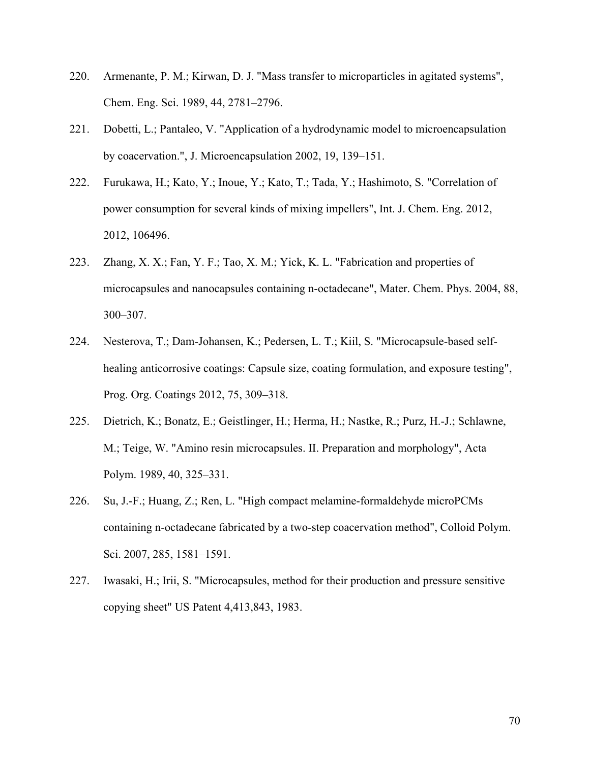- 220. Armenante, P. M.; Kirwan, D. J. "Mass transfer to microparticles in agitated systems", Chem. Eng. Sci. 1989, 44, 2781–2796.
- 221. Dobetti, L.; Pantaleo, V. "Application of a hydrodynamic model to microencapsulation by coacervation.", J. Microencapsulation 2002, 19, 139–151.
- 222. Furukawa, H.; Kato, Y.; Inoue, Y.; Kato, T.; Tada, Y.; Hashimoto, S. "Correlation of power consumption for several kinds of mixing impellers", Int. J. Chem. Eng. 2012, 2012, 106496.
- 223. Zhang, X. X.; Fan, Y. F.; Tao, X. M.; Yick, K. L. "Fabrication and properties of microcapsules and nanocapsules containing n-octadecane", Mater. Chem. Phys. 2004, 88, 300–307.
- 224. Nesterova, T.; Dam-Johansen, K.; Pedersen, L. T.; Kiil, S. "Microcapsule-based selfhealing anticorrosive coatings: Capsule size, coating formulation, and exposure testing", Prog. Org. Coatings 2012, 75, 309–318.
- 225. Dietrich, K.; Bonatz, E.; Geistlinger, H.; Herma, H.; Nastke, R.; Purz, H.-J.; Schlawne, M.; Teige, W. "Amino resin microcapsules. II. Preparation and morphology", Acta Polym. 1989, 40, 325–331.
- 226. Su, J.-F.; Huang, Z.; Ren, L. "High compact melamine-formaldehyde microPCMs containing n-octadecane fabricated by a two-step coacervation method", Colloid Polym. Sci. 2007, 285, 1581–1591.
- 227. Iwasaki, H.; Irii, S. "Microcapsules, method for their production and pressure sensitive copying sheet" US Patent 4,413,843, 1983.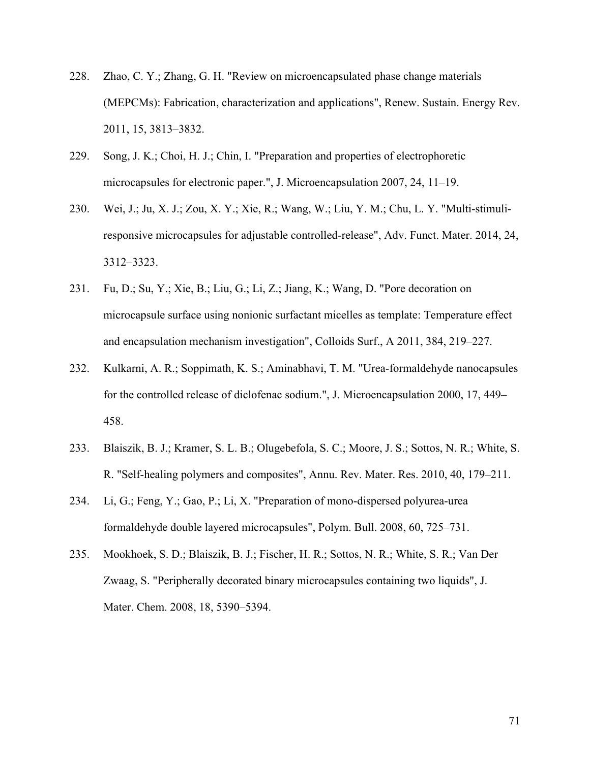- 228. Zhao, C. Y.; Zhang, G. H. "Review on microencapsulated phase change materials (MEPCMs): Fabrication, characterization and applications", Renew. Sustain. Energy Rev. 2011, 15, 3813–3832.
- 229. Song, J. K.; Choi, H. J.; Chin, I. "Preparation and properties of electrophoretic microcapsules for electronic paper.", J. Microencapsulation 2007, 24, 11–19.
- 230. Wei, J.; Ju, X. J.; Zou, X. Y.; Xie, R.; Wang, W.; Liu, Y. M.; Chu, L. Y. "Multi-stimuliresponsive microcapsules for adjustable controlled-release", Adv. Funct. Mater. 2014, 24, 3312–3323.
- 231. Fu, D.; Su, Y.; Xie, B.; Liu, G.; Li, Z.; Jiang, K.; Wang, D. "Pore decoration on microcapsule surface using nonionic surfactant micelles as template: Temperature effect and encapsulation mechanism investigation", Colloids Surf., A 2011, 384, 219–227.
- 232. Kulkarni, A. R.; Soppimath, K. S.; Aminabhavi, T. M. "Urea-formaldehyde nanocapsules for the controlled release of diclofenac sodium.", J. Microencapsulation 2000, 17, 449– 458.
- 233. Blaiszik, B. J.; Kramer, S. L. B.; Olugebefola, S. C.; Moore, J. S.; Sottos, N. R.; White, S. R. "Self-healing polymers and composites", Annu. Rev. Mater. Res. 2010, 40, 179–211.
- 234. Li, G.; Feng, Y.; Gao, P.; Li, X. "Preparation of mono-dispersed polyurea-urea formaldehyde double layered microcapsules", Polym. Bull. 2008, 60, 725–731.
- 235. Mookhoek, S. D.; Blaiszik, B. J.; Fischer, H. R.; Sottos, N. R.; White, S. R.; Van Der Zwaag, S. "Peripherally decorated binary microcapsules containing two liquids", J. Mater. Chem. 2008, 18, 5390–5394.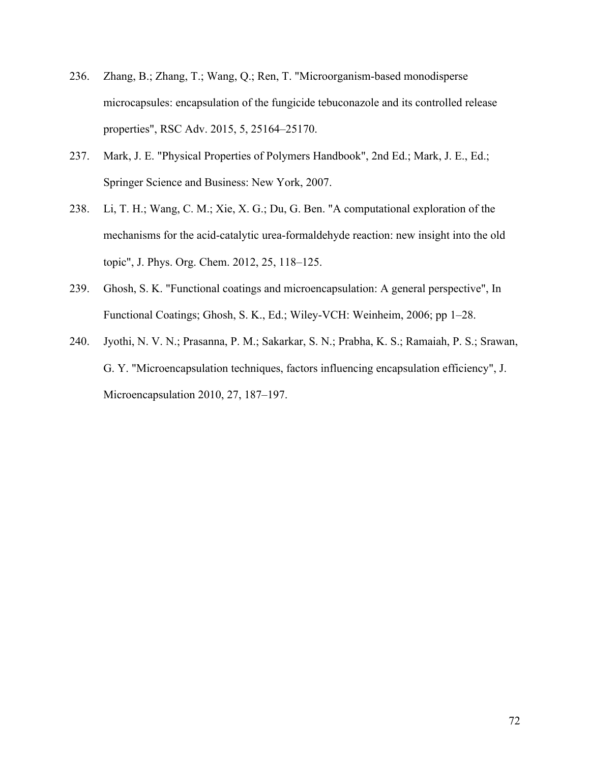- 236. Zhang, B.; Zhang, T.; Wang, Q.; Ren, T. "Microorganism-based monodisperse microcapsules: encapsulation of the fungicide tebuconazole and its controlled release properties", RSC Adv. 2015, 5, 25164–25170.
- 237. Mark, J. E. "Physical Properties of Polymers Handbook", 2nd Ed.; Mark, J. E., Ed.; Springer Science and Business: New York, 2007.
- 238. Li, T. H.; Wang, C. M.; Xie, X. G.; Du, G. Ben. "A computational exploration of the mechanisms for the acid-catalytic urea-formaldehyde reaction: new insight into the old topic", J. Phys. Org. Chem. 2012, 25, 118–125.
- 239. Ghosh, S. K. "Functional coatings and microencapsulation: A general perspective", In Functional Coatings; Ghosh, S. K., Ed.; Wiley-VCH: Weinheim, 2006; pp 1–28.
- 240. Jyothi, N. V. N.; Prasanna, P. M.; Sakarkar, S. N.; Prabha, K. S.; Ramaiah, P. S.; Srawan, G. Y. "Microencapsulation techniques, factors influencing encapsulation efficiency", J. Microencapsulation 2010, 27, 187–197.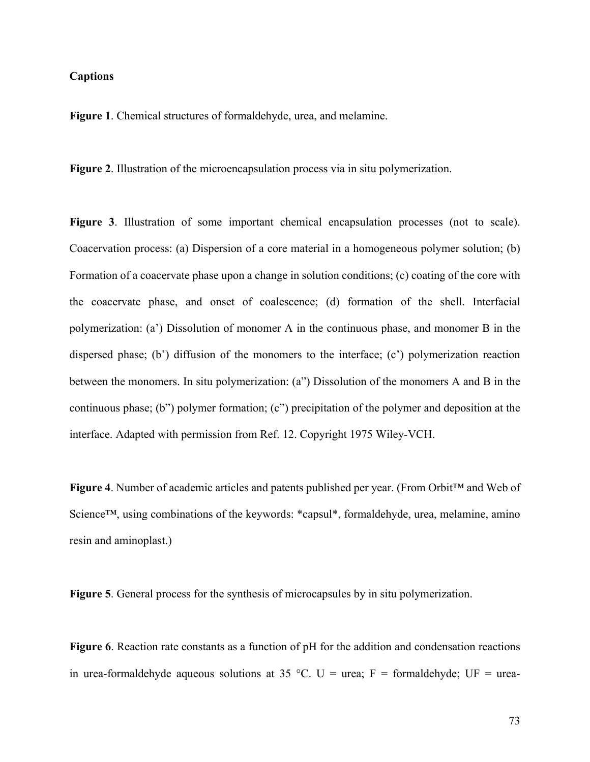## **Captions**

**Figure 1**. Chemical structures of formaldehyde, urea, and melamine.

**Figure 2**. Illustration of the microencapsulation process via in situ polymerization.

**Figure 3**. Illustration of some important chemical encapsulation processes (not to scale). Coacervation process: (a) Dispersion of a core material in a homogeneous polymer solution; (b) Formation of a coacervate phase upon a change in solution conditions; (c) coating of the core with the coacervate phase, and onset of coalescence; (d) formation of the shell. Interfacial polymerization: (a') Dissolution of monomer A in the continuous phase, and monomer B in the dispersed phase; (b') diffusion of the monomers to the interface; (c') polymerization reaction between the monomers. In situ polymerization: (a") Dissolution of the monomers A and B in the continuous phase; (b") polymer formation; (c") precipitation of the polymer and deposition at the interface. Adapted with permission from Ref. 12. Copyright 1975 Wiley-VCH.

**Figure 4**. Number of academic articles and patents published per year. (From Orbit™ and Web of Science<sup>™</sup>, using combinations of the keywords: \*capsul\*, formaldehyde, urea, melamine, amino resin and aminoplast.)

**Figure 5**. General process for the synthesis of microcapsules by in situ polymerization.

**Figure 6**. Reaction rate constants as a function of pH for the addition and condensation reactions in urea-formaldehyde aqueous solutions at 35 °C. U = urea; F = formaldehyde; UF = urea-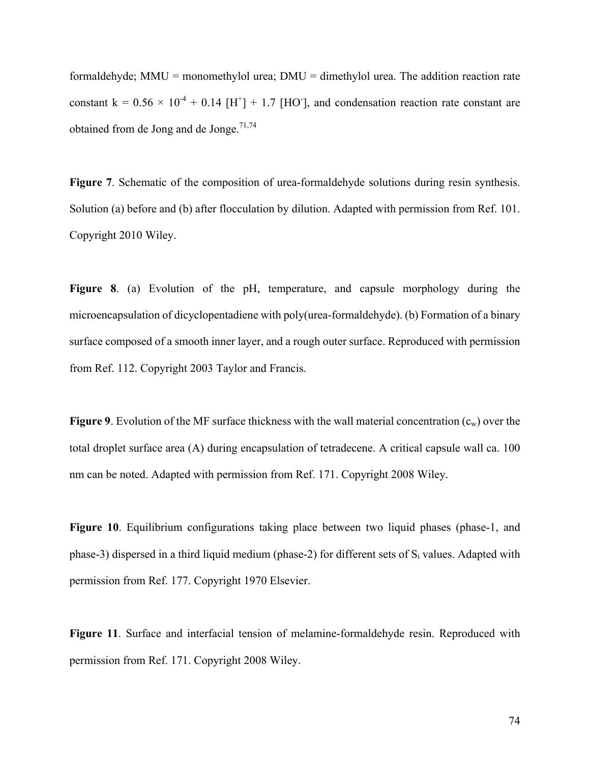formaldehyde;  $MMU =$  monomethylol urea;  $DMU =$  dimethylol urea. The addition reaction rate constant  $k = 0.56 \times 10^{-4} + 0.14$  [H<sup>+</sup>] + 1.7 [HO<sup>-</sup>], and condensation reaction rate constant are obtained from de Jong and de Jonge.<sup>71,74</sup>

**Figure 7**. Schematic of the composition of urea-formaldehyde solutions during resin synthesis. Solution (a) before and (b) after flocculation by dilution. Adapted with permission from Ref. 101. Copyright 2010 Wiley.

**Figure 8**. (a) Evolution of the pH, temperature, and capsule morphology during the microencapsulation of dicyclopentadiene with poly(urea-formaldehyde). (b) Formation of a binary surface composed of a smooth inner layer, and a rough outer surface. Reproduced with permission from Ref. 112. Copyright 2003 Taylor and Francis.

**Figure 9.** Evolution of the MF surface thickness with the wall material concentration  $(c_w)$  over the total droplet surface area (A) during encapsulation of tetradecene. A critical capsule wall ca. 100 nm can be noted. Adapted with permission from Ref. 171. Copyright 2008 Wiley.

Figure 10. Equilibrium configurations taking place between two liquid phases (phase-1, and phase-3) dispersed in a third liquid medium (phase-2) for different sets of  $S_i$  values. Adapted with permission from Ref. 177. Copyright 1970 Elsevier.

**Figure 11**. Surface and interfacial tension of melamine-formaldehyde resin. Reproduced with permission from Ref. 171. Copyright 2008 Wiley.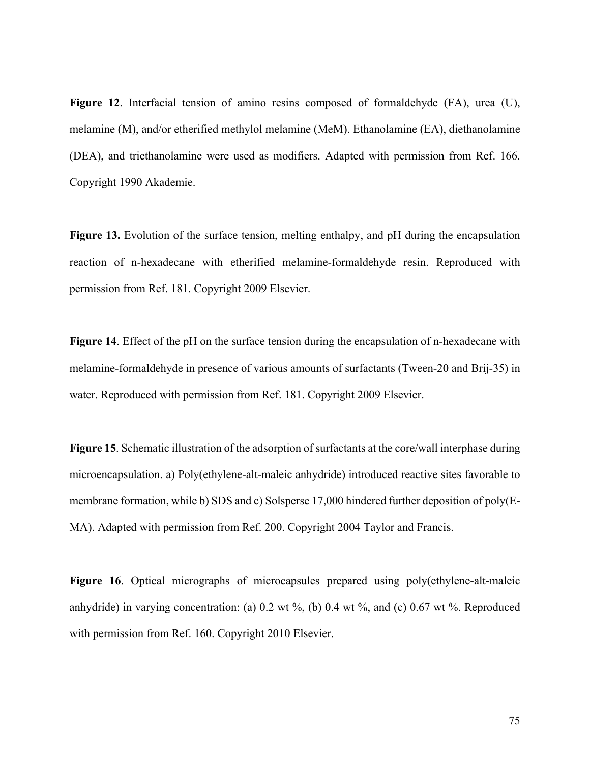**Figure 12**. Interfacial tension of amino resins composed of formaldehyde (FA), urea (U), melamine (M), and/or etherified methylol melamine (MeM). Ethanolamine (EA), diethanolamine (DEA), and triethanolamine were used as modifiers. Adapted with permission from Ref. 166. Copyright 1990 Akademie.

**Figure 13.** Evolution of the surface tension, melting enthalpy, and pH during the encapsulation reaction of n-hexadecane with etherified melamine-formaldehyde resin. Reproduced with permission from Ref. 181. Copyright 2009 Elsevier.

**Figure 14**. Effect of the pH on the surface tension during the encapsulation of n-hexadecane with melamine-formaldehyde in presence of various amounts of surfactants (Tween-20 and Brij-35) in water. Reproduced with permission from Ref. 181. Copyright 2009 Elsevier.

**Figure 15**. Schematic illustration of the adsorption of surfactants at the core/wall interphase during microencapsulation. a) Poly(ethylene-alt-maleic anhydride) introduced reactive sites favorable to membrane formation, while b) SDS and c) Solsperse 17,000 hindered further deposition of poly(E-MA). Adapted with permission from Ref. 200. Copyright 2004 Taylor and Francis.

Figure 16. Optical micrographs of microcapsules prepared using poly(ethylene-alt-maleic anhydride) in varying concentration: (a)  $0.2$  wt  $\%$ , (b)  $0.4$  wt  $\%$ , and (c)  $0.67$  wt  $\%$ . Reproduced with permission from Ref. 160. Copyright 2010 Elsevier.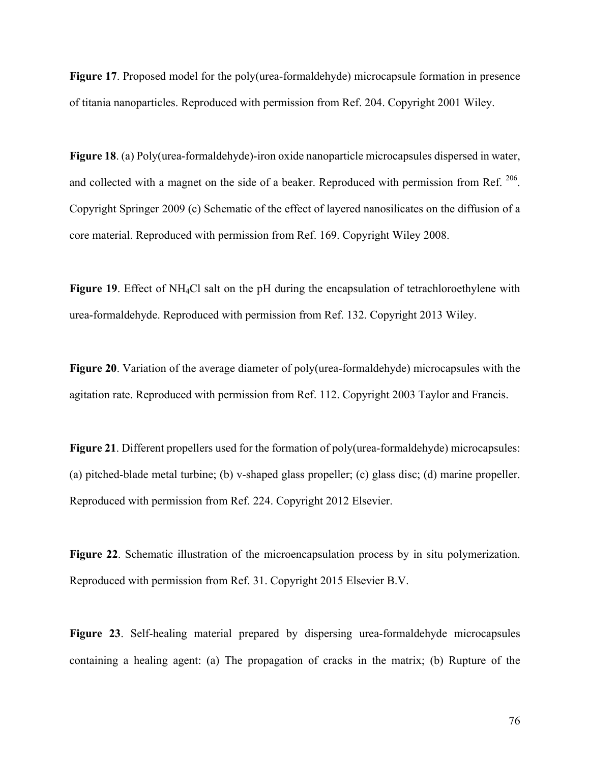**Figure 17**. Proposed model for the poly(urea-formaldehyde) microcapsule formation in presence of titania nanoparticles. Reproduced with permission from Ref. 204. Copyright 2001 Wiley.

**Figure 18**. (a) Poly(urea-formaldehyde)-iron oxide nanoparticle microcapsules dispersed in water, and collected with a magnet on the side of a beaker. Reproduced with permission from Ref.  $^{206}$ . Copyright Springer 2009 (c) Schematic of the effect of layered nanosilicates on the diffusion of a core material. Reproduced with permission from Ref. 169. Copyright Wiley 2008.

**Figure 19**. Effect of NH4Cl salt on the pH during the encapsulation of tetrachloroethylene with urea-formaldehyde. Reproduced with permission from Ref. 132. Copyright 2013 Wiley.

**Figure 20**. Variation of the average diameter of poly(urea-formaldehyde) microcapsules with the agitation rate. Reproduced with permission from Ref. 112. Copyright 2003 Taylor and Francis.

**Figure 21**. Different propellers used for the formation of poly(urea-formaldehyde) microcapsules: (a) pitched-blade metal turbine; (b) v-shaped glass propeller; (c) glass disc; (d) marine propeller. Reproduced with permission from Ref. 224. Copyright 2012 Elsevier.

**Figure 22**. Schematic illustration of the microencapsulation process by in situ polymerization. Reproduced with permission from Ref. 31. Copyright 2015 Elsevier B.V.

**Figure 23**. Self-healing material prepared by dispersing urea-formaldehyde microcapsules containing a healing agent: (a) The propagation of cracks in the matrix; (b) Rupture of the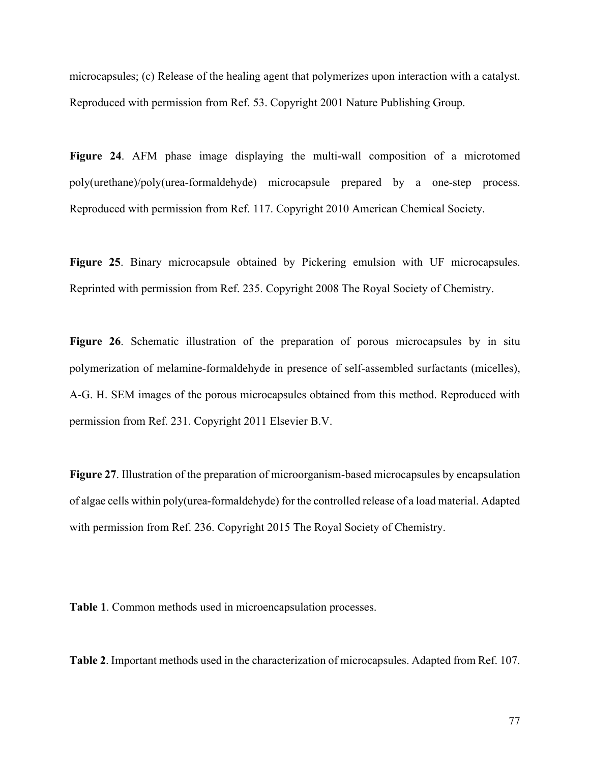microcapsules; (c) Release of the healing agent that polymerizes upon interaction with a catalyst. Reproduced with permission from Ref. 53. Copyright 2001 Nature Publishing Group.

**Figure 24**. AFM phase image displaying the multi-wall composition of a microtomed poly(urethane)/poly(urea-formaldehyde) microcapsule prepared by a one-step process. Reproduced with permission from Ref. 117. Copyright 2010 American Chemical Society.

**Figure 25**. Binary microcapsule obtained by Pickering emulsion with UF microcapsules. Reprinted with permission from Ref. 235. Copyright 2008 The Royal Society of Chemistry.

**Figure 26**. Schematic illustration of the preparation of porous microcapsules by in situ polymerization of melamine-formaldehyde in presence of self-assembled surfactants (micelles), A-G. H. SEM images of the porous microcapsules obtained from this method. Reproduced with permission from Ref. 231. Copyright 2011 Elsevier B.V.

**Figure 27**. Illustration of the preparation of microorganism-based microcapsules by encapsulation of algae cells within poly(urea-formaldehyde) for the controlled release of a load material. Adapted with permission from Ref. 236. Copyright 2015 The Royal Society of Chemistry.

**Table 1**. Common methods used in microencapsulation processes.

**Table 2**. Important methods used in the characterization of microcapsules. Adapted from Ref. 107.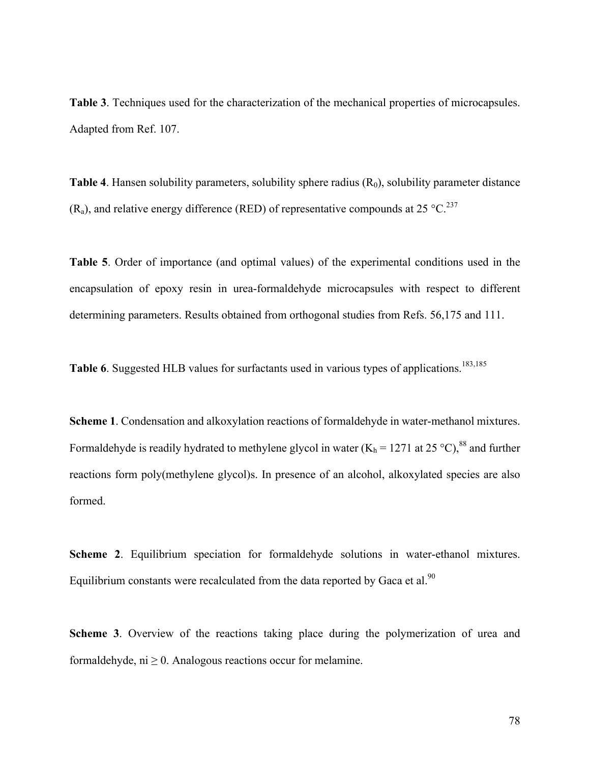**Table 3**. Techniques used for the characterization of the mechanical properties of microcapsules. Adapted from Ref. 107.

**Table 4**. Hansen solubility parameters, solubility sphere radius  $(R<sub>0</sub>)$ , solubility parameter distance  $(R_a)$ , and relative energy difference (RED) of representative compounds at 25 °C.<sup>237</sup>

**Table 5**. Order of importance (and optimal values) of the experimental conditions used in the encapsulation of epoxy resin in urea-formaldehyde microcapsules with respect to different determining parameters. Results obtained from orthogonal studies from Refs. 56,175 and 111.

Table 6. Suggested HLB values for surfactants used in various types of applications.<sup>183,185</sup>

**Scheme 1**. Condensation and alkoxylation reactions of formaldehyde in water-methanol mixtures. Formaldehyde is readily hydrated to methylene glycol in water  $(K_h = 1271$  at  $25 \degree C)^{88}$  and further reactions form poly(methylene glycol)s. In presence of an alcohol, alkoxylated species are also formed.

**Scheme 2**. Equilibrium speciation for formaldehyde solutions in water-ethanol mixtures. Equilibrium constants were recalculated from the data reported by Gaca et al.<sup>90</sup>

**Scheme 3**. Overview of the reactions taking place during the polymerization of urea and formaldehyde,  $ni \geq 0$ . Analogous reactions occur for melamine.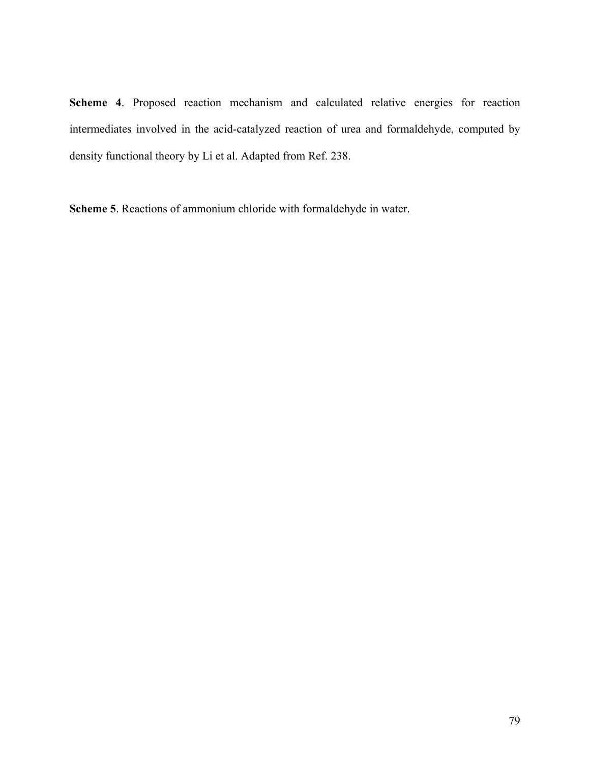**Scheme 4**. Proposed reaction mechanism and calculated relative energies for reaction intermediates involved in the acid-catalyzed reaction of urea and formaldehyde, computed by density functional theory by Li et al. Adapted from Ref. 238.

**Scheme 5**. Reactions of ammonium chloride with formaldehyde in water.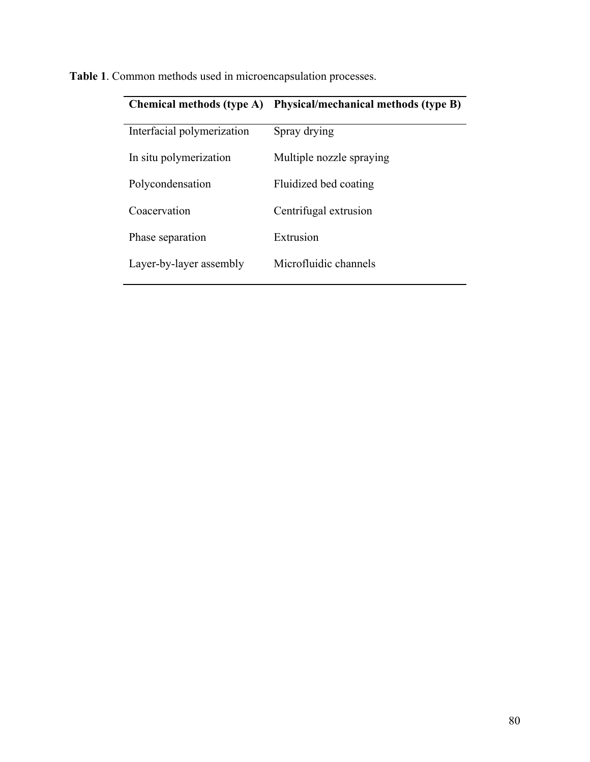|                            | Chemical methods (type A) Physical/mechanical methods (type B) |
|----------------------------|----------------------------------------------------------------|
| Interfacial polymerization | Spray drying                                                   |
| In situ polymerization     | Multiple nozzle spraying                                       |
| Polycondensation           | Fluidized bed coating                                          |
| Coacervation               | Centrifugal extrusion                                          |
| Phase separation           | Extrusion                                                      |
| Layer-by-layer assembly    | Microfluidic channels                                          |

**Table 1**. Common methods used in microencapsulation processes.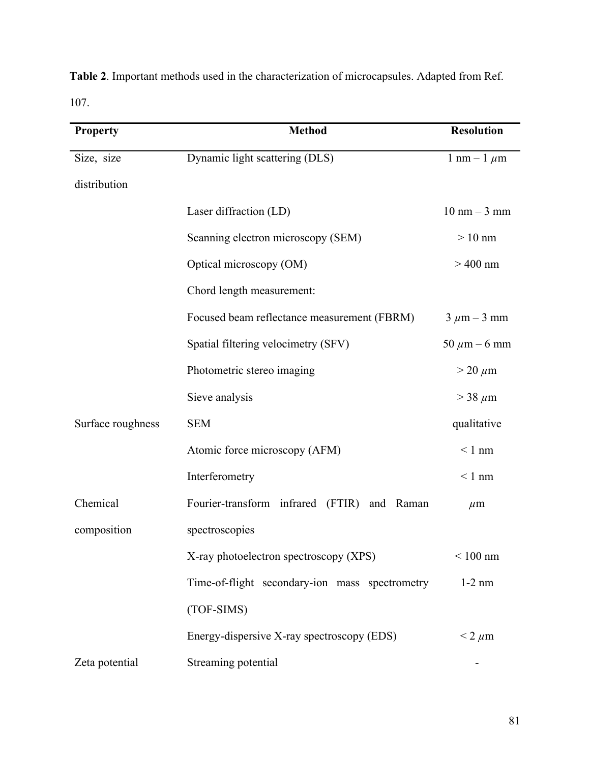**Table 2**. Important methods used in the characterization of microcapsules. Adapted from Ref. 107.

| <b>Property</b>   | <b>Method</b>                                  | <b>Resolution</b>              |
|-------------------|------------------------------------------------|--------------------------------|
| Size, size        | Dynamic light scattering (DLS)                 | 1 nm – 1 $\mu$ m               |
| distribution      |                                                |                                |
|                   | Laser diffraction (LD)                         | $10 \text{ nm} - 3 \text{ mm}$ |
|                   | Scanning electron microscopy (SEM)             | $>10$ nm                       |
|                   | Optical microscopy (OM)                        | $>400$ nm                      |
|                   | Chord length measurement:                      |                                |
|                   | Focused beam reflectance measurement (FBRM)    | $3 \mu m - 3 mm$               |
|                   | Spatial filtering velocimetry (SFV)            | 50 $\mu$ m – 6 mm              |
|                   | Photometric stereo imaging                     | $>$ 20 $\mu$ m                 |
|                   | Sieve analysis                                 | $>$ 38 $\mu$ m                 |
| Surface roughness | <b>SEM</b>                                     | qualitative                    |
|                   | Atomic force microscopy (AFM)                  | $< 1$ nm                       |
|                   | Interferometry                                 | $< 1$ nm                       |
| Chemical          | Fourier-transform infrared (FTIR) and Raman    | $\mu$ m                        |
| composition       | spectroscopies                                 |                                |
|                   | X-ray photoelectron spectroscopy (XPS)         | $< 100$ nm                     |
|                   | Time-of-flight secondary-ion mass spectrometry | $1-2$ nm                       |
|                   | (TOF-SIMS)                                     |                                |
|                   | Energy-dispersive X-ray spectroscopy (EDS)     | $<$ 2 $\mu$ m                  |
| Zeta potential    | Streaming potential                            |                                |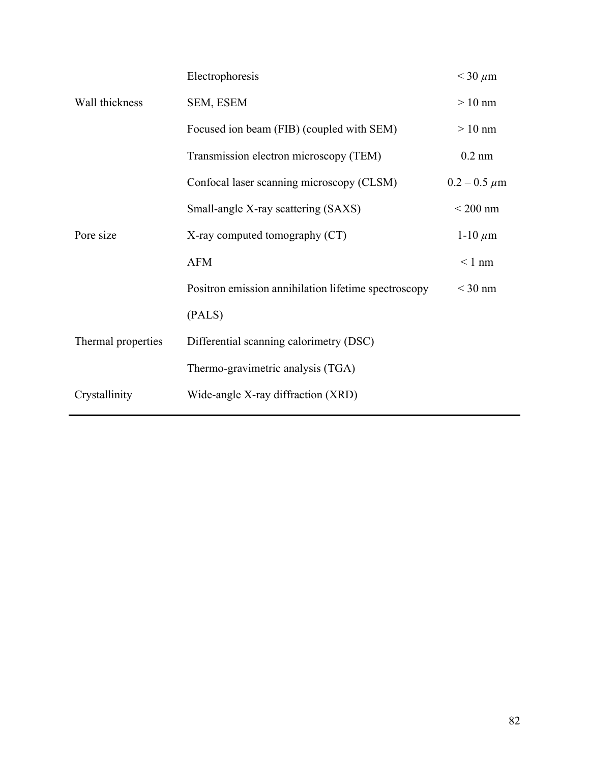|                    | Electrophoresis                                      | $<$ 30 $\mu$ m      |
|--------------------|------------------------------------------------------|---------------------|
| Wall thickness     | SEM, ESEM                                            | $>10$ nm            |
|                    | Focused ion beam (FIB) (coupled with SEM)            | $>10$ nm            |
|                    | Transmission electron microscopy (TEM)               | $0.2$ nm            |
|                    | Confocal laser scanning microscopy (CLSM)            | $0.2 - 0.5 \ \mu m$ |
|                    | Small-angle X-ray scattering (SAXS)                  | $<$ 200 nm          |
| Pore size          | X-ray computed tomography (CT)                       | 1-10 $\mu$ m        |
|                    | <b>AFM</b>                                           | $< 1$ nm            |
|                    | Positron emission annihilation lifetime spectroscopy | $<$ 30 nm           |
|                    | (PALS)                                               |                     |
| Thermal properties | Differential scanning calorimetry (DSC)              |                     |
|                    | Thermo-gravimetric analysis (TGA)                    |                     |
| Crystallinity      | Wide-angle X-ray diffraction (XRD)                   |                     |
|                    |                                                      |                     |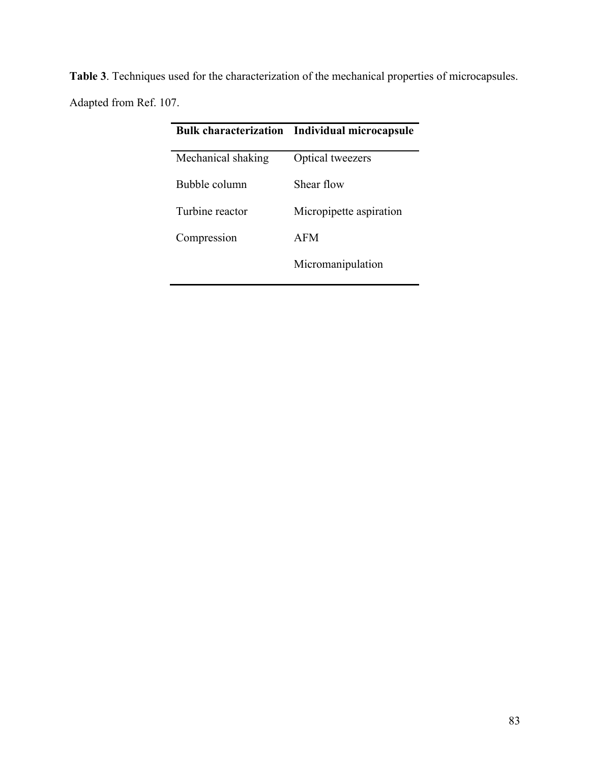| <b>Table 3</b> . Techniques used for the characterization of the mechanical properties of microcapsules. |
|----------------------------------------------------------------------------------------------------------|
| Adapted from Ref. 107.                                                                                   |

|                    | <b>Bulk characterization</b> Individual microcapsule |
|--------------------|------------------------------------------------------|
| Mechanical shaking | Optical tweezers                                     |
| Bubble column      | Shear flow                                           |
| Turbine reactor    | Micropipette aspiration                              |
| Compression        | AFM                                                  |
|                    | Micromanipulation                                    |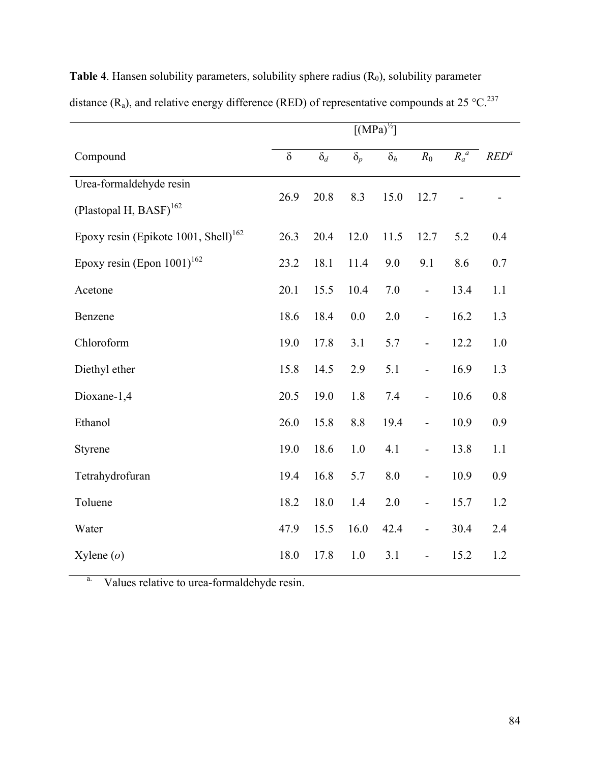|                                                  | $\left[\overline{\text{(MPa)}^{1/2}}\right]$ |            |            |            |                          |         |         |
|--------------------------------------------------|----------------------------------------------|------------|------------|------------|--------------------------|---------|---------|
| Compound                                         | $\delta$                                     | $\delta_d$ | $\delta_p$ | $\delta_h$ | $R_0$                    | $R_a^a$ | $RED^a$ |
| Urea-formaldehyde resin                          |                                              |            |            |            |                          |         |         |
| (Plastopal H, BASF) <sup>162</sup>               | 26.9                                         | 20.8       | 8.3        | 15.0       | 12.7                     |         |         |
| Epoxy resin (Epikote 1001, Shell) <sup>162</sup> | 26.3                                         | 20.4       | 12.0       | 11.5       | 12.7                     | 5.2     | 0.4     |
| Epoxy resin (Epon $1001$ ) <sup>162</sup>        | 23.2                                         | 18.1       | 11.4       | 9.0        | 9.1                      | 8.6     | 0.7     |
| Acetone                                          | 20.1                                         | 15.5       | 10.4       | 7.0        | $\overline{\phantom{0}}$ | 13.4    | 1.1     |
| Benzene                                          | 18.6                                         | 18.4       | 0.0        | 2.0        | $\blacksquare$           | 16.2    | 1.3     |
| Chloroform                                       | 19.0                                         | 17.8       | 3.1        | 5.7        | $\blacksquare$           | 12.2    | 1.0     |
| Diethyl ether                                    | 15.8                                         | 14.5       | 2.9        | 5.1        | $\overline{a}$           | 16.9    | 1.3     |
| Dioxane-1,4                                      | 20.5                                         | 19.0       | 1.8        | 7.4        | $\overline{a}$           | 10.6    | $0.8\,$ |
| Ethanol                                          | 26.0                                         | 15.8       | 8.8        | 19.4       | $\blacksquare$           | 10.9    | 0.9     |
| Styrene                                          | 19.0                                         | 18.6       | 1.0        | 4.1        | $\overline{\phantom{0}}$ | 13.8    | 1.1     |
| Tetrahydrofuran                                  | 19.4                                         | 16.8       | 5.7        | 8.0        | $\overline{\phantom{0}}$ | 10.9    | 0.9     |
| Toluene                                          | 18.2                                         | 18.0       | 1.4        | 2.0        | $\overline{\phantom{0}}$ | 15.7    | 1.2     |
| Water                                            | 47.9                                         | 15.5       | 16.0       | 42.4       | $\blacksquare$           | 30.4    | 2.4     |
| $X$ ylene $(o)$                                  | 18.0                                         | 17.8       | 1.0        | 3.1        | $\overline{\phantom{0}}$ | 15.2    | 1.2     |

**Table 4**. Hansen solubility parameters, solubility sphere radius (R<sub>0</sub>), solubility parameter distance (R<sub>a</sub>), and relative energy difference (RED) of representative compounds at 25 °C.<sup>237</sup>

a. Values relative to urea-formaldehyde resin.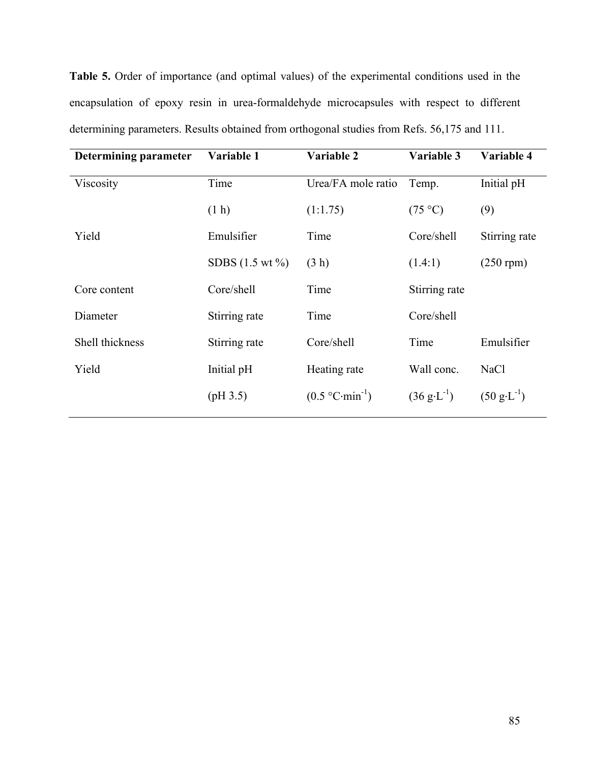**Table 5.** Order of importance (and optimal values) of the experimental conditions used in the encapsulation of epoxy resin in urea-formaldehyde microcapsules with respect to different determining parameters. Results obtained from orthogonal studies from Refs. 56,175 and 111.

| <b>Determining parameter</b> | Variable 1                  | Variable 2          | Variable 3                           | Variable 4                           |
|------------------------------|-----------------------------|---------------------|--------------------------------------|--------------------------------------|
| Viscosity                    | Time                        | Urea/FA mole ratio  | Temp.                                | Initial pH                           |
|                              | (1 h)                       | (1:1.75)            | (75 °C)                              | (9)                                  |
| Yield                        | Emulsifier                  | Time                | Core/shell                           | Stirring rate                        |
|                              | SDBS $(1.5 \text{ wt } \%)$ | (3 h)               | (1.4:1)                              | $(250$ rpm $)$                       |
| Core content                 | Core/shell                  | Time                | Stirring rate                        |                                      |
| Diameter                     | Stirring rate               | Time                | Core/shell                           |                                      |
| Shell thickness              | Stirring rate               | Core/shell          | Time                                 | Emulsifier                           |
| Yield                        | Initial pH                  | Heating rate        | Wall conc.                           | <b>NaCl</b>                          |
|                              | (pH 3.5)                    | $(0.5 °C·min^{-1})$ | $(36 \text{ g} \cdot \text{L}^{-1})$ | $(50 \text{ g} \cdot \text{L}^{-1})$ |